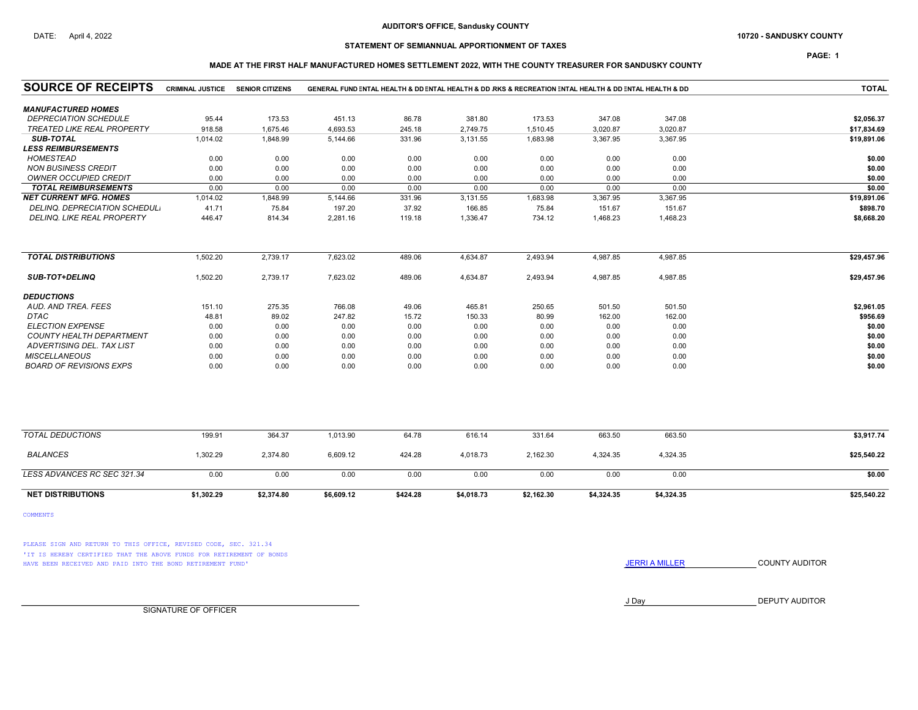## DATE: April 4, 2022 **SANDUSKY COUNTY 10720 - SANDUSKY COUNTY**

# STATEMENT OF SEMIANNUAL APPORTIONMENT OF TAXES

PAGE: 1

### MADE AT THE FIRST HALF MANUFACTURED HOMES SETTLEMENT 2022, WITH THE COUNTY TREASURER FOR SANDUSKY COUNTY

| <b>SOURCE OF RECEIPTS</b>         | <b>CRIMINAL JUSTICE</b> | <b>SENIOR CITIZENS</b> |            |          |            | GENERAL FUND ENTAL HEALTH & DD ENTAL HEALTH & DD RKS & RECREATION ENTAL HEALTH & DD ENTAL HEALTH & DD |            |            | <b>TOTAL</b> |
|-----------------------------------|-------------------------|------------------------|------------|----------|------------|-------------------------------------------------------------------------------------------------------|------------|------------|--------------|
| <b>MANUFACTURED HOMES</b>         |                         |                        |            |          |            |                                                                                                       |            |            |              |
| <b>DEPRECIATION SCHEDULE</b>      | 95.44                   | 173.53                 | 451.13     | 86.78    | 381.80     | 173.53                                                                                                | 347.08     | 347.08     | \$2,056.37   |
| <b>TREATED LIKE REAL PROPERTY</b> | 918.58                  | 1,675.46               | 4,693.53   | 245.18   | 2,749.75   | 1,510.45                                                                                              | 3,020.87   | 3.020.87   | \$17,834.69  |
| <b>SUB-TOTAL</b>                  | 1,014.02                | 1,848.99               | 5,144.66   | 331.96   | 3,131.55   | 1,683.98                                                                                              | 3,367.95   | 3,367.95   | \$19,891.06  |
| <b>LESS REIMBURSEMENTS</b>        |                         |                        |            |          |            |                                                                                                       |            |            |              |
| <b>HOMESTEAD</b>                  | 0.00                    | 0.00                   | 0.00       | 0.00     | 0.00       | 0.00                                                                                                  | 0.00       | 0.00       | \$0.00       |
| <b>NON BUSINESS CREDIT</b>        | 0.00                    | 0.00                   | 0.00       | 0.00     | 0.00       | 0.00                                                                                                  | 0.00       | 0.00       | \$0.00       |
| <b>OWNER OCCUPIED CREDIT</b>      | 0.00                    | 0.00                   | 0.00       | 0.00     | 0.00       | 0.00                                                                                                  | 0.00       | 0.00       | \$0.00       |
| <b>TOTAL REIMBURSEMENTS</b>       | 0.00                    | 0.00                   | 0.00       | 0.00     | 0.00       | 0.00                                                                                                  | 0.00       | 0.00       | \$0.00       |
| <b>NET CURRENT MFG. HOMES</b>     | 1,014.02                | 1,848.99               | 5,144.66   | 331.96   | 3,131.55   | 1,683.98                                                                                              | 3,367.95   | 3,367.95   | \$19,891.06  |
| DELINQ. DEPRECIATION SCHEDUL.     | 41.71                   | 75.84                  | 197.20     | 37.92    | 166.85     | 75.84                                                                                                 | 151.67     | 151.67     | \$898.70     |
| DELINQ, LIKE REAL PROPERTY        | 446.47                  | 814.34                 | 2,281.16   | 119.18   | 1,336.47   | 734.12                                                                                                | 1,468.23   | 1,468.23   | \$8,668.20   |
| <b>TOTAL DISTRIBUTIONS</b>        | 1,502.20                | 2,739.17               | 7,623.02   | 489.06   | 4,634.87   | 2,493.94                                                                                              | 4,987.85   | 4,987.85   | \$29,457.96  |
|                                   |                         |                        |            |          |            |                                                                                                       |            |            |              |
| SUB-TOT+DELINQ                    | 1,502.20                | 2,739.17               | 7,623.02   | 489.06   | 4,634.87   | 2,493.94                                                                                              | 4,987.85   | 4,987.85   | \$29,457.96  |
| <b>DEDUCTIONS</b>                 |                         |                        |            |          |            |                                                                                                       |            |            |              |
| AUD. AND TREA. FEES               | 151.10                  | 275.35                 | 766.08     | 49.06    | 465.81     | 250.65                                                                                                | 501.50     | 501.50     | \$2,961.05   |
| DTAC                              | 48.81                   | 89.02                  | 247.82     | 15.72    | 150.33     | 80.99                                                                                                 | 162.00     | 162.00     | \$956.69     |
| <b>ELECTION EXPENSE</b>           | 0.00                    | 0.00                   | 0.00       | 0.00     | 0.00       | 0.00                                                                                                  | 0.00       | 0.00       | \$0.00       |
| <b>COUNTY HEALTH DEPARTMENT</b>   | 0.00                    | 0.00                   | 0.00       | 0.00     | 0.00       | 0.00                                                                                                  | 0.00       | 0.00       | \$0.00       |
| ADVERTISING DEL. TAX LIST         | 0.00                    | 0.00                   | 0.00       | 0.00     | 0.00       | 0.00                                                                                                  | 0.00       | 0.00       | \$0.00       |
| <b>MISCELLANEOUS</b>              | 0.00                    | 0.00                   | 0.00       | 0.00     | 0.00       | 0.00                                                                                                  | 0.00       | 0.00       | \$0.00       |
| <b>BOARD OF REVISIONS EXPS</b>    | 0.00                    | 0.00                   | 0.00       | 0.00     | 0.00       | 0.00                                                                                                  | 0.00       | 0.00       | \$0.00       |
|                                   |                         |                        |            |          |            |                                                                                                       |            |            |              |
| <b>TOTAL DEDUCTIONS</b>           | 199.91                  | 364.37                 | 1,013.90   | 64.78    | 616.14     | 331.64                                                                                                | 663.50     | 663.50     | \$3,917.74   |
| <b>BALANCES</b>                   | 1,302.29                | 2,374.80               | 6,609.12   | 424.28   | 4,018.73   | 2,162.30                                                                                              | 4,324.35   | 4,324.35   | \$25,540.22  |
| LESS ADVANCES RC SEC 321.34       | 0.00                    | 0.00                   | 0.00       | 0.00     | 0.00       | 0.00                                                                                                  | 0.00       | 0.00       | \$0.00       |
| <b>NET DISTRIBUTIONS</b>          | \$1,302.29              | \$2,374.80             | \$6,609.12 | \$424.28 | \$4,018.73 | \$2,162.30                                                                                            | \$4,324.35 | \$4,324.35 | \$25,540.22  |

COMMENTS

PLEASE SIGN AND RETURN TO THIS OFFICE, REVISED CODE, SEC. 321.34 'IT IS HEREBY CERTIFIED THAT THE ABOVE FUNDS FOR RETIREMENT OF BONDS HAVE BEEN RECEIVED AND PAID INTO THE BOND RETIREMENT FUND' **SECULTS** THE COUNTY AUDITOR

J Day DEPUTY AUDITOR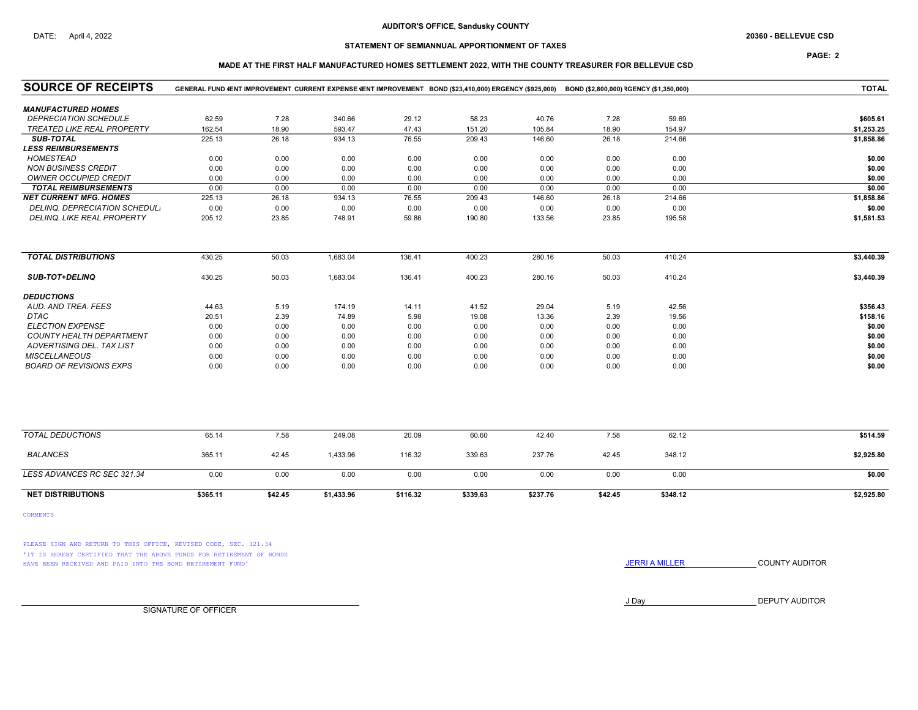# STATEMENT OF SEMIANNUAL APPORTIONMENT OF TAXES

## PAGE: 2

### MADE AT THE FIRST HALF MANUFACTURED HOMES SETTLEMENT 2022, WITH THE COUNTY TREASURER FOR BELLEVUE CSD

| <b>SOURCE OF RECEIPTS</b>        |          |         |            |          | GENERAL FUND VENT IMPROVEMENT CURRENT EXPENSE VENT IMPROVEMENT BOND (\$23,410,000) ERGENCY (\$925,000) BOND (\$2,800,000) RGENCY (\$1,350,000) |          |         |          | <b>TOTAL</b> |
|----------------------------------|----------|---------|------------|----------|------------------------------------------------------------------------------------------------------------------------------------------------|----------|---------|----------|--------------|
| <b>MANUFACTURED HOMES</b>        |          |         |            |          |                                                                                                                                                |          |         |          |              |
| <b>DEPRECIATION SCHEDULE</b>     | 62.59    | 7.28    | 340.66     | 29.12    | 58.23                                                                                                                                          | 40.76    | 7.28    | 59.69    | \$605.61     |
| TREATED LIKE REAL PROPERTY       | 162.54   | 18.90   | 593.47     | 47.43    | 151.20                                                                                                                                         | 105.84   | 18.90   | 154.97   | \$1,253.25   |
| <b>SUB-TOTAL</b>                 | 225.13   | 26.18   | 934.13     | 76.55    | 209.43                                                                                                                                         | 146.60   | 26.18   | 214.66   | \$1,858.86   |
| <b>LESS REIMBURSEMENTS</b>       |          |         |            |          |                                                                                                                                                |          |         |          |              |
| <b>HOMESTEAD</b>                 | 0.00     | 0.00    | 0.00       | 0.00     | 0.00                                                                                                                                           | 0.00     | 0.00    | 0.00     | \$0.00       |
| <b>NON BUSINESS CREDIT</b>       | 0.00     | 0.00    | 0.00       | 0.00     | 0.00                                                                                                                                           | 0.00     | 0.00    | 0.00     | \$0.00       |
| <b>OWNER OCCUPIED CREDIT</b>     | 0.00     | 0.00    | 0.00       | 0.00     | 0.00                                                                                                                                           | 0.00     | 0.00    | 0.00     | \$0.00       |
| <b>TOTAL REIMBURSEMENTS</b>      | 0.00     | 0.00    | 0.00       | 0.00     | 0.00                                                                                                                                           | 0.00     | 0.00    | 0.00     | \$0.00       |
| <b>NET CURRENT MFG. HOMES</b>    | 225.13   | 26.18   | 934.13     | 76.55    | 209.43                                                                                                                                         | 146.60   | 26.18   | 214.66   | \$1,858.86   |
| DELINQ. DEPRECIATION SCHEDUL.    | 0.00     | 0.00    | 0.00       | 0.00     | 0.00                                                                                                                                           | 0.00     | 0.00    | 0.00     | \$0.00       |
| DELINQ. LIKE REAL PROPERTY       | 205.12   | 23.85   | 748.91     | 59.86    | 190.80                                                                                                                                         | 133.56   | 23.85   | 195.58   | \$1,581.53   |
| <b>TOTAL DISTRIBUTIONS</b>       | 430.25   | 50.03   | 1,683.04   | 136.41   | 400.23                                                                                                                                         | 280.16   | 50.03   | 410.24   | \$3,440.39   |
|                                  |          |         |            |          |                                                                                                                                                |          |         |          |              |
| <b>SUB-TOT+DELINQ</b>            | 430.25   | 50.03   | 1,683.04   | 136.41   | 400.23                                                                                                                                         | 280.16   | 50.03   | 410.24   | \$3,440.39   |
| <b>DEDUCTIONS</b>                |          |         |            |          |                                                                                                                                                |          |         |          |              |
| AUD. AND TREA. FEES              | 44.63    | 5.19    | 174.19     | 14.11    | 41.52                                                                                                                                          | 29.04    | 5.19    | 42.56    | \$356.43     |
| <b>DTAC</b>                      | 20.51    | 2.39    | 74.89      | 5.98     | 19.08                                                                                                                                          | 13.36    | 2.39    | 19.56    | \$158.16     |
| <b>ELECTION EXPENSE</b>          | 0.00     | 0.00    | 0.00       | 0.00     | 0.00                                                                                                                                           | 0.00     | 0.00    | 0.00     | \$0.00       |
| COUNTY HEALTH DEPARTMENT         | 0.00     | 0.00    | 0.00       | 0.00     | 0.00                                                                                                                                           | 0.00     | 0.00    | 0.00     | \$0.00       |
| <b>ADVERTISING DEL. TAX LIST</b> | 0.00     | 0.00    | 0.00       | 0.00     | 0.00                                                                                                                                           | 0.00     | 0.00    | 0.00     | \$0.00       |
| <b>MISCELLANEOUS</b>             | 0.00     | 0.00    | 0.00       | 0.00     | 0.00                                                                                                                                           | 0.00     | 0.00    | 0.00     | \$0.00       |
| <b>BOARD OF REVISIONS EXPS</b>   | 0.00     | 0.00    | 0.00       | 0.00     | 0.00                                                                                                                                           | 0.00     | 0.00    | 0.00     | \$0.00       |
|                                  |          |         |            |          |                                                                                                                                                |          |         |          |              |
| <b>TOTAL DEDUCTIONS</b>          | 65.14    | 7.58    | 249.08     | 20.09    | 60.60                                                                                                                                          | 42.40    | 7.58    | 62.12    | \$514.59     |
| <b>BALANCES</b>                  | 365.11   | 42.45   | 1,433.96   | 116.32   | 339.63                                                                                                                                         | 237.76   | 42.45   | 348.12   | \$2,925.80   |
| LESS ADVANCES RC SEC 321.34      | 0.00     | 0.00    | 0.00       | 0.00     | 0.00                                                                                                                                           | 0.00     | 0.00    | 0.00     | \$0.00       |
| <b>NET DISTRIBUTIONS</b>         | \$365.11 | \$42.45 | \$1,433.96 | \$116.32 | \$339.63                                                                                                                                       | \$237.76 | \$42.45 | \$348.12 | \$2,925.80   |

COMMENTS

PLEASE SIGN AND RETURN TO THIS OFFICE, REVISED CODE, SEC. 321.34 'IT IS HEREBY CERTIFIED THAT THE ABOVE FUNDS FOR RETIREMENT OF BONDS HAVE BEEN RECEIVED AND PAID INTO THE BOND RETIREMENT FUND' **SECULTS** THE COUNTY AUDITOR

J Day DEPUTY AUDITOR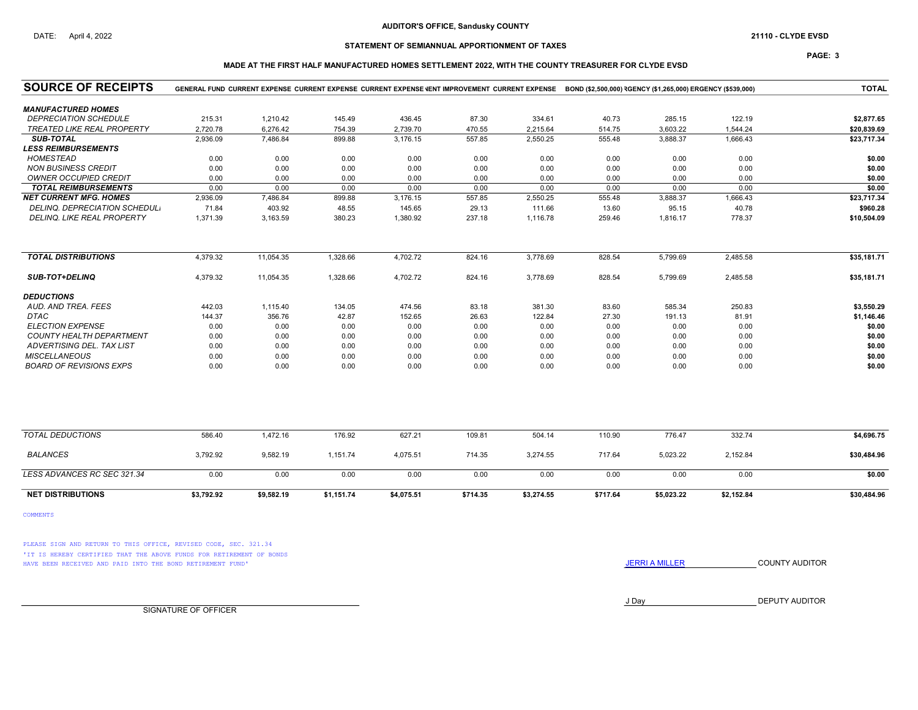## STATEMENT OF SEMIANNUAL APPORTIONMENT OF TAXES

### PAGE: 3

### MADE AT THE FIRST HALF MANUFACTURED HOMES SETTLEMENT 2022, WITH THE COUNTY TREASURER FOR CLYDE EVSD

| <b>SOURCE OF RECEIPTS</b>            | GENERAL FUND CURRENT EXPENSE CURRENT EXPENSE CURRENT EXPENSE VENT IMPROVEMENT CURRENT EXPENSE BOND (\$2,500,000) RGENCY (\$1,265,000) ERGENCY (\$539,000) |            |            |            |          |            |          |            |            |             |  |
|--------------------------------------|-----------------------------------------------------------------------------------------------------------------------------------------------------------|------------|------------|------------|----------|------------|----------|------------|------------|-------------|--|
| <b>MANUFACTURED HOMES</b>            |                                                                                                                                                           |            |            |            |          |            |          |            |            |             |  |
| <b>DEPRECIATION SCHEDULE</b>         | 215.31                                                                                                                                                    | 1,210.42   | 145.49     | 436.45     | 87.30    | 334.61     | 40.73    | 285.15     | 122.19     | \$2,877.65  |  |
| <b>TREATED LIKE REAL PROPERTY</b>    | 2,720.78                                                                                                                                                  | 6,276.42   | 754.39     | 2,739.70   | 470.55   | 2,215.64   | 514.75   | 3,603.22   | 1.544.24   | \$20,839.69 |  |
| <b>SUB-TOTAL</b>                     | 2,936.09                                                                                                                                                  | 7,486.84   | 899.88     | 3,176.15   | 557.85   | 2,550.25   | 555.48   | 3,888.37   | 1,666.43   | \$23,717.34 |  |
| <b>LESS REIMBURSEMENTS</b>           |                                                                                                                                                           |            |            |            |          |            |          |            |            |             |  |
| <b>HOMESTEAD</b>                     | 0.00                                                                                                                                                      | 0.00       | 0.00       | 0.00       | 0.00     | 0.00       | 0.00     | 0.00       | 0.00       | \$0.00      |  |
| <b>NON BUSINESS CREDIT</b>           | 0.00                                                                                                                                                      | 0.00       | 0.00       | 0.00       | 0.00     | 0.00       | 0.00     | 0.00       | 0.00       | \$0.00      |  |
| <b>OWNER OCCUPIED CREDIT</b>         | 0.00                                                                                                                                                      | 0.00       | 0.00       | 0.00       | 0.00     | 0.00       | 0.00     | 0.00       | 0.00       | \$0.00      |  |
| <b>TOTAL REIMBURSEMENTS</b>          | 0.00                                                                                                                                                      | 0.00       | 0.00       | 0.00       | 0.00     | 0.00       | 0.00     | 0.00       | 0.00       | \$0.00      |  |
| <b>NET CURRENT MFG. HOMES</b>        | 2,936.09                                                                                                                                                  | 7,486.84   | 899.88     | 3,176.15   | 557.85   | 2,550.25   | 555.48   | 3,888.37   | 1,666.43   | \$23,717.34 |  |
| <b>DELINQ. DEPRECIATION SCHEDULI</b> | 71.84                                                                                                                                                     | 403.92     | 48.55      | 145.65     | 29.13    | 111.66     | 13.60    | 95.15      | 40.78      | \$960.28    |  |
| DELINQ. LIKE REAL PROPERTY           | 1,371.39                                                                                                                                                  | 3,163.59   | 380.23     | 1,380.92   | 237.18   | 1,116.78   | 259.46   | 1,816.17   | 778.37     | \$10,504.09 |  |
| <b>TOTAL DISTRIBUTIONS</b>           | 4.379.32                                                                                                                                                  | 11,054.35  | 1.328.66   | 4,702.72   | 824.16   | 3,778.69   | 828.54   | 5.799.69   | 2.485.58   | \$35,181.71 |  |
|                                      |                                                                                                                                                           |            |            |            |          |            |          |            |            |             |  |
| <b>SUB-TOT+DELINQ</b>                | 4,379.32                                                                                                                                                  | 11,054.35  | 1,328.66   | 4,702.72   | 824.16   | 3,778.69   | 828.54   | 5,799.69   | 2,485.58   | \$35,181.71 |  |
| <b>DEDUCTIONS</b>                    |                                                                                                                                                           |            |            |            |          |            |          |            |            |             |  |
| AUD. AND TREA. FEES                  | 442.03                                                                                                                                                    | 1,115.40   | 134.05     | 474.56     | 83.18    | 381.30     | 83.60    | 585.34     | 250.83     | \$3,550.29  |  |
| <b>DTAC</b>                          | 144.37                                                                                                                                                    | 356.76     | 42.87      | 152.65     | 26.63    | 122.84     | 27.30    | 191.13     | 81.91      | \$1,146.46  |  |
| <b>ELECTION EXPENSE</b>              | 0.00                                                                                                                                                      | 0.00       | 0.00       | 0.00       | 0.00     | 0.00       | 0.00     | 0.00       | 0.00       | \$0.00      |  |
| <b>COUNTY HEALTH DEPARTMENT</b>      | 0.00                                                                                                                                                      | 0.00       | 0.00       | 0.00       | 0.00     | 0.00       | 0.00     | 0.00       | 0.00       | \$0.00      |  |
| ADVERTISING DEL. TAX LIST            | 0.00                                                                                                                                                      | 0.00       | 0.00       | 0.00       | 0.00     | 0.00       | 0.00     | 0.00       | 0.00       | \$0.00      |  |
| <b>MISCELLANEOUS</b>                 | 0.00                                                                                                                                                      | 0.00       | 0.00       | 0.00       | 0.00     | 0.00       | 0.00     | 0.00       | 0.00       | \$0.00      |  |
| <b>BOARD OF REVISIONS EXPS</b>       | 0.00                                                                                                                                                      | 0.00       | 0.00       | 0.00       | 0.00     | 0.00       | 0.00     | 0.00       | 0.00       | \$0.00      |  |
|                                      |                                                                                                                                                           |            |            |            |          |            |          |            |            |             |  |
| <b>TOTAL DEDUCTIONS</b>              | 586.40                                                                                                                                                    | 1,472.16   | 176.92     | 627.21     | 109.81   | 504.14     | 110.90   | 776.47     | 332.74     | \$4,696.75  |  |
| <b>BALANCES</b>                      | 3,792.92                                                                                                                                                  | 9,582.19   | 1,151.74   | 4,075.51   | 714.35   | 3,274.55   | 717.64   | 5,023.22   | 2,152.84   | \$30,484.96 |  |
| LESS ADVANCES RC SEC 321.34          | 0.00                                                                                                                                                      | 0.00       | 0.00       | 0.00       | 0.00     | 0.00       | 0.00     | 0.00       | 0.00       | \$0.00      |  |
| <b>NET DISTRIBUTIONS</b>             | \$3,792.92                                                                                                                                                | \$9,582.19 | \$1,151.74 | \$4,075.51 | \$714.35 | \$3,274.55 | \$717.64 | \$5,023.22 | \$2,152.84 | \$30,484.96 |  |

COMMENTS

PLEASE SIGN AND RETURN TO THIS OFFICE, REVISED CODE, SEC. 321.34 'IT IS HEREBY CERTIFIED THAT THE ABOVE FUNDS FOR RETIREMENT OF BONDS HAVE BEEN RECEIVED AND PAID INTO THE BOND RETIREMENT FUND' **SECULTS** THE COUNTY AUDITOR

J Day DEPUTY AUDITOR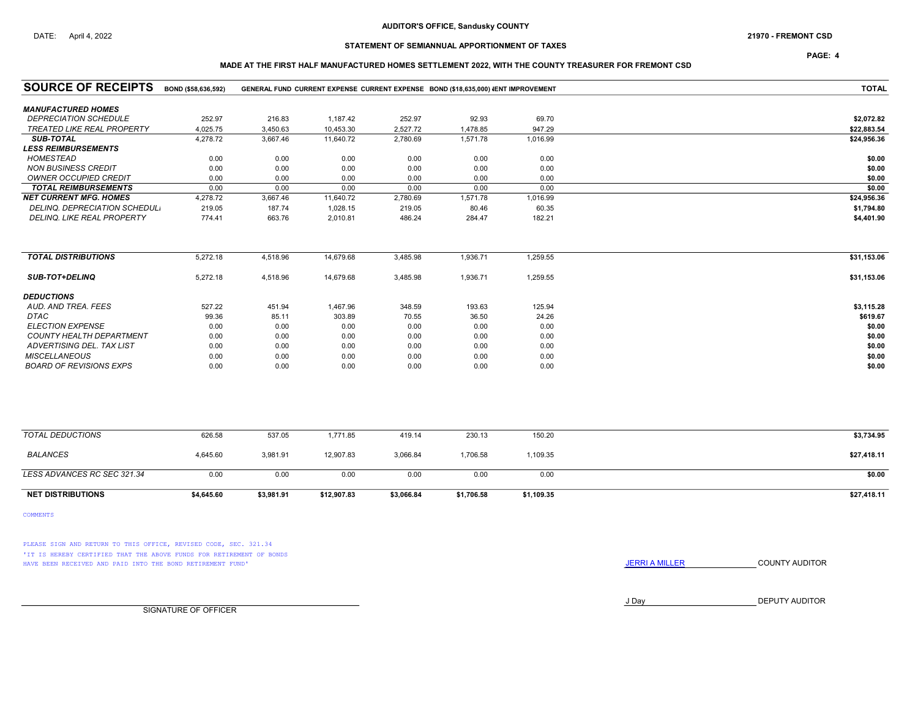PAGE: 4

### MADE AT THE FIRST HALF MANUFACTURED HOMES SETTLEMENT 2022, WITH THE COUNTY TREASURER FOR FREMONT CSD

| <b>SOURCE OF RECEIPTS</b>         | BOND (\$58,636,592) |            |             |            | GENERAL FUND CURRENT EXPENSE CURRENT EXPENSE BOND (\$18,635,000) JENT IMPROVEMENT |            | <b>TOTAL</b> |
|-----------------------------------|---------------------|------------|-------------|------------|-----------------------------------------------------------------------------------|------------|--------------|
| <b>MANUFACTURED HOMES</b>         |                     |            |             |            |                                                                                   |            |              |
| <b>DEPRECIATION SCHEDULE</b>      | 252.97              | 216.83     | 1,187.42    | 252.97     | 92.93                                                                             | 69.70      | \$2,072.82   |
| <b>TREATED LIKE REAL PROPERTY</b> | 4,025.75            | 3,450.63   | 10,453.30   | 2,527.72   | 1,478.85                                                                          | 947.29     | \$22,883.54  |
| <b>SUB-TOTAL</b>                  | 4,278.72            | 3,667.46   | 11,640.72   | 2,780.69   | 1,571.78                                                                          | 1,016.99   | \$24,956.36  |
| <b>LESS REIMBURSEMENTS</b>        |                     |            |             |            |                                                                                   |            |              |
| <b>HOMESTEAD</b>                  | 0.00                | 0.00       | 0.00        | 0.00       | 0.00                                                                              | 0.00       | \$0.00       |
| <b>NON BUSINESS CREDIT</b>        | 0.00                | 0.00       | 0.00        | 0.00       | 0.00                                                                              | 0.00       | \$0.00       |
| <b>OWNER OCCUPIED CREDIT</b>      | 0.00                | 0.00       | 0.00        | 0.00       | 0.00                                                                              | 0.00       | \$0.00       |
| <b>TOTAL REIMBURSEMENTS</b>       | 0.00                | 0.00       | 0.00        | 0.00       | 0.00                                                                              | 0.00       | \$0.00       |
| <b>NET CURRENT MFG. HOMES</b>     | 4,278.72            | 3,667.46   | 11,640.72   | 2,780.69   | 1,571.78                                                                          | 1,016.99   | \$24,956.36  |
| DELINQ. DEPRECIATION SCHEDUL.     | 219.05              | 187.74     | 1,028.15    | 219.05     | 80.46                                                                             | 60.35      | \$1,794.80   |
| DELINQ. LIKE REAL PROPERTY        | 774.41              | 663.76     | 2,010.81    | 486.24     | 284.47                                                                            | 182.21     | \$4,401.90   |
|                                   |                     |            |             |            |                                                                                   |            |              |
| <b>TOTAL DISTRIBUTIONS</b>        | 5,272.18            | 4,518.96   | 14,679.68   | 3,485.98   | 1,936.71                                                                          | 1,259.55   | \$31,153.06  |
| <b>SUB-TOT+DELINQ</b>             | 5,272.18            | 4,518.96   | 14,679.68   | 3,485.98   | 1,936.71                                                                          | 1,259.55   | \$31,153.06  |
| <b>DEDUCTIONS</b>                 |                     |            |             |            |                                                                                   |            |              |
| AUD. AND TREA. FEES               | 527.22              | 451.94     | 1,467.96    | 348.59     | 193.63                                                                            | 125.94     | \$3,115.28   |
| DTAC                              | 99.36               | 85.11      | 303.89      | 70.55      | 36.50                                                                             | 24.26      | \$619.67     |
| <b>ELECTION EXPENSE</b>           | 0.00                | 0.00       | 0.00        | 0.00       | 0.00                                                                              | 0.00       | \$0.00       |
| <b>COUNTY HEALTH DEPARTMENT</b>   | 0.00                | 0.00       | 0.00        | 0.00       | 0.00                                                                              | 0.00       | \$0.00       |
| ADVERTISING DEL. TAX LIST         | 0.00                | 0.00       | 0.00        | 0.00       | 0.00                                                                              | 0.00       | \$0.00       |
| <b>MISCELLANEOUS</b>              | 0.00                | 0.00       | 0.00        | 0.00       | 0.00                                                                              | 0.00       | \$0.00       |
| <b>BOARD OF REVISIONS EXPS</b>    | 0.00                | 0.00       | 0.00        | 0.00       | 0.00                                                                              | 0.00       | \$0.00       |
|                                   |                     |            |             |            |                                                                                   |            |              |
| <b>TOTAL DEDUCTIONS</b>           | 626.58              | 537.05     | 1,771.85    | 419.14     | 230.13                                                                            | 150.20     | \$3,734.95   |
| <b>BALANCES</b>                   | 4,645.60            | 3,981.91   | 12,907.83   | 3,066.84   | 1,706.58                                                                          | 1,109.35   | \$27,418.11  |
| LESS ADVANCES RC SEC 321.34       | 0.00                | 0.00       | 0.00        | 0.00       | 0.00                                                                              | 0.00       | \$0.00       |
| <b>NET DISTRIBUTIONS</b>          | \$4,645.60          | \$3,981.91 | \$12,907.83 | \$3,066.84 | \$1,706.58                                                                        | \$1,109.35 | \$27,418.11  |

COMMENTS

PLEASE SIGN AND RETURN TO THIS OFFICE, REVISED CODE, SEC. 321.34 'IT IS HEREBY CERTIFIED THAT THE ABOVE FUNDS FOR RETIREMENT OF BONDS HAVE BEEN RECEIVED AND PAID INTO THE BOND RETIREMENT FUND' **SECULTS** THE COUNTY AUDITOR

J Day DEPUTY AUDITOR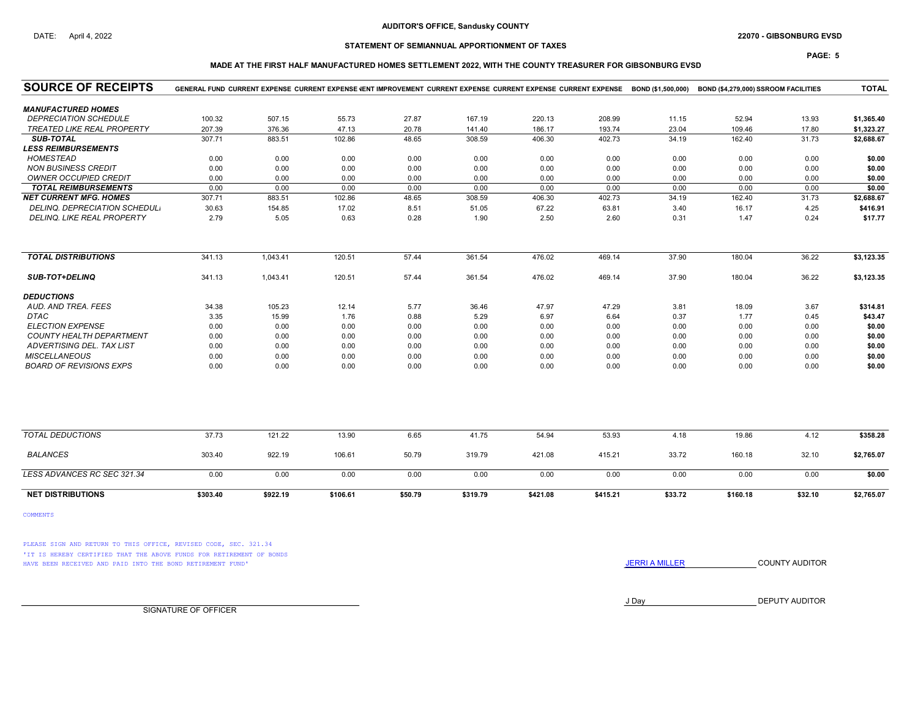### DATE: April 4, 2022 22070 - GIBSONBURG EVSD

# STATEMENT OF SEMIANNUAL APPORTIONMENT OF TAXES

# MADE AT THE FIRST HALF MANUFACTURED HOMES SETTLEMENT 2022, WITH THE COUNTY TREASURER FOR GIBSONBURG EVSD

| <b>SOURCE OF RECEIPTS</b>         |          | GENERAL FUND CURRENT EXPENSE CURRENT EXPENSE VENT IMPROVEMENT CURRENT EXPENSE CURRENT EXPENSE CURRENT EXPENSE BOND (\$1,500,000) |          |         |          |          |          |         | BOND (\$4,279,000) SSROOM FACILITIES |         | <b>TOTAL</b> |
|-----------------------------------|----------|----------------------------------------------------------------------------------------------------------------------------------|----------|---------|----------|----------|----------|---------|--------------------------------------|---------|--------------|
| <b>MANUFACTURED HOMES</b>         |          |                                                                                                                                  |          |         |          |          |          |         |                                      |         |              |
| <b>DEPRECIATION SCHEDULE</b>      | 100.32   | 507.15                                                                                                                           | 55.73    | 27.87   | 167.19   | 220.13   | 208.99   | 11.15   | 52.94                                | 13.93   | \$1,365.40   |
| <b>TREATED LIKE REAL PROPERTY</b> | 207.39   | 376.36                                                                                                                           | 47.13    | 20.78   | 141.40   | 186.17   | 193.74   | 23.04   | 109.46                               | 17.80   | \$1,323.27   |
| <b>SUB-TOTAL</b>                  | 307.71   | 883.51                                                                                                                           | 102.86   | 48.65   | 308.59   | 406.30   | 402.73   | 34.19   | 162.40                               | 31.73   | \$2,688.67   |
| <i><b>LESS REIMBURSEMENTS</b></i> |          |                                                                                                                                  |          |         |          |          |          |         |                                      |         |              |
| <b>HOMESTEAD</b>                  | 0.00     | 0.00                                                                                                                             | 0.00     | 0.00    | 0.00     | 0.00     | 0.00     | 0.00    | 0.00                                 | 0.00    | \$0.00       |
| <b>NON BUSINESS CREDIT</b>        | 0.00     | 0.00                                                                                                                             | 0.00     | 0.00    | 0.00     | 0.00     | 0.00     | 0.00    | 0.00                                 | 0.00    | \$0.00       |
| OWNER OCCUPIED CREDIT             | 0.00     | 0.00                                                                                                                             | 0.00     | 0.00    | 0.00     | 0.00     | 0.00     | 0.00    | 0.00                                 | 0.00    | \$0.00       |
| <b>TOTAL REIMBURSEMENTS</b>       | 0.00     | 0.00                                                                                                                             | 0.00     | 0.00    | 0.00     | 0.00     | 0.00     | 0.00    | 0.00                                 | 0.00    | \$0.00       |
| <b>NET CURRENT MFG. HOMES</b>     | 307.71   | 883.51                                                                                                                           | 102.86   | 48.65   | 308.59   | 406.30   | 402.73   | 34.19   | 162.40                               | 31.73   | \$2,688.67   |
| DELINQ. DEPRECIATION SCHEDUL.     | 30.63    | 154.85                                                                                                                           | 17.02    | 8.51    | 51.05    | 67.22    | 63.81    | 3.40    | 16.17                                | 4.25    | \$416.91     |
| DELINQ. LIKE REAL PROPERTY        | 2.79     | 5.05                                                                                                                             | 0.63     | 0.28    | 1.90     | 2.50     | 2.60     | 0.31    | 1.47                                 | 0.24    | \$17.77      |
| <b>TOTAL DISTRIBUTIONS</b>        | 341.13   | 1,043.41                                                                                                                         | 120.51   | 57.44   | 361.54   | 476.02   | 469.14   | 37.90   | 180.04                               | 36.22   | \$3,123.35   |
| <b>SUB-TOT+DELINQ</b>             | 341.13   | 1,043.41                                                                                                                         | 120.51   | 57.44   | 361.54   | 476.02   | 469.14   | 37.90   | 180.04                               | 36.22   | \$3,123.35   |
| <b>DEDUCTIONS</b>                 |          |                                                                                                                                  |          |         |          |          |          |         |                                      |         |              |
| AUD. AND TREA. FEES               | 34.38    | 105.23                                                                                                                           | 12.14    | 5.77    | 36.46    | 47.97    | 47.29    | 3.81    | 18.09                                | 3.67    | \$314.81     |
| <b>DTAC</b>                       | 3.35     | 15.99                                                                                                                            | 1.76     | 0.88    | 5.29     | 6.97     | 6.64     | 0.37    | 1.77                                 | 0.45    | \$43.47      |
| <b>ELECTION EXPENSE</b>           | 0.00     | 0.00                                                                                                                             | 0.00     | 0.00    | 0.00     | 0.00     | 0.00     | 0.00    | 0.00                                 | 0.00    | \$0.00       |
| COUNTY HEALTH DEPARTMENT          | 0.00     | 0.00                                                                                                                             | 0.00     | 0.00    | 0.00     | 0.00     | 0.00     | 0.00    | 0.00                                 | 0.00    | \$0.00       |
| ADVERTISING DEL. TAX LIST         | 0.00     | 0.00                                                                                                                             | 0.00     | 0.00    | 0.00     | 0.00     | 0.00     | 0.00    | 0.00                                 | 0.00    | \$0.00       |
| <b>MISCELLANEOUS</b>              | 0.00     | 0.00                                                                                                                             | 0.00     | 0.00    | 0.00     | 0.00     | 0.00     | 0.00    | 0.00                                 | 0.00    | \$0.00       |
| <b>BOARD OF REVISIONS EXPS</b>    | 0.00     | 0.00                                                                                                                             | 0.00     | 0.00    | 0.00     | 0.00     | 0.00     | 0.00    | 0.00                                 | 0.00    | \$0.00       |
|                                   |          |                                                                                                                                  |          |         |          |          |          |         |                                      |         |              |
| <b>TOTAL DEDUCTIONS</b>           | 37.73    | 121.22                                                                                                                           | 13.90    | 6.65    | 41.75    | 54.94    | 53.93    | 4.18    | 19.86                                | 4.12    | \$358.28     |
| <b>BALANCES</b>                   | 303.40   | 922.19                                                                                                                           | 106.61   | 50.79   | 319.79   | 421.08   | 415.21   | 33.72   | 160.18                               | 32.10   | \$2,765.07   |
| LESS ADVANCES RC SEC 321.34       | 0.00     | 0.00                                                                                                                             | 0.00     | 0.00    | 0.00     | 0.00     | 0.00     | 0.00    | 0.00                                 | 0.00    | \$0.00       |
| <b>NET DISTRIBUTIONS</b>          | \$303.40 | \$922.19                                                                                                                         | \$106.61 | \$50.79 | \$319.79 | \$421.08 | \$415.21 | \$33.72 | \$160.18                             | \$32.10 | \$2,765.07   |

COMMENTS

PLEASE SIGN AND RETURN TO THIS OFFICE, REVISED CODE, SEC. 321.34 'IT IS HEREBY CERTIFIED THAT THE ABOVE FUNDS FOR RETIREMENT OF BONDS HAVE BEEN RECEIVED AND PAID INTO THE BOND RETIREMENT FUND' **JERRIA MILLER COUNTY AUDITOR** 

J Day DEPUTY AUDITOR

SIGNATURE OF OFFICER

PAGE: 5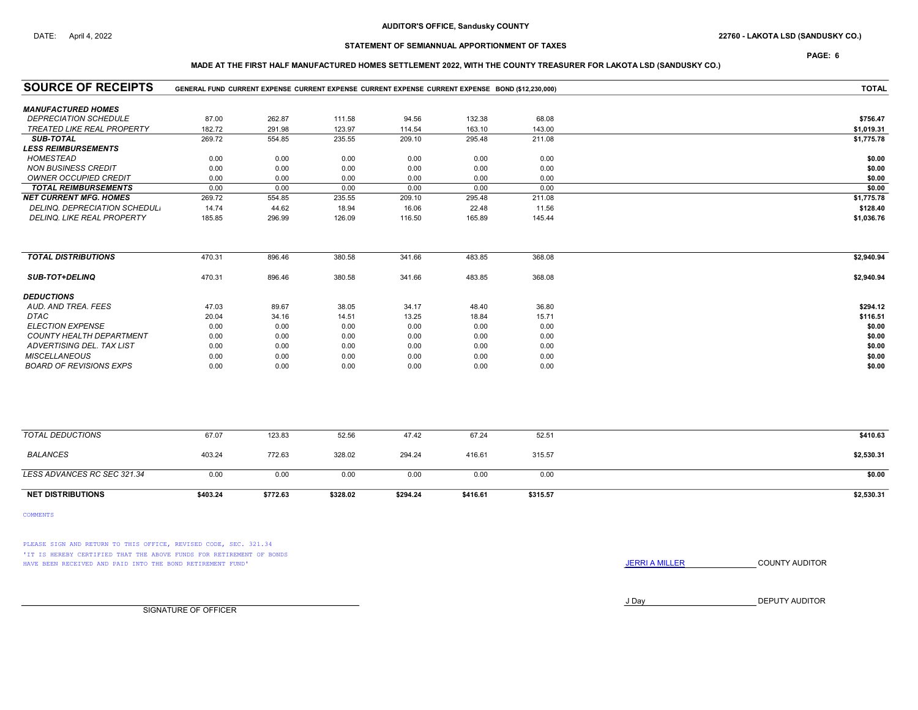PAGE: 6

# MADE AT THE FIRST HALF MANUFACTURED HOMES SETTLEMENT 2022, WITH THE COUNTY TREASURER FOR LAKOTA LSD (SANDUSKY CO.)

| <b>SOURCE OF RECEIPTS</b>       | GENERAL FUND CURRENT EXPENSE CURRENT EXPENSE CURRENT EXPENSE CURRENT EXPENSE BOND (\$12.230.000) | <b>TOTAL</b> |          |          |          |          |            |
|---------------------------------|--------------------------------------------------------------------------------------------------|--------------|----------|----------|----------|----------|------------|
| <b>MANUFACTURED HOMES</b>       |                                                                                                  |              |          |          |          |          |            |
| <b>DEPRECIATION SCHEDULE</b>    | 87.00                                                                                            | 262.87       | 111.58   | 94.56    | 132.38   | 68.08    | \$756.47   |
| TREATED LIKE REAL PROPERTY      | 182.72                                                                                           | 291.98       | 123.97   | 114.54   | 163.10   | 143.00   | \$1,019.31 |
| <b>SUB-TOTAL</b>                | 269.72                                                                                           | 554.85       | 235.55   | 209.10   | 295.48   | 211.08   | \$1,775.78 |
| <b>LESS REIMBURSEMENTS</b>      |                                                                                                  |              |          |          |          |          |            |
| <b>HOMESTEAD</b>                | 0.00                                                                                             | 0.00         | 0.00     | 0.00     | 0.00     | 0.00     | \$0.00     |
| <b>NON BUSINESS CREDIT</b>      | 0.00                                                                                             | 0.00         | 0.00     | 0.00     | 0.00     | 0.00     | \$0.00     |
| <b>OWNER OCCUPIED CREDIT</b>    | 0.00                                                                                             | 0.00         | 0.00     | 0.00     | 0.00     | 0.00     | \$0.00     |
| <b>TOTAL REIMBURSEMENTS</b>     | 0.00                                                                                             | 0.00         | 0.00     | 0.00     | 0.00     | 0.00     | \$0.00     |
| <b>NET CURRENT MFG. HOMES</b>   | 269.72                                                                                           | 554.85       | 235.55   | 209.10   | 295.48   | 211.08   | \$1,775.78 |
| DELINQ. DEPRECIATION SCHEDUL.   | 14.74                                                                                            | 44.62        | 18.94    | 16.06    | 22.48    | 11.56    | \$128.40   |
| DELINQ. LIKE REAL PROPERTY      | 185.85                                                                                           | 296.99       | 126.09   | 116.50   | 165.89   | 145.44   | \$1,036.76 |
| <b>TOTAL DISTRIBUTIONS</b>      | 470.31                                                                                           | 896.46       | 380.58   | 341.66   | 483.85   | 368.08   | \$2,940.94 |
|                                 |                                                                                                  |              |          |          |          |          |            |
| <b>SUB-TOT+DELINQ</b>           | 470.31                                                                                           | 896.46       | 380.58   | 341.66   | 483.85   | 368.08   | \$2,940.94 |
| <b>DEDUCTIONS</b>               |                                                                                                  |              |          |          |          |          |            |
| AUD. AND TREA. FEES             | 47.03                                                                                            | 89.67        | 38.05    | 34.17    | 48.40    | 36.80    | \$294.12   |
| DTAC                            | 20.04                                                                                            | 34.16        | 14.51    | 13.25    | 18.84    | 15.71    | \$116.51   |
| <b>ELECTION EXPENSE</b>         | 0.00                                                                                             | 0.00         | 0.00     | 0.00     | 0.00     | 0.00     | \$0.00     |
| <b>COUNTY HEALTH DEPARTMENT</b> | 0.00                                                                                             | 0.00         | 0.00     | 0.00     | 0.00     | 0.00     | \$0.00     |
| ADVERTISING DEL. TAX LIST       | 0.00                                                                                             | 0.00         | 0.00     | 0.00     | 0.00     | 0.00     | \$0.00     |
| <b>MISCELLANEOUS</b>            | 0.00                                                                                             | 0.00         | 0.00     | 0.00     | 0.00     | 0.00     | \$0.00     |
| <b>BOARD OF REVISIONS EXPS</b>  | 0.00                                                                                             | 0.00         | 0.00     | 0.00     | 0.00     | 0.00     | \$0.00     |
|                                 |                                                                                                  |              |          |          |          |          |            |
| <b>TOTAL DEDUCTIONS</b>         | 67.07                                                                                            | 123.83       | 52.56    | 47.42    | 67.24    | 52.51    | \$410.63   |
| <b>BALANCES</b>                 | 403.24                                                                                           | 772.63       | 328.02   | 294.24   | 416.61   | 315.57   | \$2,530.31 |
| LESS ADVANCES RC SEC 321.34     | 0.00                                                                                             | 0.00         | 0.00     | 0.00     | 0.00     | 0.00     | \$0.00     |
| <b>NET DISTRIBUTIONS</b>        | \$403.24                                                                                         | \$772.63     | \$328.02 | \$294.24 | \$416.61 | \$315.57 | \$2,530.31 |

COMMENTS

PLEASE SIGN AND RETURN TO THIS OFFICE, REVISED CODE, SEC. 321.34 'IT IS HEREBY CERTIFIED THAT THE ABOVE FUNDS FOR RETIREMENT OF BONDS HAVE BEEN RECEIVED AND PAID INTO THE BOND RETIREMENT FUND' **SECULTS** THE COUNTY AUDITOR

J Day DEPUTY AUDITOR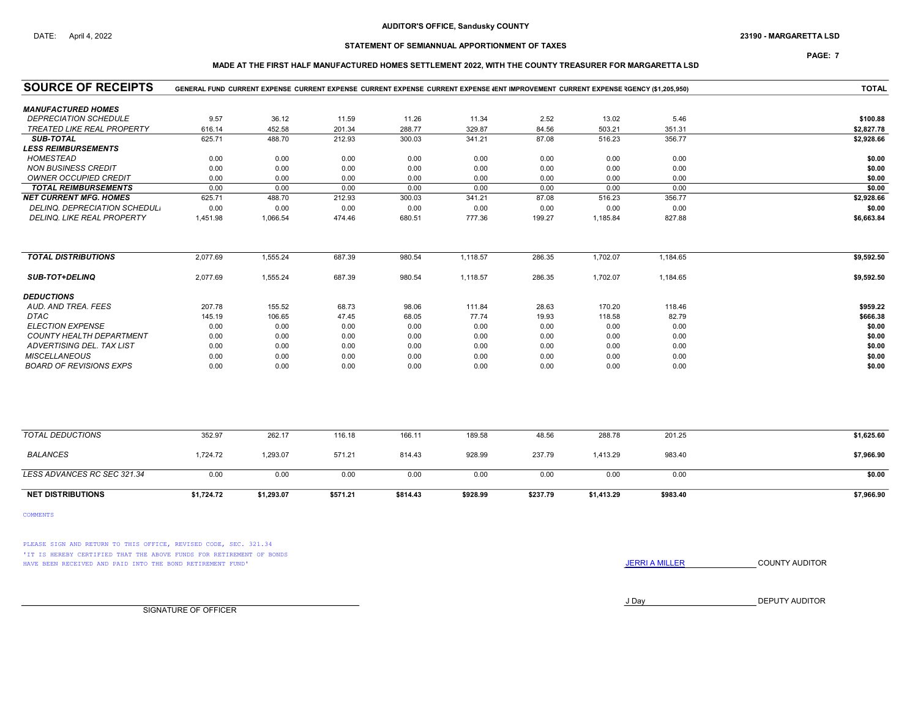## DATE: April 4, 2022 23190 - MARGARETTA LSD

# STATEMENT OF SEMIANNUAL APPORTIONMENT OF TAXES

## PAGE: 7

### MADE AT THE FIRST HALF MANUFACTURED HOMES SETTLEMENT 2022, WITH THE COUNTY TREASURER FOR MARGARETTA LSD

| <b>SOURCE OF RECEIPTS</b>         |            | GENERAL FUND CURRENT EXPENSE CURRENT EXPENSE CURRENT EXPENSE CURRENT EXPENSE (ENT IMPROVEMENT CURRENT EXPENSE RGENCY (\$1.205.950) |          |          |          |          |            |          | <b>TOTAL</b> |
|-----------------------------------|------------|------------------------------------------------------------------------------------------------------------------------------------|----------|----------|----------|----------|------------|----------|--------------|
| <b>MANUFACTURED HOMES</b>         |            |                                                                                                                                    |          |          |          |          |            |          |              |
| <b>DEPRECIATION SCHEDULE</b>      | 9.57       | 36.12                                                                                                                              | 11.59    | 11.26    | 11.34    | 2.52     | 13.02      | 5.46     | \$100.88     |
| <b>TREATED LIKE REAL PROPERTY</b> | 616.14     | 452.58                                                                                                                             | 201.34   | 288.77   | 329.87   | 84.56    | 503.21     | 351.31   | \$2,827.78   |
| <b>SUB-TOTAL</b>                  | 625.71     | 488.70                                                                                                                             | 212.93   | 300.03   | 341.21   | 87.08    | 516.23     | 356.77   | \$2,928.66   |
| <b>LESS REIMBURSEMENTS</b>        |            |                                                                                                                                    |          |          |          |          |            |          |              |
| <b>HOMESTEAD</b>                  | 0.00       | 0.00                                                                                                                               | 0.00     | 0.00     | 0.00     | 0.00     | 0.00       | 0.00     | \$0.00       |
| <b>NON BUSINESS CREDIT</b>        | 0.00       | 0.00                                                                                                                               | 0.00     | 0.00     | 0.00     | 0.00     | 0.00       | 0.00     | \$0.00       |
| <b>OWNER OCCUPIED CREDIT</b>      | 0.00       | 0.00                                                                                                                               | 0.00     | 0.00     | 0.00     | 0.00     | 0.00       | 0.00     | \$0.00       |
| <b>TOTAL REIMBURSEMENTS</b>       | 0.00       | 0.00                                                                                                                               | 0.00     | 0.00     | 0.00     | 0.00     | 0.00       | 0.00     | \$0.00       |
| <b>NET CURRENT MFG. HOMES</b>     | 625.71     | 488.70                                                                                                                             | 212.93   | 300.03   | 341.21   | 87.08    | 516.23     | 356.77   | \$2,928.66   |
| DELINQ, DEPRECIATION SCHEDUL.     | 0.00       | 0.00                                                                                                                               | 0.00     | 0.00     | 0.00     | 0.00     | 0.00       | 0.00     | \$0.00       |
| DELINQ. LIKE REAL PROPERTY        | 1,451.98   | 1,066.54                                                                                                                           | 474.46   | 680.51   | 777.36   | 199.27   | 1,185.84   | 827.88   | \$6,663.84   |
| <b>TOTAL DISTRIBUTIONS</b>        | 2,077.69   | 1,555.24                                                                                                                           | 687.39   | 980.54   | 1,118.57 | 286.35   | 1,702.07   | 1,184.65 | \$9,592.50   |
|                                   |            |                                                                                                                                    |          |          |          |          |            |          |              |
| <b>SUB-TOT+DELINQ</b>             | 2,077.69   | 1,555.24                                                                                                                           | 687.39   | 980.54   | 1,118.57 | 286.35   | 1,702.07   | 1,184.65 | \$9,592.50   |
| <b>DEDUCTIONS</b>                 |            |                                                                                                                                    |          |          |          |          |            |          |              |
| AUD. AND TREA. FEES               | 207.78     | 155.52                                                                                                                             | 68.73    | 98.06    | 111.84   | 28.63    | 170.20     | 118.46   | \$959.22     |
| <b>DTAC</b>                       | 145.19     | 106.65                                                                                                                             | 47.45    | 68.05    | 77.74    | 19.93    | 118.58     | 82.79    | \$666.38     |
| <b>ELECTION EXPENSE</b>           | 0.00       | 0.00                                                                                                                               | 0.00     | 0.00     | 0.00     | 0.00     | 0.00       | 0.00     | \$0.00       |
| COUNTY HEALTH DEPARTMENT          | 0.00       | 0.00                                                                                                                               | 0.00     | 0.00     | 0.00     | 0.00     | 0.00       | 0.00     | \$0.00       |
| ADVERTISING DEL. TAX LIST         | 0.00       | 0.00                                                                                                                               | 0.00     | 0.00     | 0.00     | 0.00     | 0.00       | 0.00     | \$0.00       |
| <b>MISCELLANEOUS</b>              | 0.00       | 0.00                                                                                                                               | 0.00     | 0.00     | 0.00     | 0.00     | 0.00       | 0.00     | \$0.00       |
| <b>BOARD OF REVISIONS EXPS</b>    | 0.00       | 0.00                                                                                                                               | 0.00     | 0.00     | 0.00     | 0.00     | 0.00       | 0.00     | \$0.00       |
|                                   |            |                                                                                                                                    |          |          |          |          |            |          |              |
| <b>TOTAL DEDUCTIONS</b>           | 352.97     | 262.17                                                                                                                             | 116.18   | 166.11   | 189.58   | 48.56    | 288.78     | 201.25   | \$1,625.60   |
| <b>BALANCES</b>                   | 1,724.72   | 1,293.07                                                                                                                           | 571.21   | 814.43   | 928.99   | 237.79   | 1,413.29   | 983.40   | \$7,966.90   |
| LESS ADVANCES RC SEC 321.34       | 0.00       | 0.00                                                                                                                               | 0.00     | 0.00     | 0.00     | 0.00     | 0.00       | 0.00     | \$0.00       |
| <b>NET DISTRIBUTIONS</b>          | \$1,724.72 | \$1,293.07                                                                                                                         | \$571.21 | \$814.43 | \$928.99 | \$237.79 | \$1,413.29 | \$983.40 | \$7,966.90   |

COMMENTS

PLEASE SIGN AND RETURN TO THIS OFFICE, REVISED CODE, SEC. 321.34 'IT IS HEREBY CERTIFIED THAT THE ABOVE FUNDS FOR RETIREMENT OF BONDS HAVE BEEN RECEIVED AND PAID INTO THE BOND RETIREMENT FUND' **SECULTS** THE COUNTY AUDITOR

J Day DEPUTY AUDITOR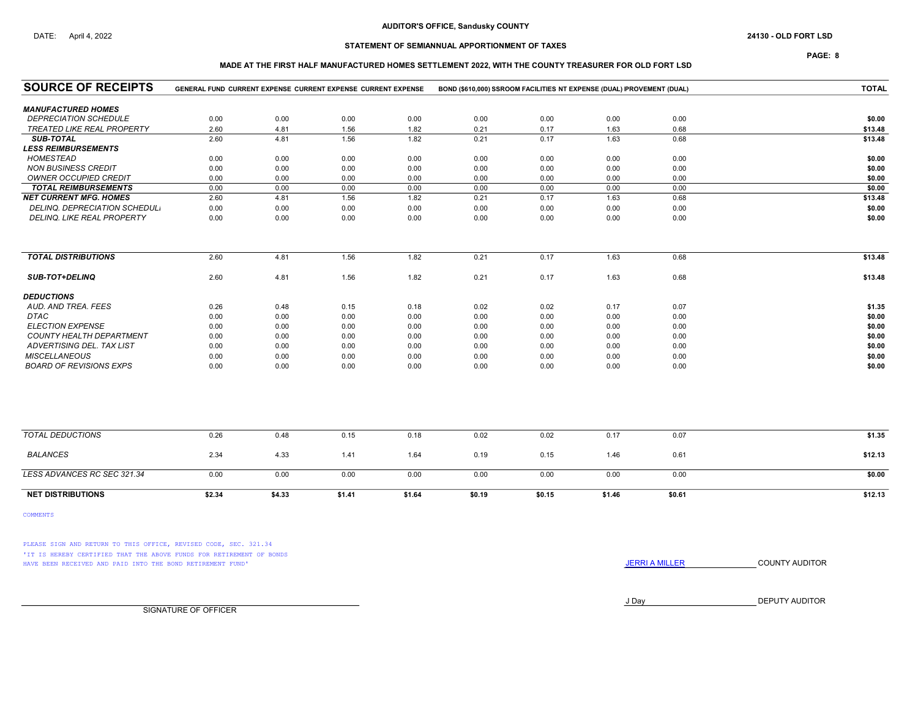## STATEMENT OF SEMIANNUAL APPORTIONMENT OF TAXES

PAGE: 8

## MADE AT THE FIRST HALF MANUFACTURED HOMES SETTLEMENT 2022, WITH THE COUNTY TREASURER FOR OLD FORT LSD

| <b>SOURCE OF RECEIPTS</b>            | GENERAL FUND CURRENT EXPENSE CURRENT EXPENSE CURRENT EXPENSE |        |        |        | BOND (\$610,000) SSROOM FACILITIES NT EXPENSE (DUAL) IPROVEMENT (DUAL) |        |        | <b>TOTAL</b> |         |
|--------------------------------------|--------------------------------------------------------------|--------|--------|--------|------------------------------------------------------------------------|--------|--------|--------------|---------|
| <b>MANUFACTURED HOMES</b>            |                                                              |        |        |        |                                                                        |        |        |              |         |
| <b>DEPRECIATION SCHEDULE</b>         | 0.00                                                         | 0.00   | 0.00   | 0.00   | 0.00                                                                   | 0.00   | 0.00   | 0.00         | \$0.00  |
| <b>TREATED LIKE REAL PROPERTY</b>    | 2.60                                                         | 4.81   | 1.56   | 1.82   | 0.21                                                                   | 0.17   | 1.63   | 0.68         | \$13.48 |
| <b>SUB-TOTAL</b>                     | 2.60                                                         | 4.81   | 1.56   | 1.82   | 0.21                                                                   | 0.17   | 1.63   | 0.68         | \$13.48 |
| <b>LESS REIMBURSEMENTS</b>           |                                                              |        |        |        |                                                                        |        |        |              |         |
| <b>HOMESTEAD</b>                     | 0.00                                                         | 0.00   | 0.00   | 0.00   | 0.00                                                                   | 0.00   | 0.00   | 0.00         | \$0.00  |
| <b>NON BUSINESS CREDIT</b>           | 0.00                                                         | 0.00   | 0.00   | 0.00   | 0.00                                                                   | 0.00   | 0.00   | 0.00         | \$0.00  |
| OWNER OCCUPIED CREDIT                | 0.00                                                         | 0.00   | 0.00   | 0.00   | 0.00                                                                   | 0.00   | 0.00   | 0.00         | \$0.00  |
| <b>TOTAL REIMBURSEMENTS</b>          | 0.00                                                         | 0.00   | 0.00   | 0.00   | 0.00                                                                   | 0.00   | 0.00   | 0.00         | \$0.00  |
| <b>NET CURRENT MFG. HOMES</b>        | 2.60                                                         | 4.81   | 1.56   | 1.82   | 0.21                                                                   | 0.17   | 1.63   | 0.68         | \$13.48 |
| <b>DELINQ. DEPRECIATION SCHEDUL.</b> | 0.00                                                         | 0.00   | 0.00   | 0.00   | 0.00                                                                   | 0.00   | 0.00   | 0.00         | \$0.00  |
| DELINQ. LIKE REAL PROPERTY           | 0.00                                                         | 0.00   | 0.00   | 0.00   | 0.00                                                                   | 0.00   | 0.00   | 0.00         | \$0.00  |
|                                      |                                                              |        |        |        |                                                                        |        |        |              |         |
| <b>TOTAL DISTRIBUTIONS</b>           | 2.60                                                         | 4.81   | 1.56   | 1.82   | 0.21                                                                   | 0.17   | 1.63   | 0.68         | \$13.48 |
| SUB-TOT+DELINQ                       | 2.60                                                         | 4.81   | 1.56   | 1.82   | 0.21                                                                   | 0.17   | 1.63   | 0.68         | \$13.48 |
| <b>DEDUCTIONS</b>                    |                                                              |        |        |        |                                                                        |        |        |              |         |
| AUD, AND TREA, FEES                  | 0.26                                                         | 0.48   | 0.15   | 0.18   | 0.02                                                                   | 0.02   | 0.17   | 0.07         | \$1.35  |
| <b>DTAC</b>                          | 0.00                                                         | 0.00   | 0.00   | 0.00   | 0.00                                                                   | 0.00   | 0.00   | 0.00         | \$0.00  |
| <b>ELECTION EXPENSE</b>              | 0.00                                                         | 0.00   | 0.00   | 0.00   | 0.00                                                                   | 0.00   | 0.00   | 0.00         | \$0.00  |
| <b>COUNTY HEALTH DEPARTMENT</b>      | 0.00                                                         | 0.00   | 0.00   | 0.00   | 0.00                                                                   | 0.00   | 0.00   | 0.00         | \$0.00  |
| ADVERTISING DEL. TAX LIST            | 0.00                                                         | 0.00   | 0.00   | 0.00   | 0.00                                                                   | 0.00   | 0.00   | 0.00         | \$0.00  |
| <b>MISCELLANEOUS</b>                 | 0.00                                                         | 0.00   | 0.00   | 0.00   | 0.00                                                                   | 0.00   | 0.00   | 0.00         | \$0.00  |
| <b>BOARD OF REVISIONS EXPS</b>       | 0.00                                                         | 0.00   | 0.00   | 0.00   | 0.00                                                                   | 0.00   | 0.00   | 0.00         | \$0.00  |
|                                      |                                                              |        |        |        |                                                                        |        |        |              |         |
| <b>TOTAL DEDUCTIONS</b>              | 0.26                                                         | 0.48   | 0.15   | 0.18   | 0.02                                                                   | 0.02   | 0.17   | 0.07         | \$1.35  |
| <b>BALANCES</b>                      | 2.34                                                         | 4.33   | 1.41   | 1.64   | 0.19                                                                   | 0.15   | 1.46   | 0.61         | \$12.13 |
| LESS ADVANCES RC SEC 321.34          | 0.00                                                         | 0.00   | 0.00   | 0.00   | 0.00                                                                   | 0.00   | 0.00   | 0.00         | \$0.00  |
| <b>NET DISTRIBUTIONS</b>             | \$2.34                                                       | \$4.33 | \$1.41 | \$1.64 | \$0.19                                                                 | \$0.15 | \$1.46 | \$0.61       | \$12.13 |

COMMENTS

PLEASE SIGN AND RETURN TO THIS OFFICE, REVISED CODE, SEC. 321.34 'IT IS HEREBY CERTIFIED THAT THE ABOVE FUNDS FOR RETIREMENT OF BONDS HAVE BEEN RECEIVED AND PAID INTO THE BOND RETIREMENT FUND' **SECULTS** THE COUNTY AUDITOR

J Day DEPUTY AUDITOR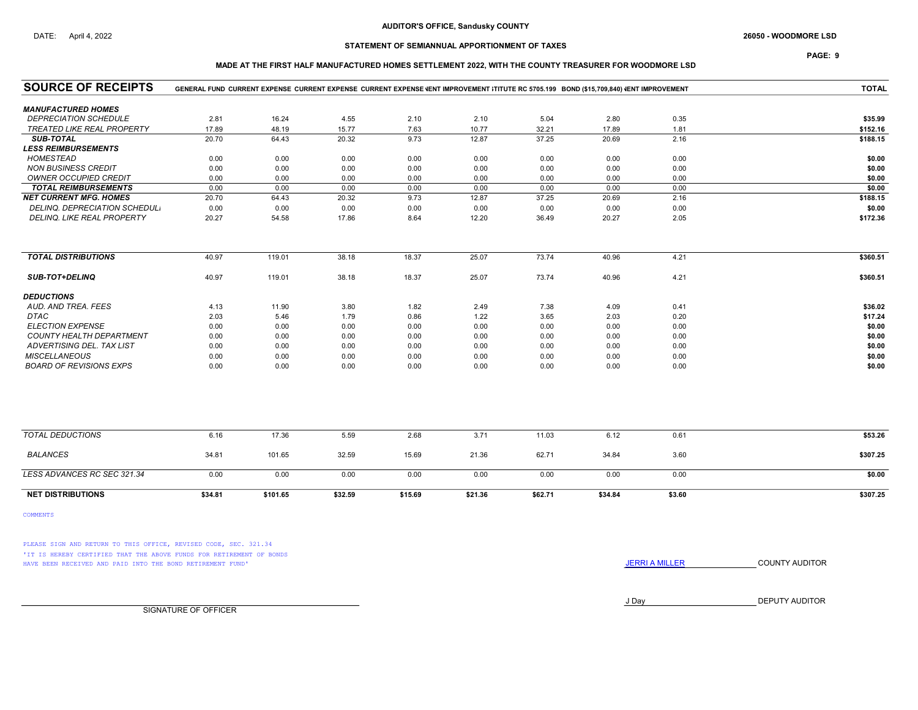# DATE: April 4, 2022 2000 - WOODMORE LSD

# STATEMENT OF SEMIANNUAL APPORTIONMENT OF TAXES

## PAGE: 9

### MADE AT THE FIRST HALF MANUFACTURED HOMES SETTLEMENT 2022, WITH THE COUNTY TREASURER FOR WOODMORE LSD

| <b>SOURCE OF RECEIPTS</b>         |         | GENERAL FUND CURRENT EXPENSE CURRENT EXPENSE CURRENT EXPENSE VENT IMPROVEMENT ITITUTE RC 5705.199 BOND (\$15,709,840) VENT IMPROVEMENT |         |         |         |         |         |        | <b>TOTAL</b> |
|-----------------------------------|---------|----------------------------------------------------------------------------------------------------------------------------------------|---------|---------|---------|---------|---------|--------|--------------|
| <b>MANUFACTURED HOMES</b>         |         |                                                                                                                                        |         |         |         |         |         |        |              |
| <b>DEPRECIATION SCHEDULE</b>      | 2.81    | 16.24                                                                                                                                  | 4.55    | 2.10    | 2.10    | 5.04    | 2.80    | 0.35   | \$35.99      |
| <b>TREATED LIKE REAL PROPERTY</b> | 17.89   | 48.19                                                                                                                                  | 15.77   | 7.63    | 10.77   | 32.21   | 17.89   | 1.81   | \$152.16     |
| <b>SUB-TOTAL</b>                  | 20.70   | 64.43                                                                                                                                  | 20.32   | 9.73    | 12.87   | 37.25   | 20.69   | 2.16   | \$188.15     |
| <b>LESS REIMBURSEMENTS</b>        |         |                                                                                                                                        |         |         |         |         |         |        |              |
| <b>HOMESTEAD</b>                  | 0.00    | 0.00                                                                                                                                   | 0.00    | 0.00    | 0.00    | 0.00    | 0.00    | 0.00   | \$0.00       |
| <b>NON BUSINESS CREDIT</b>        | 0.00    | 0.00                                                                                                                                   | 0.00    | 0.00    | 0.00    | 0.00    | 0.00    | 0.00   | \$0.00       |
| <b>OWNER OCCUPIED CREDIT</b>      | 0.00    | 0.00                                                                                                                                   | 0.00    | 0.00    | 0.00    | 0.00    | 0.00    | 0.00   | \$0.00       |
| <b>TOTAL REIMBURSEMENTS</b>       | 0.00    | 0.00                                                                                                                                   | 0.00    | 0.00    | 0.00    | 0.00    | 0.00    | 0.00   | \$0.00       |
| <b>NET CURRENT MFG. HOMES</b>     | 20.70   | 64.43                                                                                                                                  | 20.32   | 9.73    | 12.87   | 37.25   | 20.69   | 2.16   | \$188.15     |
| DELINQ. DEPRECIATION SCHEDUL.     | 0.00    | 0.00                                                                                                                                   | 0.00    | 0.00    | 0.00    | 0.00    | 0.00    | 0.00   | \$0.00       |
| DELINQ. LIKE REAL PROPERTY        | 20.27   | 54.58                                                                                                                                  | 17.86   | 8.64    | 12.20   | 36.49   | 20.27   | 2.05   | \$172.36     |
|                                   |         |                                                                                                                                        |         |         |         |         |         |        |              |
| <b>TOTAL DISTRIBUTIONS</b>        | 40.97   | 119.01                                                                                                                                 | 38.18   | 18.37   | 25.07   | 73.74   | 40.96   | 4.21   | \$360.51     |
| <b>SUB-TOT+DELINQ</b>             | 40.97   | 119.01                                                                                                                                 | 38.18   | 18.37   | 25.07   | 73.74   | 40.96   | 4.21   | \$360.51     |
| <b>DEDUCTIONS</b>                 |         |                                                                                                                                        |         |         |         |         |         |        |              |
| AUD. AND TREA. FEES               | 4.13    | 11.90                                                                                                                                  | 3.80    | 1.82    | 2.49    | 7.38    | 4.09    | 0.41   | \$36.02      |
| <b>DTAC</b>                       | 2.03    | 5.46                                                                                                                                   | 1.79    | 0.86    | 1.22    | 3.65    | 2.03    | 0.20   | \$17.24      |
| <b>ELECTION EXPENSE</b>           | 0.00    | 0.00                                                                                                                                   | 0.00    | 0.00    | 0.00    | 0.00    | 0.00    | 0.00   | \$0.00       |
| COUNTY HEALTH DEPARTMENT          | 0.00    | 0.00                                                                                                                                   | 0.00    | 0.00    | 0.00    | 0.00    | 0.00    | 0.00   | \$0.00       |
| ADVERTISING DEL. TAX LIST         | 0.00    | 0.00                                                                                                                                   | 0.00    | 0.00    | 0.00    | 0.00    | 0.00    | 0.00   | \$0.00       |
| <b>MISCELLANEOUS</b>              | 0.00    | 0.00                                                                                                                                   | 0.00    | 0.00    | 0.00    | 0.00    | 0.00    | 0.00   | \$0.00       |
| <b>BOARD OF REVISIONS EXPS</b>    | 0.00    | 0.00                                                                                                                                   | 0.00    | 0.00    | 0.00    | 0.00    | 0.00    | 0.00   | \$0.00       |
|                                   |         |                                                                                                                                        |         |         |         |         |         |        |              |
| <b>TOTAL DEDUCTIONS</b>           | 6.16    | 17.36                                                                                                                                  | 5.59    | 2.68    | 3.71    | 11.03   | 6.12    | 0.61   | \$53.26      |
| <b>BALANCES</b>                   | 34.81   | 101.65                                                                                                                                 | 32.59   | 15.69   | 21.36   | 62.71   | 34.84   | 3.60   | \$307.25     |
| LESS ADVANCES RC SEC 321.34       | 0.00    | 0.00                                                                                                                                   | 0.00    | 0.00    | 0.00    | 0.00    | 0.00    | 0.00   | \$0.00       |
| <b>NET DISTRIBUTIONS</b>          | \$34.81 | \$101.65                                                                                                                               | \$32.59 | \$15.69 | \$21.36 | \$62.71 | \$34.84 | \$3.60 | \$307.25     |

COMMENTS

PLEASE SIGN AND RETURN TO THIS OFFICE, REVISED CODE, SEC. 321.34 'IT IS HEREBY CERTIFIED THAT THE ABOVE FUNDS FOR RETIREMENT OF BONDS HAVE BEEN RECEIVED AND PAID INTO THE BOND RETIREMENT FUND' **SECULTS** THE COUNTY AUDITOR

J Day DEPUTY AUDITOR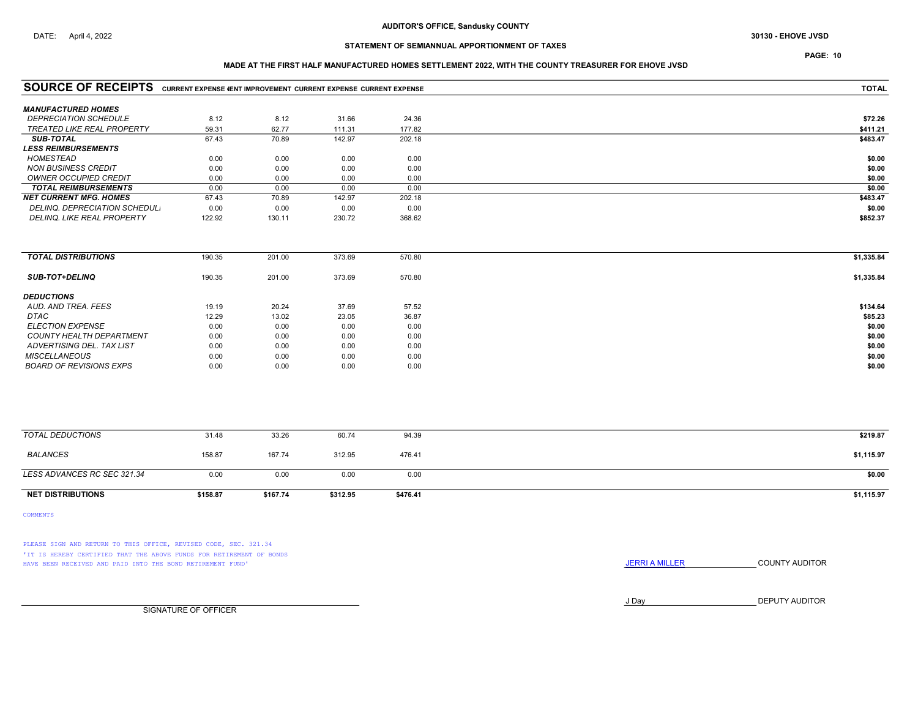# PAGE: 10

### MADE AT THE FIRST HALF MANUFACTURED HOMES SETTLEMENT 2022, WITH THE COUNTY TREASURER FOR EHOVE JVSD

| <b>SOURCE OF RECEIPTS</b> CURRENT EXPENSE VENT IMPROVEMENT CURRENT EXPENSE CURRENT EXPENSE |          |          |          | <b>TOTAL</b> |            |
|--------------------------------------------------------------------------------------------|----------|----------|----------|--------------|------------|
| <b>MANUFACTURED HOMES</b>                                                                  |          |          |          |              |            |
| <b>DEPRECIATION SCHEDULE</b>                                                               | 8.12     | 8.12     | 31.66    | 24.36        | \$72.26    |
| <b>TREATED LIKE REAL PROPERTY</b>                                                          | 59.31    | 62.77    | 111.31   | 177.82       | \$411.21   |
| <b>SUB-TOTAL</b>                                                                           | 67.43    | 70.89    | 142.97   | 202.18       | \$483.47   |
| <b>LESS REIMBURSEMENTS</b>                                                                 |          |          |          |              |            |
| <b>HOMESTEAD</b>                                                                           | 0.00     | 0.00     | 0.00     | 0.00         | \$0.00     |
| <b>NON BUSINESS CREDIT</b>                                                                 | 0.00     | 0.00     | 0.00     | 0.00         | \$0.00     |
| <b>OWNER OCCUPIED CREDIT</b>                                                               | 0.00     | 0.00     | 0.00     | 0.00         | \$0.00     |
| <b>TOTAL REIMBURSEMENTS</b>                                                                | 0.00     | 0.00     | 0.00     | 0.00         | \$0.00     |
| <b>NET CURRENT MFG. HOMES</b>                                                              | 67.43    | 70.89    | 142.97   | 202.18       | \$483.47   |
| DELINQ. DEPRECIATION SCHEDUL.                                                              | 0.00     | 0.00     | 0.00     | 0.00         | \$0.00     |
| DELINQ. LIKE REAL PROPERTY                                                                 | 122.92   | 130.11   | 230.72   | 368.62       | \$852.37   |
|                                                                                            |          |          |          |              |            |
| <b>TOTAL DISTRIBUTIONS</b>                                                                 | 190.35   | 201.00   | 373.69   | 570.80       | \$1,335.84 |
| <b>SUB-TOT+DELINQ</b>                                                                      | 190.35   | 201.00   | 373.69   | 570.80       | \$1,335.84 |
| <b>DEDUCTIONS</b>                                                                          |          |          |          |              |            |
| AUD. AND TREA. FEES                                                                        | 19.19    | 20.24    | 37.69    | 57.52        | \$134.64   |
| <b>DTAC</b>                                                                                | 12.29    | 13.02    | 23.05    | 36.87        | \$85.23    |
| <b>ELECTION EXPENSE</b>                                                                    | 0.00     | 0.00     | 0.00     | 0.00         | \$0.00     |
| <b>COUNTY HEALTH DEPARTMENT</b>                                                            | 0.00     | 0.00     | 0.00     | 0.00         | \$0.00     |
| ADVERTISING DEL. TAX LIST                                                                  | 0.00     | 0.00     | 0.00     | 0.00         | \$0.00     |
| <b>MISCELLANEOUS</b>                                                                       | 0.00     | 0.00     | 0.00     | 0.00         | \$0.00     |
| <b>BOARD OF REVISIONS EXPS</b>                                                             | 0.00     | 0.00     | 0.00     | 0.00         | \$0.00     |
|                                                                                            |          |          |          |              |            |
| <b>TOTAL DEDUCTIONS</b>                                                                    | 31.48    | 33.26    | 60.74    | 94.39        | \$219.87   |
| <b>BALANCES</b>                                                                            | 158.87   | 167.74   | 312.95   | 476.41       | \$1,115.97 |
| LESS ADVANCES RC SEC 321.34                                                                | 0.00     | 0.00     | 0.00     | 0.00         | \$0.00     |
| <b>NET DISTRIBUTIONS</b>                                                                   | \$158.87 | \$167.74 | \$312.95 | \$476.41     | \$1,115.97 |

COMMENTS

PLEASE SIGN AND RETURN TO THIS OFFICE, REVISED CODE, SEC. 321.34 'IT IS HEREBY CERTIFIED THAT THE ABOVE FUNDS FOR RETIREMENT OF BONDS HAVE BEEN RECEIVED AND PAID INTO THE BOND RETIREMENT FUND' **JERRIA MILLER COUNTY AUDITOR** 

J Day DEPUTY AUDITOR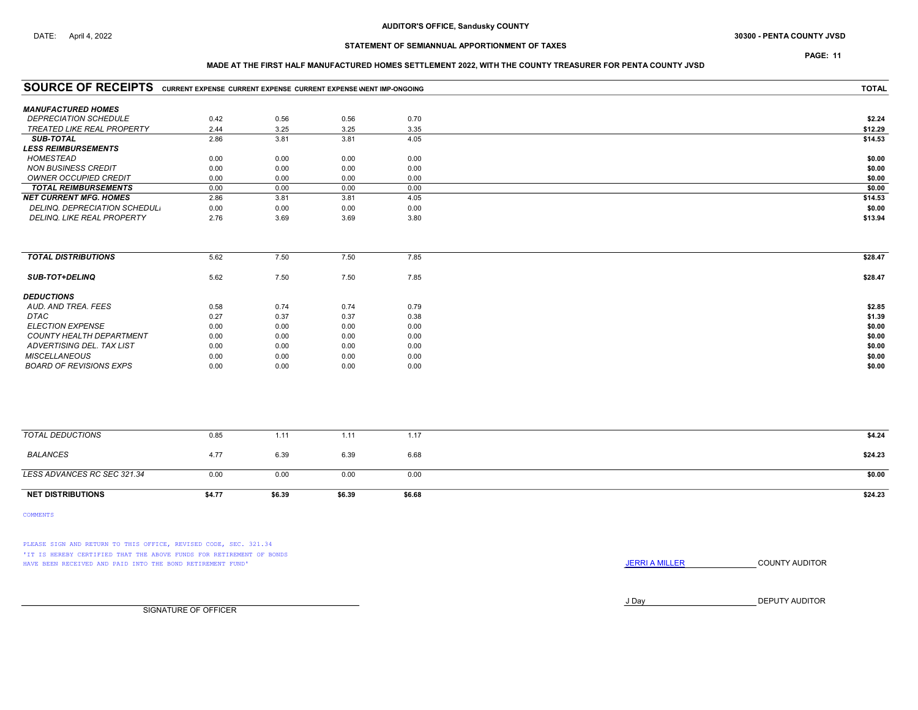# DATE: April 4, 2022 **Subset of the COUNTY JVSD 30300 - PENTA COUNTY JVSD 30300 - PENTA COUNTY JVSD**

# STATEMENT OF SEMIANNUAL APPORTIONMENT OF TAXES

# PAGE: 11

### MADE AT THE FIRST HALF MANUFACTURED HOMES SETTLEMENT 2022, WITH THE COUNTY TREASURER FOR PENTA COUNTY JVSD

| <b>COMMENTS</b>                                                                     |        |        |        |              |         |
|-------------------------------------------------------------------------------------|--------|--------|--------|--------------|---------|
| <b>NET DISTRIBUTIONS</b>                                                            | \$4.77 | \$6.39 | \$6.39 | \$6.68       | \$24.23 |
| LESS ADVANCES RC SEC 321.34                                                         | 0.00   | 0.00   | 0.00   | 0.00         | \$0.00  |
| <b>BALANCES</b>                                                                     | 4.77   | 6.39   | 6.39   | 6.68         | \$24.23 |
| <b>TOTAL DEDUCTIONS</b>                                                             | 0.85   | 1.11   | 1.11   | 1.17         | \$4.24  |
|                                                                                     |        |        |        |              |         |
| <b>BOARD OF REVISIONS EXPS</b>                                                      | 0.00   | 0.00   | 0.00   | 0.00         | \$0.00  |
| <b>MISCELLANEOUS</b>                                                                | 0.00   | 0.00   | 0.00   | 0.00         | \$0.00  |
| ADVERTISING DEL. TAX LIST                                                           | 0.00   | 0.00   | 0.00   | 0.00         | \$0.00  |
| COUNTY HEALTH DEPARTMENT                                                            | 0.00   | 0.00   | 0.00   | 0.00         | \$0.00  |
| <b>ELECTION EXPENSE</b>                                                             | 0.00   | 0.00   | 0.00   | 0.00         | \$0.00  |
| DTAC                                                                                | 0.27   | 0.37   | 0.37   | 0.38         | \$1.39  |
| <b>DEDUCTIONS</b><br>AUD. AND TREA. FEES                                            | 0.58   | 0.74   | 0.74   | 0.79         | \$2.85  |
| <b>SUB-TOT+DELINQ</b>                                                               | 5.62   | 7.50   | 7.50   | 7.85         | \$28.47 |
| <b>TOTAL DISTRIBUTIONS</b>                                                          | 5.62   | 7.50   | 7.50   | 7.85         | \$28.47 |
| DELINQ. LIKE REAL PROPERTY                                                          | 2.76   | 3.69   | 3.69   | 3.80         | \$13.94 |
| DELINQ. DEPRECIATION SCHEDUL.                                                       | 0.00   | 0.00   | 0.00   | 0.00         | \$0.00  |
| <b>NET CURRENT MFG. HOMES</b>                                                       | 2.86   | 3.81   | 3.81   | 4.05         | \$14.53 |
| <b>TOTAL REIMBURSEMENTS</b>                                                         | 0.00   | 0.00   | 0.00   | 0.00         | \$0.00  |
| <b>OWNER OCCUPIED CREDIT</b>                                                        | 0.00   | 0.00   | 0.00   | 0.00         | \$0.00  |
| <b>NON BUSINESS CREDIT</b>                                                          | 0.00   | 0.00   | 0.00   | 0.00         | \$0.00  |
| <b>HOMESTEAD</b>                                                                    | 0.00   | 0.00   | 0.00   | 0.00         | \$0.00  |
| <b>SUB-TOTAL</b><br><b>LESS REIMBURSEMENTS</b>                                      | 2.86   | 3.81   | 3.81   | 4.05         | \$14.53 |
| TREATED LIKE REAL PROPERTY                                                          | 2.44   | 3.25   | 3.25   | 3.35         | \$12.29 |
| <b>DEPRECIATION SCHEDULE</b>                                                        | 0.42   | 0.56   | 0.56   | 0.70         | \$2.24  |
| <b>MANUFACTURED HOMES</b>                                                           |        |        |        |              |         |
| SOURCE OF RECEIPTS CURRENT EXPENSE CURRENT EXPENSE CURRENT EXPENSE WENT IMP-ONGOING |        |        |        | <b>TOTAL</b> |         |
|                                                                                     |        |        |        |              |         |

PLEASE SIGN AND RETURN TO THIS OFFICE, REVISED CODE, SEC. 321.34 'IT IS HEREBY CERTIFIED THAT THE ABOVE FUNDS FOR RETIREMENT OF BONDS HAVE BEEN RECEIVED AND PAID INTO THE BOND RETIREMENT FUND' **SECULTS** THE COUNTY AUDITOR

J Day DEPUTY AUDITOR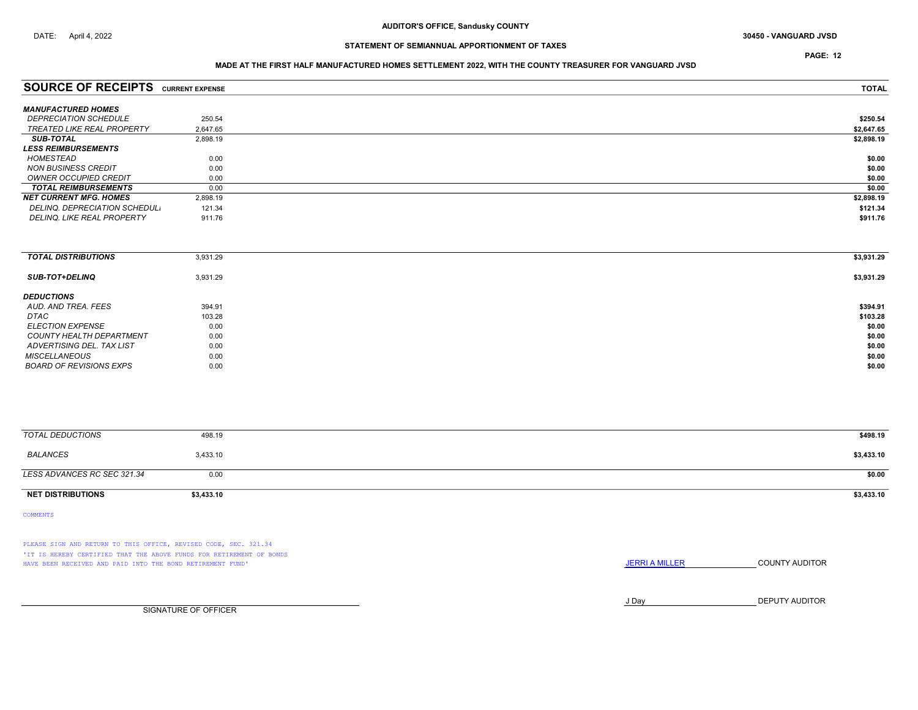PAGE: 12

## MADE AT THE FIRST HALF MANUFACTURED HOMES SETTLEMENT 2022, WITH THE COUNTY TREASURER FOR VANGUARD JVSD

| <b>SOURCE OF RECEIPTS</b>         | <b>CURRENT EXPENSE</b> | <b>TOTAL</b> |
|-----------------------------------|------------------------|--------------|
| <b>MANUFACTURED HOMES</b>         |                        |              |
| <b>DEPRECIATION SCHEDULE</b>      | 250.54                 | \$250.54     |
| <b>TREATED LIKE REAL PROPERTY</b> | 2.647.65               | \$2,647.65   |
| <b>SUB-TOTAL</b>                  | 2,898.19               | \$2,898.19   |
| <i><b>LESS REIMBURSEMENTS</b></i> |                        |              |
| HOMESTEAD                         | 0.00                   | \$0.00       |
| <b>NON BUSINESS CREDIT</b>        | 0.00                   | \$0.00       |
| OWNER OCCUPIED CREDIT             | 0.00                   | \$0.00       |
| <b>TOTAL REIMBURSEMENTS</b>       | 0.00                   | \$0.00       |
| <b>NET CURRENT MFG. HOMES</b>     | 2.898.19               | \$2,898.19   |
| DELINQ. DEPRECIATION SCHEDUL.     | 121.34                 | \$121.34     |
| DELINQ, LIKE REAL PROPERTY        | 911.76                 | \$911.76     |

| <b>TOTAL DISTRIBUTIONS</b>     | 3,931.29 | \$3,931.29 |
|--------------------------------|----------|------------|
| <b>SUB-TOT+DELINQ</b>          | 3,931.29 | \$3,931.29 |
| <b>DEDUCTIONS</b>              |          |            |
| AUD, AND TREA, FEES            | 394.91   | \$394.91   |
| DTAC                           | 103.28   | \$103.28   |
| <b>ELECTION EXPENSE</b>        | 0.00     | \$0.00     |
| COUNTY HEALTH DEPARTMENT       | 0.00     | \$0.00     |
| ADVERTISING DEL. TAX LIST      | 0.00     | \$0.00     |
| <b>MISCELLANEOUS</b>           | 0.00     | \$0.00     |
| <b>BOARD OF REVISIONS EXPS</b> | 0.00     | \$0.00     |

| TOTAL DEDUCTIONS            | 498.19     | \$498.19   |
|-----------------------------|------------|------------|
| BALANCES                    | 3,433.10   | \$3,433.10 |
| LESS ADVANCES RC SEC 321.34 | 0.00       | \$0.00     |
| <b>NET DISTRIBUTIONS</b>    | \$3,433.10 | \$3,433.10 |

COMMENTS

PLEASE SIGN AND RETURN TO THIS OFFICE, REVISED CODE, SEC. 321.34 'IT IS HEREBY CERTIFIED THAT THE ABOVE FUNDS FOR RETIREMENT OF BONDS HAVE BEEN RECEIVED AND PAID INTO THE BOND RETIREMENT FUND' **JERRIA MILLER COUNTY AUDITOR** 

J Day DEPUTY AUDITOR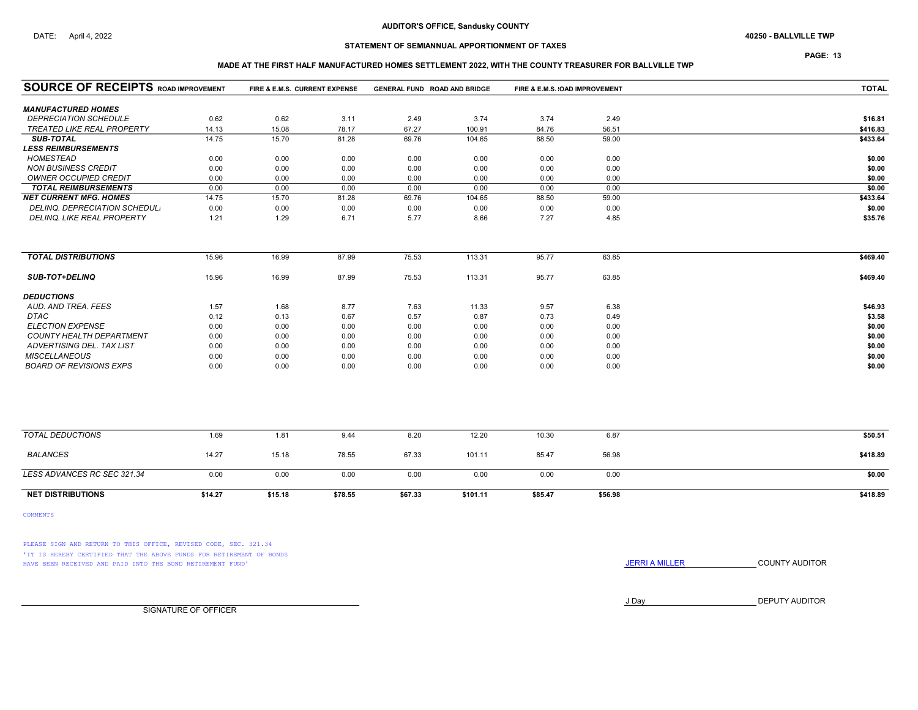# STATEMENT OF SEMIANNUAL APPORTIONMENT OF TAXES

PAGE: 13

### MADE AT THE FIRST HALF MANUFACTURED HOMES SETTLEMENT 2022, WITH THE COUNTY TREASURER FOR BALLVILLE TWP

| <b>SOURCE OF RECEIPTS ROAD IMPROVEMENT</b> |         | FIRE & E.M.S. CURRENT EXPENSE |         |         | GENERAL FUND ROAD AND BRIDGE |         | FIRE & E.M.S. (OAD IMPROVEMENT | <b>TOTAL</b> |
|--------------------------------------------|---------|-------------------------------|---------|---------|------------------------------|---------|--------------------------------|--------------|
| <b>MANUFACTURED HOMES</b>                  |         |                               |         |         |                              |         |                                |              |
| <b>DEPRECIATION SCHEDULE</b>               | 0.62    | 0.62                          | 3.11    | 2.49    | 3.74                         | 3.74    | 2.49                           | \$16.81      |
| <b>TREATED LIKE REAL PROPERTY</b>          | 14.13   | 15.08                         | 78.17   | 67.27   | 100.91                       | 84.76   | 56.51                          | \$416.83     |
| <b>SUB-TOTAL</b>                           | 14.75   | 15.70                         | 81.28   | 69.76   | 104.65                       | 88.50   | 59.00                          | \$433.64     |
| <b>LESS REIMBURSEMENTS</b>                 |         |                               |         |         |                              |         |                                |              |
| <b>HOMESTEAD</b>                           | 0.00    | 0.00                          | 0.00    | 0.00    | 0.00                         | 0.00    | 0.00                           | \$0.00       |
| <b>NON BUSINESS CREDIT</b>                 | 0.00    | 0.00                          | 0.00    | 0.00    | 0.00                         | 0.00    | 0.00                           | \$0.00       |
| <b>OWNER OCCUPIED CREDIT</b>               | 0.00    | 0.00                          | 0.00    | 0.00    | 0.00                         | 0.00    | 0.00                           | \$0.00       |
| <b>TOTAL REIMBURSEMENTS</b>                | 0.00    | 0.00                          | 0.00    | 0.00    | 0.00                         | 0.00    | 0.00                           | \$0.00       |
| <b>NET CURRENT MFG. HOMES</b>              | 14.75   | 15.70                         | 81.28   | 69.76   | 104.65                       | 88.50   | 59.00                          | \$433.64     |
| DELINQ. DEPRECIATION SCHEDUL.              | 0.00    | 0.00                          | 0.00    | 0.00    | 0.00                         | 0.00    | 0.00                           | \$0.00       |
| DELINQ. LIKE REAL PROPERTY                 | 1.21    | 1.29                          | 6.71    | 5.77    | 8.66                         | 7.27    | 4.85                           | \$35.76      |
| <b>TOTAL DISTRIBUTIONS</b>                 | 15.96   | 16.99                         | 87.99   | 75.53   | 113.31                       | 95.77   | 63.85                          | \$469.40     |
|                                            |         |                               |         |         |                              |         |                                |              |
| <b>SUB-TOT+DELINQ</b>                      | 15.96   | 16.99                         | 87.99   | 75.53   | 113.31                       | 95.77   | 63.85                          | \$469.40     |
| <b>DEDUCTIONS</b>                          |         |                               |         |         |                              |         |                                |              |
| AUD. AND TREA. FEES                        | 1.57    | 1.68                          | 8.77    | 7.63    | 11.33                        | 9.57    | 6.38                           | \$46.93      |
| <b>DTAC</b>                                | 0.12    | 0.13                          | 0.67    | 0.57    | 0.87                         | 0.73    | 0.49                           | \$3.58       |
| <b>ELECTION EXPENSE</b>                    | 0.00    | 0.00                          | 0.00    | 0.00    | 0.00                         | 0.00    | 0.00                           | \$0.00       |
| COUNTY HEALTH DEPARTMENT                   | 0.00    | 0.00                          | 0.00    | 0.00    | 0.00                         | 0.00    | 0.00                           | \$0.00       |
| ADVERTISING DEL. TAX LIST                  | 0.00    | 0.00                          | 0.00    | 0.00    | 0.00                         | 0.00    | 0.00                           | \$0.00       |
| <b>MISCELLANEOUS</b>                       | 0.00    | 0.00                          | 0.00    | 0.00    | 0.00                         | 0.00    | 0.00                           | \$0.00       |
| <b>BOARD OF REVISIONS EXPS</b>             | 0.00    | 0.00                          | 0.00    | 0.00    | 0.00                         | 0.00    | 0.00                           | \$0.00       |
|                                            |         |                               |         |         |                              |         |                                |              |
| <b>TOTAL DEDUCTIONS</b>                    | 1.69    | 1.81                          | 9.44    | 8.20    | 12.20                        | 10.30   | 6.87                           | \$50.51      |
| <b>BALANCES</b>                            | 14.27   | 15.18                         | 78.55   | 67.33   | 101.11                       | 85.47   | 56.98                          | \$418.89     |
| LESS ADVANCES RC SEC 321.34                | 0.00    | 0.00                          | 0.00    | 0.00    | 0.00                         | 0.00    | 0.00                           | \$0.00       |
| <b>NET DISTRIBUTIONS</b>                   | \$14.27 | \$15.18                       | \$78.55 | \$67.33 | \$101.11                     | \$85.47 | \$56.98                        | \$418.89     |

COMMENTS

PLEASE SIGN AND RETURN TO THIS OFFICE, REVISED CODE, SEC. 321.34 'IT IS HEREBY CERTIFIED THAT THE ABOVE FUNDS FOR RETIREMENT OF BONDS HAVE BEEN RECEIVED AND PAID INTO THE BOND RETIREMENT FUND' **SECULTS** THE COUNTY AUDITOR

J Day DEPUTY AUDITOR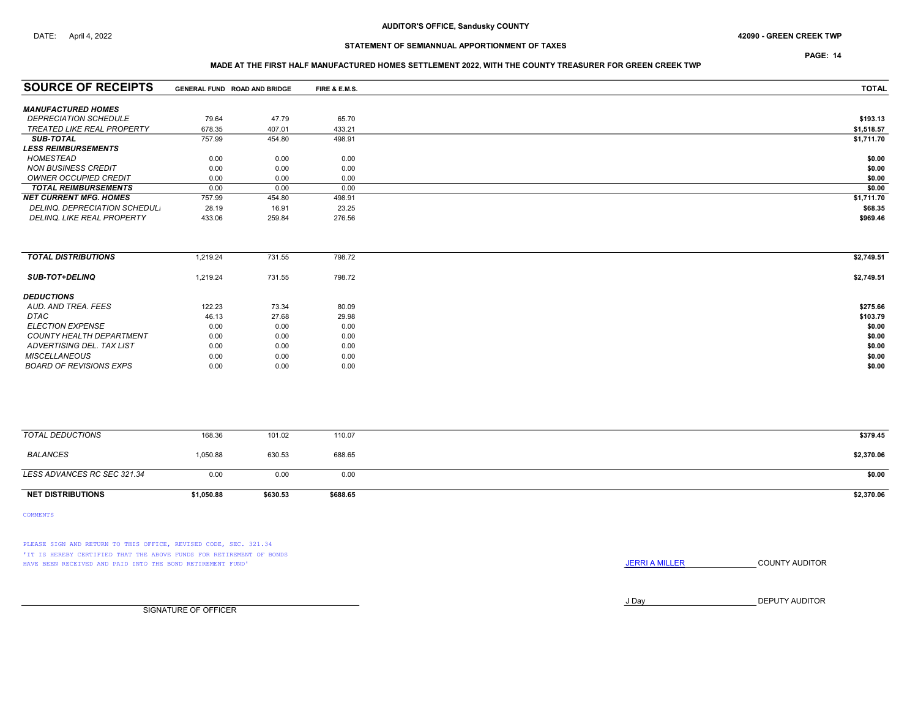### DATE: April 4, 2022 42090 - GREEN CREEK TWP

# STATEMENT OF SEMIANNUAL APPORTIONMENT OF TAXES

PAGE: 14

### MADE AT THE FIRST HALF MANUFACTURED HOMES SETTLEMENT 2022, WITH THE COUNTY TREASURER FOR GREEN CREEK TWP

| <b>SOURCE OF RECEIPTS</b>         |        | GENERAL FUND ROAD AND BRIDGE | FIRE & E.M.S. | <b>TOTAL</b> |
|-----------------------------------|--------|------------------------------|---------------|--------------|
|                                   |        |                              |               |              |
| <b>MANUFACTURED HOMES</b>         |        |                              |               |              |
| <b>DEPRECIATION SCHEDULE</b>      | 79.64  | 47.79                        | 65.70         | \$193.13     |
| TREATED LIKE REAL PROPERTY        | 678.35 | 407.01                       | 433.21        | \$1,518.57   |
| <b>SUB-TOTAL</b>                  | 757.99 | 454.80                       | 498.91        | \$1,711.70   |
| <b>LESS REIMBURSEMENTS</b>        |        |                              |               |              |
| HOMESTEAD                         | 0.00   | 0.00                         | 0.00          | \$0.00       |
| NON BUSINESS CREDIT               | 0.00   | 0.00                         | 0.00          | \$0.00       |
| OWNER OCCUPIED CREDIT             | 0.00   | 0.00                         | 0.00          | \$0.00       |
| <b>TOTAL REIMBURSEMENTS</b>       | 0.00   | 0.00                         | 0.00          | \$0.00       |
| <b>NET CURRENT MFG. HOMES</b>     | 757.99 | 454.80                       | 498.91        | \$1,711.70   |
| DELINQ. DEPRECIATION SCHEDUL.     | 28.19  | 16.91                        | 23.25         | \$68.35      |
| <b>DELINQ. LIKE REAL PROPERTY</b> | 433.06 | 259.84                       | 276.56        | \$969.46     |

| <b>TOTAL DISTRIBUTIONS</b> | 1.219.24 | 731.55 | 798.72 | \$2,749.51 |
|----------------------------|----------|--------|--------|------------|
| <b>SUB-TOT+DELINQ</b>      | 1,219.24 | 731.55 | 798.72 | \$2,749.51 |
| <b>DEDUCTIONS</b>          |          |        |        |            |
| AUD. AND TREA. FEES        | 122.23   | 73.34  | 80.09  | \$275.66   |
| DTAC                       | 46.13    | 27.68  | 29.98  | \$103.79   |
| <b>ELECTION EXPENSE</b>    | 0.00     | 0.00   | 0.00   | \$0.00     |
| COUNTY HEALTH DEPARTMENT   | 0.00     | 0.00   | 0.00   | \$0.00     |
| ADVERTISING DEL. TAX LIST  | 0.00     | 0.00   | 0.00   | \$0.00     |
| <b>MISCELLANEOUS</b>       | 0.00     | 0.00   | 0.00   | \$0.00     |
| BOARD OF REVISIONS EXPS    | 0.00     | 0.00   | 0.00   | \$0.00     |
|                            |          |        |        |            |

| TOTAL DEDUCTIONS            | 168.36     | 101.02   | 110.07   | \$379.45   |
|-----------------------------|------------|----------|----------|------------|
| BALANCES                    | 1,050.88   | 630.53   | 688.65   | \$2,370.06 |
| LESS ADVANCES RC SEC 321.34 | 0.00       | 0.00     | 0.00     | \$0.00     |
| <b>NET DISTRIBUTIONS</b>    | \$1,050.88 | \$630.53 | \$688.65 | \$2,370.06 |

COMMENTS

PLEASE SIGN AND RETURN TO THIS OFFICE, REVISED CODE, SEC. 321.34 'IT IS HEREBY CERTIFIED THAT THE ABOVE FUNDS FOR RETIREMENT OF BONDS HAVE BEEN RECEIVED AND PAID INTO THE BOND RETIREMENT FUND' **JERRIA MILLER COUNTY AUDITOR** 

J Day DEPUTY AUDITOR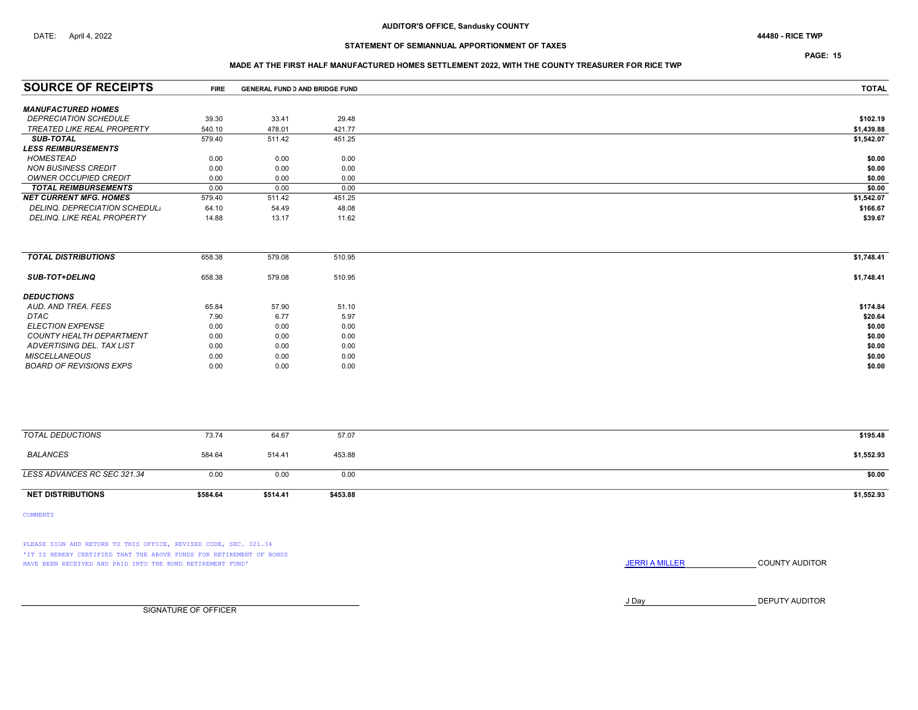PAGE: 15

### MADE AT THE FIRST HALF MANUFACTURED HOMES SETTLEMENT 2022, WITH THE COUNTY TREASURER FOR RICE TWP

| <b>SOURCE OF RECEIPTS</b>         | <b>FIRE</b> | <b>GENERAL FUND D AND BRIDGE FUND</b> |        | <b>TOTAL</b> |
|-----------------------------------|-------------|---------------------------------------|--------|--------------|
| <b>MANUFACTURED HOMES</b>         |             |                                       |        |              |
| <b>DEPRECIATION SCHEDULE</b>      | 39.30       | 33.41                                 | 29.48  | \$102.19     |
| TREATED LIKE REAL PROPERTY        | 540.10      | 478.01                                | 421.77 | \$1,439.88   |
| <b>SUB-TOTAL</b>                  | 579.40      | 511.42                                | 451.25 | \$1,542.07   |
| <b>LESS REIMBURSEMENTS</b>        |             |                                       |        |              |
| HOMESTEAD                         | 0.00        | 0.00                                  | 0.00   | \$0.00       |
| NON BUSINESS CREDIT               | 0.00        | 0.00                                  | 0.00   | \$0.00       |
| <b>OWNER OCCUPIED CREDIT</b>      | 0.00        | 0.00                                  | 0.00   | \$0.00       |
| <b>TOTAL REIMBURSEMENTS</b>       | 0.00        | 0.00                                  | 0.00   | \$0.00       |
| <b>NET CURRENT MFG. HOMES</b>     | 579.40      | 511.42                                | 451.25 | \$1,542.07   |
| DELINQ. DEPRECIATION SCHEDUL.     | 64.10       | 54.49                                 | 48.08  | \$166.67     |
| <b>DELINQ. LIKE REAL PROPERTY</b> | 14.88       | 13.17                                 | 11.62  | \$39.67      |

| <b>TOTAL DISTRIBUTIONS</b> | 658.38 | 579.08 | 510.95 | \$1,748.41 |
|----------------------------|--------|--------|--------|------------|
| <b>SUB-TOT+DELINQ</b>      | 658.38 | 579.08 | 510.95 | \$1,748.41 |
| <b>DEDUCTIONS</b>          |        |        |        |            |
| AUD. AND TREA. FEES        | 65.84  | 57.90  | 51.10  | \$174.84   |
| DTAC                       | 7.90   | 6.77   | 5.97   | \$20.64    |
| <b>ELECTION EXPENSE</b>    | 0.00   | 0.00   | 0.00   | \$0.00     |
| COUNTY HEALTH DEPARTMENT   | 0.00   | 0.00   | 0.00   | \$0.00     |
| ADVERTISING DEL. TAX LIST  | 0.00   | 0.00   | 0.00   | \$0.00     |
| <b>MISCELLANEOUS</b>       | 0.00   | 0.00   | 0.00   | \$0.00     |
| BOARD OF REVISIONS EXPS    | 0.00   | 0.00   | 0.00   | \$0.00     |
|                            |        |        |        |            |

| TOTAL DEDUCTIONS            | 73.74    | 64.67    | 57.07    | \$195.48   |
|-----------------------------|----------|----------|----------|------------|
| <b>BALANCES</b>             | 584.64   | 514.41   | 453.88   | \$1,552.93 |
| LESS ADVANCES RC SEC 321.34 | 0.00     | 0.00     | 0.00     | \$0.00     |
| <b>NET DISTRIBUTIONS</b>    | \$584.64 | \$514.41 | \$453.88 | \$1,552.93 |

COMMENTS

PLEASE SIGN AND RETURN TO THIS OFFICE, REVISED CODE, SEC. 321.34 'IT IS HEREBY CERTIFIED THAT THE ABOVE FUNDS FOR RETIREMENT OF BONDS HAVE BEEN RECEIVED AND PAID INTO THE BOND RETIREMENT FUND' **SECULTS THE COUNTY AUDITOR JERRI A MILLER COUNTY AUDITOR** 

J Day DEPUTY AUDITOR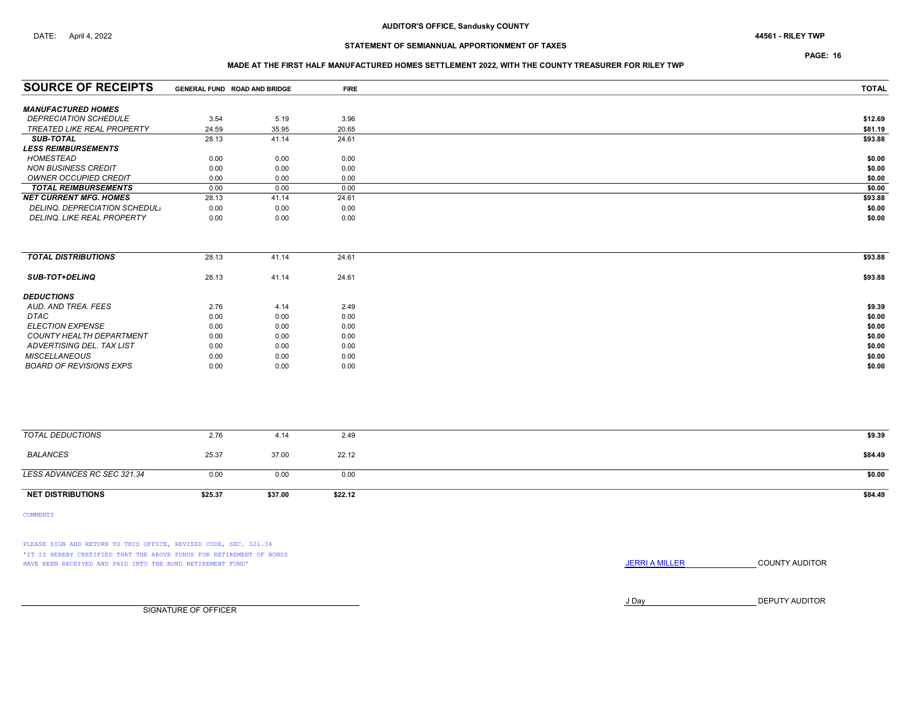PAGE: 16

### MADE AT THE FIRST HALF MANUFACTURED HOMES SETTLEMENT 2022, WITH THE COUNTY TREASURER FOR RILEY TWP

| <b>SOURCE OF RECEIPTS</b>         | GENERAL FUND ROAD AND BRIDGE |       | <b>FIRE</b> | <b>TOTAL</b> |
|-----------------------------------|------------------------------|-------|-------------|--------------|
| <b>MANUFACTURED HOMES</b>         |                              |       |             |              |
| <b>DEPRECIATION SCHEDULE</b>      | 3.54                         | 5.19  | 3.96        | \$12.69      |
| TREATED LIKE REAL PROPERTY        | 24.59                        | 35.95 | 20.65       | \$81.19      |
| <b>SUB-TOTAL</b>                  | 28.13                        | 41.14 | 24.61       | \$93.88      |
| <b>LESS REIMBURSEMENTS</b>        |                              |       |             |              |
| HOMESTEAD                         | 0.00                         | 0.00  | 0.00        | \$0.00       |
| <b>NON BUSINESS CREDIT</b>        | 0.00                         | 0.00  | 0.00        | \$0.00       |
| OWNER OCCUPIED CREDIT             | 0.00                         | 0.00  | 0.00        | \$0.00       |
| <b>TOTAL REIMBURSEMENTS</b>       | 0.00                         | 0.00  | 0.00        | \$0.00       |
| <b>NET CURRENT MFG. HOMES</b>     | 28.13                        | 41.14 | 24.61       | \$93.88      |
| DELINQ, DEPRECIATION SCHEDUL,     | 0.00                         | 0.00  | 0.00        | \$0.00       |
| <b>DELINQ. LIKE REAL PROPERTY</b> | 0.00                         | 0.00  | 0.00        | \$0.00       |

| <b>TOTAL DISTRIBUTIONS</b>      | 28.13 | 41.14 | 24.61 | \$93.88 |
|---------------------------------|-------|-------|-------|---------|
| <b>SUB-TOT+DELINQ</b>           | 28.13 | 41.14 | 24.61 | \$93.88 |
| <b>DEDUCTIONS</b>               |       |       |       |         |
| AUD. AND TREA. FEES             | 2.76  | 4.14  | 2.49  | \$9.39  |
| DTAC                            | 0.00  | 0.00  | 0.00  | \$0.00  |
| <b>ELECTION EXPENSE</b>         | 0.00  | 0.00  | 0.00  | \$0.00  |
| <b>COUNTY HEALTH DEPARTMENT</b> | 0.00  | 0.00  | 0.00  | \$0.00  |
| ADVERTISING DEL. TAX LIST       | 0.00  | 0.00  | 0.00  | \$0.00  |
| <b>MISCELLANEOUS</b>            | 0.00  | 0.00  | 0.00  | \$0.00  |
| <b>BOARD OF REVISIONS EXPS</b>  | 0.00  | 0.00  | 0.00  | \$0.00  |

| <b>NET DISTRIBUTIONS</b>    | \$25.37 | \$37.00 | \$22.12 | \$84.49 |
|-----------------------------|---------|---------|---------|---------|
| LESS ADVANCES RC SEC 321.34 | 0.00    | 0.00    | 0.00    | \$0.00  |
| BALANCES                    | 25.37   | 37.00   | 22.12   | \$84.49 |
| TOTAL DEDUCTIONS            | 2.76    | 4.14    | 2.49    | \$9.39  |
|                             |         |         |         |         |

COMMENTS

PLEASE SIGN AND RETURN TO THIS OFFICE, REVISED CODE, SEC. 321.34 'IT IS HEREBY CERTIFIED THAT THE ABOVE FUNDS FOR RETIREMENT OF BONDS HAVE BEEN RECEIVED AND PAID INTO THE BOND RETIREMENT FUND' **SECULTS THE COUNTY AUDITOR JERRI A MILLER COUNTY AUDITOR** 

J Day DEPUTY AUDITOR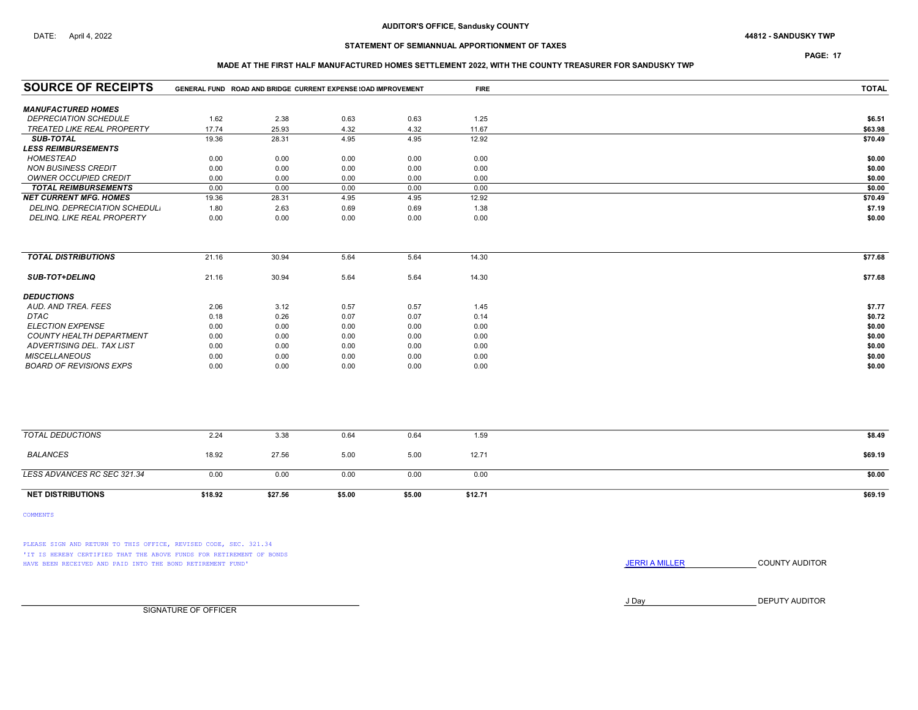PAGE: 17

### MADE AT THE FIRST HALF MANUFACTURED HOMES SETTLEMENT 2022, WITH THE COUNTY TREASURER FOR SANDUSKY TWP

| <b>SOURCE OF RECEIPTS</b>       | GENERAL FUND ROAD AND BRIDGE CURRENT EXPENSE (OAD IMPROVEMENT |         |        |        | <b>FIRE</b> | <b>TOTAL</b> |
|---------------------------------|---------------------------------------------------------------|---------|--------|--------|-------------|--------------|
| <b>MANUFACTURED HOMES</b>       |                                                               |         |        |        |             |              |
| <b>DEPRECIATION SCHEDULE</b>    | 1.62                                                          | 2.38    | 0.63   | 0.63   | 1.25        | \$6.51       |
| TREATED LIKE REAL PROPERTY      | 17.74                                                         | 25.93   | 4.32   | 4.32   | 11.67       | \$63.98      |
| SUB-TOTAL                       | 19.36                                                         | 28.31   | 4.95   | 4.95   | 12.92       | \$70.49      |
| <b>LESS REIMBURSEMENTS</b>      |                                                               |         |        |        |             |              |
| <b>HOMESTEAD</b>                | 0.00                                                          | 0.00    | 0.00   | 0.00   | 0.00        | \$0.00       |
| <b>NON BUSINESS CREDIT</b>      | 0.00                                                          | 0.00    | 0.00   | 0.00   | 0.00        | \$0.00       |
| <b>OWNER OCCUPIED CREDIT</b>    | 0.00                                                          | 0.00    | 0.00   | 0.00   | 0.00        | \$0.00       |
| <b>TOTAL REIMBURSEMENTS</b>     | 0.00                                                          | 0.00    | 0.00   | 0.00   | 0.00        | \$0.00       |
| <b>NET CURRENT MFG. HOMES</b>   | 19.36                                                         | 28.31   | 4.95   | 4.95   | 12.92       | \$70.49      |
| DELINQ. DEPRECIATION SCHEDUL.   | 1.80                                                          | 2.63    | 0.69   | 0.69   | 1.38        | \$7.19       |
| DELINQ. LIKE REAL PROPERTY      | 0.00                                                          | 0.00    | 0.00   | 0.00   | 0.00        | \$0.00       |
|                                 |                                                               |         |        |        |             |              |
| <b>TOTAL DISTRIBUTIONS</b>      | 21.16                                                         | 30.94   | 5.64   | 5.64   | 14.30       | \$77.68      |
| <b>SUB-TOT+DELINQ</b>           | 21.16                                                         | 30.94   | 5.64   | 5.64   | 14.30       | \$77.68      |
| <b>DEDUCTIONS</b>               |                                                               |         |        |        |             |              |
| AUD. AND TREA. FEES             | 2.06                                                          | 3.12    | 0.57   | 0.57   | 1.45        | \$7.77       |
| <b>DTAC</b>                     | 0.18                                                          | 0.26    | 0.07   | 0.07   | 0.14        | \$0.72       |
| <b>ELECTION EXPENSE</b>         | 0.00                                                          | 0.00    | 0.00   | 0.00   | 0.00        | \$0.00       |
| <b>COUNTY HEALTH DEPARTMENT</b> | 0.00                                                          | 0.00    | 0.00   | 0.00   | 0.00        | \$0.00       |
| ADVERTISING DEL. TAX LIST       | 0.00                                                          | 0.00    | 0.00   | 0.00   | 0.00        | \$0.00       |
| <b>MISCELLANEOUS</b>            | 0.00                                                          | 0.00    | 0.00   | 0.00   | 0.00        | \$0.00       |
| <b>BOARD OF REVISIONS EXPS</b>  | 0.00                                                          | 0.00    | 0.00   | 0.00   | 0.00        | \$0.00       |
|                                 |                                                               |         |        |        |             |              |
| <b>TOTAL DEDUCTIONS</b>         | 2.24                                                          | 3.38    | 0.64   | 0.64   | 1.59        | \$8.49       |
| <b>BALANCES</b>                 | 18.92                                                         | 27.56   | 5.00   | 5.00   | 12.71       | \$69.19      |
| LESS ADVANCES RC SEC 321.34     | 0.00                                                          | 0.00    | 0.00   | 0.00   | 0.00        | \$0.00       |
| <b>NET DISTRIBUTIONS</b>        | \$18.92                                                       | \$27.56 | \$5.00 | \$5.00 | \$12.71     | \$69.19      |

COMMENTS

PLEASE SIGN AND RETURN TO THIS OFFICE, REVISED CODE, SEC. 321.34 'IT IS HEREBY CERTIFIED THAT THE ABOVE FUNDS FOR RETIREMENT OF BONDS HAVE BEEN RECEIVED AND PAID INTO THE BOND RETIREMENT FUND' **SECULTS** THE COUNTY AUDITOR

J Day DEPUTY AUDITOR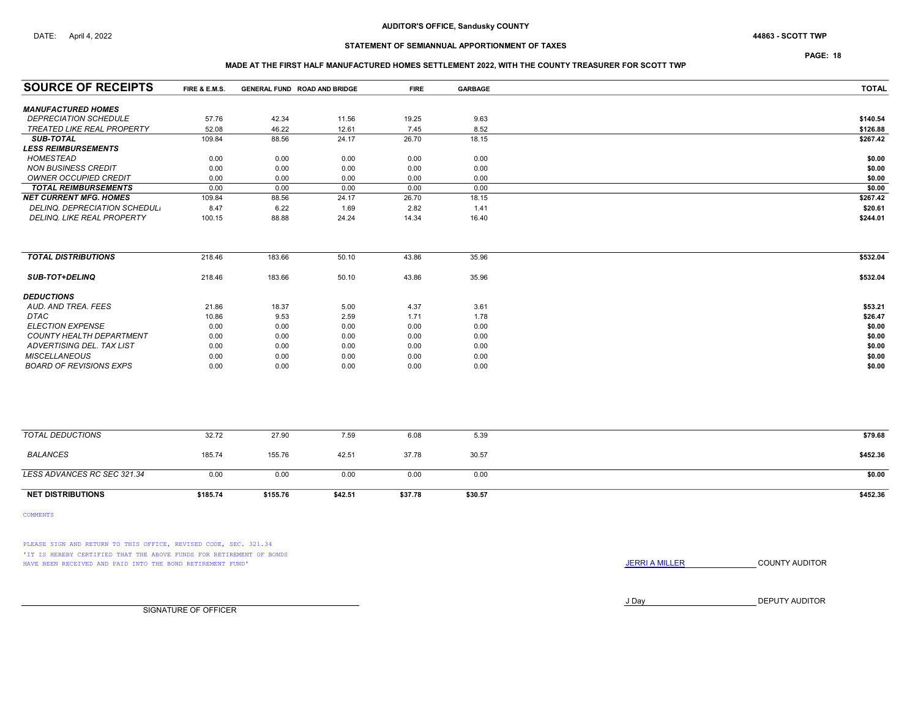# STATEMENT OF SEMIANNUAL APPORTIONMENT OF TAXES

### PAGE: 18

### MADE AT THE FIRST HALF MANUFACTURED HOMES SETTLEMENT 2022, WITH THE COUNTY TREASURER FOR SCOTT TWP

| <b>SOURCE OF RECEIPTS</b>         | FIRE & E.M.S. | GENERAL FUND ROAD AND BRIDGE |         | <b>FIRE</b> | GARBAGE | <b>TOTAL</b> |
|-----------------------------------|---------------|------------------------------|---------|-------------|---------|--------------|
| <b>MANUFACTURED HOMES</b>         |               |                              |         |             |         |              |
| <b>DEPRECIATION SCHEDULE</b>      | 57.76         | 42.34                        | 11.56   | 19.25       | 9.63    | \$140.54     |
| <b>TREATED LIKE REAL PROPERTY</b> | 52.08         | 46.22                        | 12.61   | 7.45        | 8.52    | \$126.88     |
| <b>SUB-TOTAL</b>                  | 109.84        | 88.56                        | 24.17   | 26.70       | 18.15   | \$267.42     |
| <b>LESS REIMBURSEMENTS</b>        |               |                              |         |             |         |              |
| <b>HOMESTEAD</b>                  | 0.00          | 0.00                         | 0.00    | 0.00        | 0.00    | \$0.00       |
| <b>NON BUSINESS CREDIT</b>        | 0.00          | 0.00                         | 0.00    | 0.00        | 0.00    | \$0.00       |
| OWNER OCCUPIED CREDIT             | 0.00          | 0.00                         | 0.00    | 0.00        | 0.00    | \$0.00       |
| <b>TOTAL REIMBURSEMENTS</b>       | 0.00          | 0.00                         | 0.00    | 0.00        | 0.00    | \$0.00       |
| <b>NET CURRENT MFG. HOMES</b>     | 109.84        | 88.56                        | 24.17   | 26.70       | 18.15   | \$267.42     |
| DELINQ. DEPRECIATION SCHEDUL.     | 8.47          | 6.22                         | 1.69    | 2.82        | 1.41    | \$20.61      |
| DELINQ. LIKE REAL PROPERTY        | 100.15        | 88.88                        | 24.24   | 14.34       | 16.40   | \$244.01     |
|                                   |               |                              |         |             |         |              |
| <b>TOTAL DISTRIBUTIONS</b>        | 218.46        | 183.66                       | 50.10   | 43.86       | 35.96   | \$532.04     |
| <b>SUB-TOT+DELINQ</b>             | 218.46        | 183.66                       | 50.10   | 43.86       | 35.96   | \$532.04     |
| <b>DEDUCTIONS</b>                 |               |                              |         |             |         |              |
| AUD. AND TREA. FEES               | 21.86         | 18.37                        | 5.00    | 4.37        | 3.61    | \$53.21      |
| <b>DTAC</b>                       | 10.86         | 9.53                         | 2.59    | 1.71        | 1.78    | \$26.47      |
| <b>ELECTION EXPENSE</b>           | 0.00          | 0.00                         | 0.00    | 0.00        | 0.00    | \$0.00       |
| COUNTY HEALTH DEPARTMENT          | 0.00          | 0.00                         | 0.00    | 0.00        | 0.00    | \$0.00       |
| ADVERTISING DEL. TAX LIST         | 0.00          | 0.00                         | 0.00    | 0.00        | 0.00    | \$0.00       |
| <b>MISCELLANEOUS</b>              | 0.00          | 0.00                         | 0.00    | 0.00        | 0.00    | \$0.00       |
| <b>BOARD OF REVISIONS EXPS</b>    | 0.00          | 0.00                         | 0.00    | 0.00        | 0.00    | \$0.00       |
|                                   |               |                              |         |             |         |              |
| <b>TOTAL DEDUCTIONS</b>           | 32.72         | 27.90                        | 7.59    | 6.08        | 5.39    | \$79.68      |
| <b>BALANCES</b>                   | 185.74        | 155.76                       | 42.51   | 37.78       | 30.57   | \$452.36     |
| LESS ADVANCES RC SEC 321.34       | 0.00          | 0.00                         | 0.00    | 0.00        | 0.00    | \$0.00       |
| <b>NET DISTRIBUTIONS</b>          | \$185.74      | \$155.76                     | \$42.51 | \$37.78     | \$30.57 | \$452.36     |

COMMENTS

PLEASE SIGN AND RETURN TO THIS OFFICE, REVISED CODE, SEC. 321.34 'IT IS HEREBY CERTIFIED THAT THE ABOVE FUNDS FOR RETIREMENT OF BONDS HAVE BEEN RECEIVED AND PAID INTO THE BOND RETIREMENT FUND' **SECULTS** THE COUNTY AUDITOR

J Day DEPUTY AUDITOR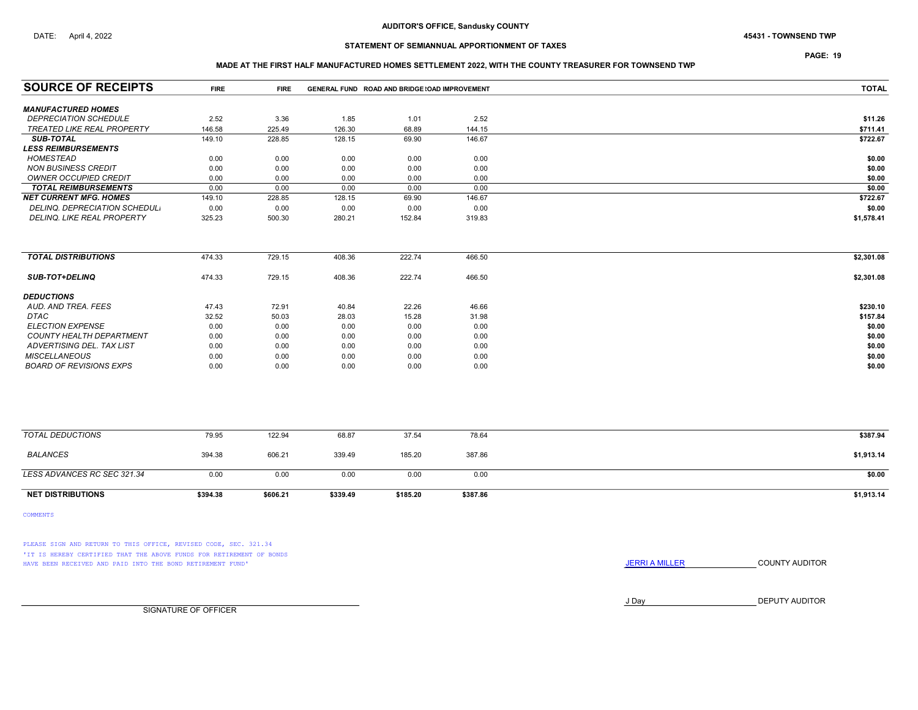# STATEMENT OF SEMIANNUAL APPORTIONMENT OF TAXES

## PAGE: 19

### MADE AT THE FIRST HALF MANUFACTURED HOMES SETTLEMENT 2022, WITH THE COUNTY TREASURER FOR TOWNSEND TWP

| <b>SOURCE OF RECEIPTS</b>         | <b>FIRE</b> | <b>FIRE</b> |          | GENERAL FUND ROAD AND BRIDGE (OAD IMPROVEMENT |          | <b>TOTAL</b> |
|-----------------------------------|-------------|-------------|----------|-----------------------------------------------|----------|--------------|
| <b>MANUFACTURED HOMES</b>         |             |             |          |                                               |          |              |
| <b>DEPRECIATION SCHEDULE</b>      | 2.52        | 3.36        | 1.85     | 1.01                                          | 2.52     | \$11.26      |
| <b>TREATED LIKE REAL PROPERTY</b> | 146.58      | 225.49      | 126.30   | 68.89                                         | 144.15   | \$711.41     |
| <b>SUB-TOTAL</b>                  | 149.10      | 228.85      | 128.15   | 69.90                                         | 146.67   | \$722.67     |
| <b>LESS REIMBURSEMENTS</b>        |             |             |          |                                               |          |              |
| <b>HOMESTEAD</b>                  | 0.00        | 0.00        | 0.00     | 0.00                                          | 0.00     | \$0.00       |
| <b>NON BUSINESS CREDIT</b>        | 0.00        | 0.00        | 0.00     | 0.00                                          | 0.00     | \$0.00       |
| OWNER OCCUPIED CREDIT             | 0.00        | 0.00        | 0.00     | 0.00                                          | 0.00     | \$0.00       |
| <b>TOTAL REIMBURSEMENTS</b>       | 0.00        | 0.00        | 0.00     | 0.00                                          | 0.00     | \$0.00       |
| <b>NET CURRENT MFG. HOMES</b>     | 149.10      | 228.85      | 128.15   | 69.90                                         | 146.67   | \$722.67     |
| DELINQ. DEPRECIATION SCHEDUL.     | 0.00        | 0.00        | 0.00     | 0.00                                          | 0.00     | \$0.00       |
| <b>DELINQ. LIKE REAL PROPERTY</b> | 325.23      | 500.30      | 280.21   | 152.84                                        | 319.83   | \$1,578.41   |
|                                   |             |             |          |                                               |          |              |
| <b>TOTAL DISTRIBUTIONS</b>        | 474.33      | 729.15      | 408.36   | 222.74                                        | 466.50   | \$2,301.08   |
| <b>SUB-TOT+DELINQ</b>             | 474.33      | 729.15      | 408.36   | 222.74                                        | 466.50   | \$2,301.08   |
| <b>DEDUCTIONS</b>                 |             |             |          |                                               |          |              |
| AUD. AND TREA. FEES               | 47.43       | 72.91       | 40.84    | 22.26                                         | 46.66    | \$230.10     |
| DTAC                              | 32.52       | 50.03       | 28.03    | 15.28                                         | 31.98    | \$157.84     |
| <b>ELECTION EXPENSE</b>           | 0.00        | 0.00        | 0.00     | 0.00                                          | 0.00     | \$0.00       |
| <b>COUNTY HEALTH DEPARTMENT</b>   | 0.00        | 0.00        | 0.00     | 0.00                                          | 0.00     | \$0.00       |
| ADVERTISING DEL. TAX LIST         | 0.00        | 0.00        | 0.00     | 0.00                                          | 0.00     | \$0.00       |
| <b>MISCELLANEOUS</b>              | 0.00        | 0.00        | 0.00     | 0.00                                          | 0.00     | \$0.00       |
| <b>BOARD OF REVISIONS EXPS</b>    | 0.00        | 0.00        | 0.00     | 0.00                                          | 0.00     | \$0.00       |
|                                   |             |             |          |                                               |          |              |
| <b>TOTAL DEDUCTIONS</b>           | 79.95       | 122.94      | 68.87    | 37.54                                         | 78.64    | \$387.94     |
| <b>BALANCES</b>                   | 394.38      | 606.21      | 339.49   | 185.20                                        | 387.86   | \$1,913.14   |
| LESS ADVANCES RC SEC 321.34       | 0.00        | 0.00        | 0.00     | 0.00                                          | 0.00     | \$0.00       |
| <b>NET DISTRIBUTIONS</b>          | \$394.38    | \$606.21    | \$339.49 | \$185.20                                      | \$387.86 | \$1,913.14   |

COMMENTS

PLEASE SIGN AND RETURN TO THIS OFFICE, REVISED CODE, SEC. 321.34 'IT IS HEREBY CERTIFIED THAT THE ABOVE FUNDS FOR RETIREMENT OF BONDS HAVE BEEN RECEIVED AND PAID INTO THE BOND RETIREMENT FUND' **SECULTS** THE COUNTY AUDITOR

J Day DEPUTY AUDITOR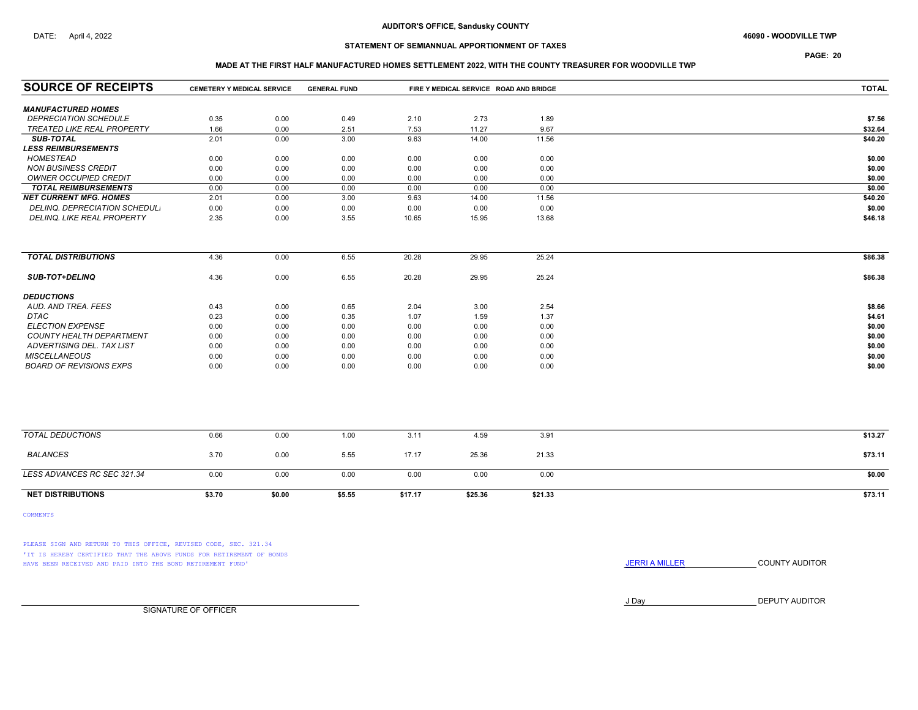# STATEMENT OF SEMIANNUAL APPORTIONMENT OF TAXES

PAGE: 20

### MADE AT THE FIRST HALF MANUFACTURED HOMES SETTLEMENT 2022, WITH THE COUNTY TREASURER FOR WOODVILLE TWP

| <b>SOURCE OF RECEIPTS</b>      |        | <b>CEMETERY Y MEDICAL SERVICE</b><br><b>GENERAL FUND</b> |        |         | FIRE Y MEDICAL SERVICE ROAD AND BRIDGE |         | <b>TOTAL</b> |
|--------------------------------|--------|----------------------------------------------------------|--------|---------|----------------------------------------|---------|--------------|
| <b>MANUFACTURED HOMES</b>      |        |                                                          |        |         |                                        |         |              |
| <b>DEPRECIATION SCHEDULE</b>   | 0.35   | 0.00                                                     | 0.49   | 2.10    | 2.73                                   | 1.89    | \$7.56       |
| TREATED LIKE REAL PROPERTY     | 1.66   | 0.00                                                     | 2.51   | 7.53    | 11.27                                  | 9.67    | \$32.64      |
| <b>SUB-TOTAL</b>               | 2.01   | 0.00                                                     | 3.00   | 9.63    | 14.00                                  | 11.56   | \$40.20      |
| <b>LESS REIMBURSEMENTS</b>     |        |                                                          |        |         |                                        |         |              |
| <b>HOMESTEAD</b>               | 0.00   | 0.00                                                     | 0.00   | 0.00    | 0.00                                   | 0.00    | \$0.00       |
| <b>NON BUSINESS CREDIT</b>     | 0.00   | 0.00                                                     | 0.00   | 0.00    | 0.00                                   | 0.00    | \$0.00       |
| <b>OWNER OCCUPIED CREDIT</b>   | 0.00   | 0.00                                                     | 0.00   | 0.00    | 0.00                                   | 0.00    | \$0.00       |
| <b>TOTAL REIMBURSEMENTS</b>    | 0.00   | 0.00                                                     | 0.00   | 0.00    | 0.00                                   | 0.00    | \$0.00       |
| <b>NET CURRENT MFG. HOMES</b>  | 2.01   | 0.00                                                     | 3.00   | 9.63    | 14.00                                  | 11.56   | \$40.20      |
| DELINQ. DEPRECIATION SCHEDUL.  | 0.00   | 0.00                                                     | 0.00   | 0.00    | 0.00                                   | 0.00    | \$0.00       |
| DELINQ. LIKE REAL PROPERTY     | 2.35   | 0.00                                                     | 3.55   | 10.65   | 15.95                                  | 13.68   | \$46.18      |
|                                |        |                                                          |        |         |                                        |         |              |
| <b>TOTAL DISTRIBUTIONS</b>     | 4.36   | 0.00                                                     | 6.55   | 20.28   | 29.95                                  | 25.24   | \$86.38      |
| <b>SUB-TOT+DELINQ</b>          | 4.36   | 0.00                                                     | 6.55   | 20.28   | 29.95                                  | 25.24   | \$86.38      |
| <b>DEDUCTIONS</b>              |        |                                                          |        |         |                                        |         |              |
| AUD. AND TREA. FEES            | 0.43   | 0.00                                                     | 0.65   | 2.04    | 3.00                                   | 2.54    | \$8.66       |
| <b>DTAC</b>                    | 0.23   | 0.00                                                     | 0.35   | 1.07    | 1.59                                   | 1.37    | \$4.61       |
| <b>ELECTION EXPENSE</b>        | 0.00   | 0.00                                                     | 0.00   | 0.00    | 0.00                                   | 0.00    | \$0.00       |
| COUNTY HEALTH DEPARTMENT       | 0.00   | 0.00                                                     | 0.00   | 0.00    | 0.00                                   | 0.00    | \$0.00       |
| ADVERTISING DEL. TAX LIST      | 0.00   | 0.00                                                     | 0.00   | 0.00    | 0.00                                   | 0.00    | \$0.00       |
| <b>MISCELLANEOUS</b>           | 0.00   | 0.00                                                     | 0.00   | 0.00    | 0.00                                   | 0.00    | \$0.00       |
| <b>BOARD OF REVISIONS EXPS</b> | 0.00   | 0.00                                                     | 0.00   | 0.00    | 0.00                                   | 0.00    | \$0.00       |
|                                |        |                                                          |        |         |                                        |         |              |
| <b>TOTAL DEDUCTIONS</b>        | 0.66   | 0.00                                                     | 1.00   | 3.11    | 4.59                                   | 3.91    | \$13.27      |
| <b>BALANCES</b>                | 3.70   | 0.00                                                     | 5.55   | 17.17   | 25.36                                  | 21.33   | \$73.11      |
| LESS ADVANCES RC SEC 321.34    | 0.00   | 0.00                                                     | 0.00   | 0.00    | 0.00                                   | 0.00    | \$0.00       |
| <b>NET DISTRIBUTIONS</b>       | \$3.70 | \$0.00                                                   | \$5.55 | \$17.17 | \$25.36                                | \$21.33 | \$73.11      |

COMMENTS

PLEASE SIGN AND RETURN TO THIS OFFICE, REVISED CODE, SEC. 321.34 'IT IS HEREBY CERTIFIED THAT THE ABOVE FUNDS FOR RETIREMENT OF BONDS HAVE BEEN RECEIVED AND PAID INTO THE BOND RETIREMENT FUND' **SECULTS** THE COUNTY AUDITOR

J Day DEPUTY AUDITOR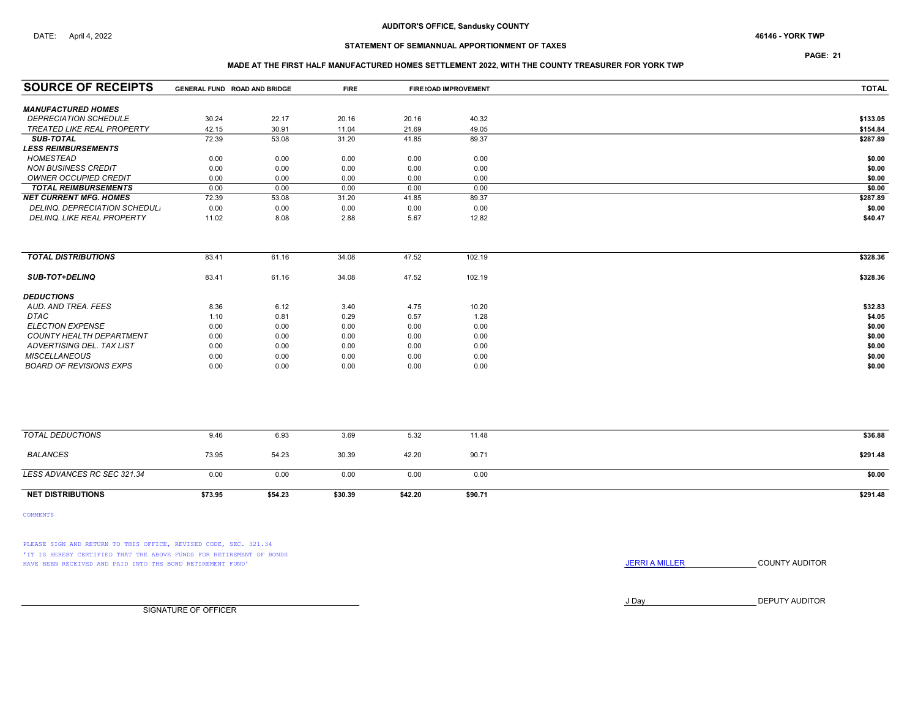PAGE: 21

### MADE AT THE FIRST HALF MANUFACTURED HOMES SETTLEMENT 2022, WITH THE COUNTY TREASURER FOR YORK TWP

| <b>SOURCE OF RECEIPTS</b>                                 | GENERAL FUND ROAD AND BRIDGE |         | <b>FIRE</b> |         | FIRE (OAD IMPROVEMENT | <b>TOTAL</b> |
|-----------------------------------------------------------|------------------------------|---------|-------------|---------|-----------------------|--------------|
|                                                           |                              |         |             |         |                       |              |
| <b>MANUFACTURED HOMES</b><br><b>DEPRECIATION SCHEDULE</b> | 30.24                        | 22.17   | 20.16       | 20.16   | 40.32                 | \$133.05     |
| TREATED LIKE REAL PROPERTY                                | 42.15                        | 30.91   | 11.04       | 21.69   | 49.05                 | \$154.84     |
| <b>SUB-TOTAL</b>                                          | 72.39                        | 53.08   | 31.20       | 41.85   | 89.37                 | \$287.89     |
| <b>LESS REIMBURSEMENTS</b>                                |                              |         |             |         |                       |              |
| HOMESTEAD                                                 | 0.00                         | 0.00    | 0.00        | 0.00    | 0.00                  | \$0.00       |
| <b>NON BUSINESS CREDIT</b>                                | 0.00                         | 0.00    | 0.00        | 0.00    | 0.00                  | \$0.00       |
| <b>OWNER OCCUPIED CREDIT</b>                              | 0.00                         | 0.00    | 0.00        | 0.00    | 0.00                  | \$0.00       |
| <b>TOTAL REIMBURSEMENTS</b>                               | 0.00                         | 0.00    | 0.00        | 0.00    | 0.00                  | \$0.00       |
| <b>NET CURRENT MFG. HOMES</b>                             | 72.39                        | 53.08   | 31.20       | 41.85   | 89.37                 | \$287.89     |
| <b>DELINQ. DEPRECIATION SCHEDUL.</b>                      | 0.00                         | 0.00    | 0.00        | 0.00    | 0.00                  | \$0.00       |
| DELINQ. LIKE REAL PROPERTY                                | 11.02                        | 8.08    | 2.88        | 5.67    | 12.82                 | \$40.47      |
|                                                           |                              |         |             |         |                       |              |
| <b>TOTAL DISTRIBUTIONS</b>                                | 83.41                        | 61.16   | 34.08       | 47.52   | 102.19                | \$328.36     |
| <b>SUB-TOT+DELINQ</b>                                     | 83.41                        | 61.16   | 34.08       | 47.52   | 102.19                | \$328.36     |
| <b>DEDUCTIONS</b>                                         |                              |         |             |         |                       |              |
| AUD. AND TREA. FEES                                       | 8.36                         | 6.12    | 3.40        | 4.75    | 10.20                 | \$32.83      |
| <b>DTAC</b>                                               | 1.10                         | 0.81    | 0.29        | 0.57    | 1.28                  | \$4.05       |
| <b>ELECTION EXPENSE</b>                                   | 0.00                         | 0.00    | 0.00        | 0.00    | 0.00                  | \$0.00       |
| <b>COUNTY HEALTH DEPARTMENT</b>                           | 0.00                         | 0.00    | 0.00        | 0.00    | 0.00                  | \$0.00       |
| ADVERTISING DEL. TAX LIST                                 | 0.00                         | 0.00    | 0.00        | 0.00    | 0.00                  | \$0.00       |
| <b>MISCELLANEOUS</b>                                      | 0.00                         | 0.00    | 0.00        | 0.00    | 0.00                  | \$0.00       |
| <b>BOARD OF REVISIONS EXPS</b>                            | 0.00                         | 0.00    | 0.00        | 0.00    | 0.00                  | \$0.00       |
|                                                           |                              |         |             |         |                       |              |
| <b>TOTAL DEDUCTIONS</b>                                   | 9.46                         | 6.93    | 3.69        | 5.32    | 11.48                 | \$36.88      |
| <b>BALANCES</b>                                           | 73.95                        | 54.23   | 30.39       | 42.20   | 90.71                 | \$291.48     |
| LESS ADVANCES RC SEC 321.34                               | 0.00                         | 0.00    | 0.00        | 0.00    | 0.00                  | \$0.00       |
| <b>NET DISTRIBUTIONS</b>                                  | \$73.95                      | \$54.23 | \$30.39     | \$42.20 | \$90.71               | \$291.48     |

COMMENTS

PLEASE SIGN AND RETURN TO THIS OFFICE, REVISED CODE, SEC. 321.34 'IT IS HEREBY CERTIFIED THAT THE ABOVE FUNDS FOR RETIREMENT OF BONDS HAVE BEEN RECEIVED AND PAID INTO THE BOND RETIREMENT FUND' **JERRIA MILLER COUNTY AUDITOR** 

J Day DEPUTY AUDITOR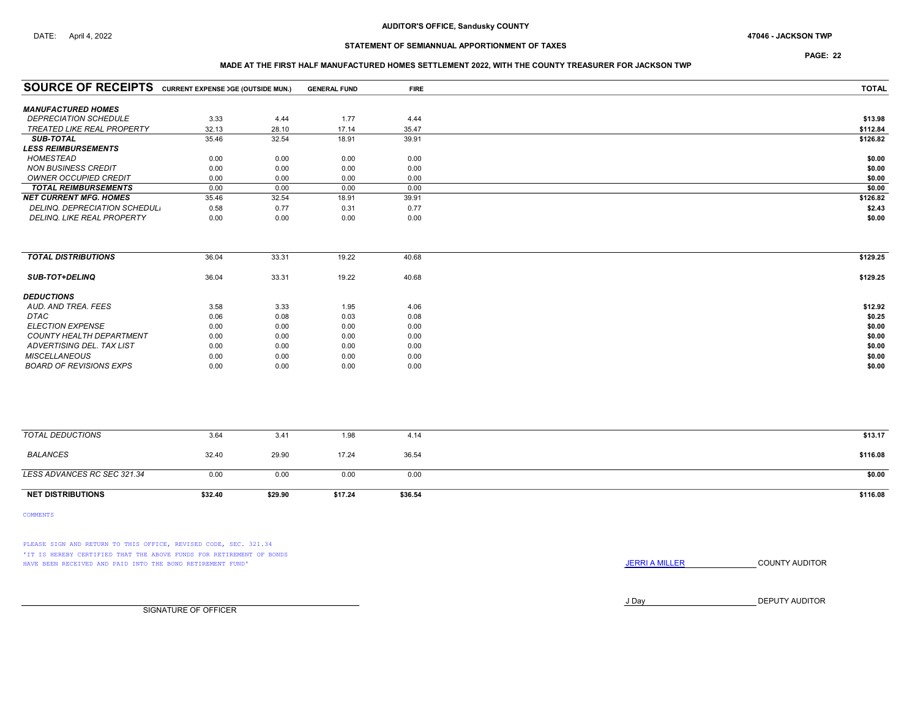PAGE: 22

### MADE AT THE FIRST HALF MANUFACTURED HOMES SETTLEMENT 2022, WITH THE COUNTY TREASURER FOR JACKSON TWP

| <b>SOURCE OF RECEIPTS</b> CURRENT EXPENSE JGE (OUTSIDE MUN.) |         |         | <b>GENERAL FUND</b> | <b>FIRE</b> | <b>TOTAL</b> |
|--------------------------------------------------------------|---------|---------|---------------------|-------------|--------------|
|                                                              |         |         |                     |             |              |
| <b>MANUFACTURED HOMES</b><br><b>DEPRECIATION SCHEDULE</b>    | 3.33    | 4.44    | 1.77                | 4.44        | \$13.98      |
| TREATED LIKE REAL PROPERTY                                   | 32.13   | 28.10   | 17.14               | 35.47       | \$112.84     |
| <b>SUB-TOTAL</b>                                             | 35.46   | 32.54   | 18.91               | 39.91       | \$126.82     |
| <b>LESS REIMBURSEMENTS</b>                                   |         |         |                     |             |              |
| <b>HOMESTEAD</b>                                             | 0.00    | 0.00    | 0.00                | 0.00        | \$0.00       |
| <b>NON BUSINESS CREDIT</b>                                   | 0.00    | 0.00    | 0.00                | 0.00        | \$0.00       |
| OWNER OCCUPIED CREDIT                                        | 0.00    | 0.00    | 0.00                | 0.00        | \$0.00       |
| <b>TOTAL REIMBURSEMENTS</b>                                  | 0.00    | 0.00    | 0.00                | 0.00        | \$0.00       |
| <b>NET CURRENT MFG. HOMES</b>                                | 35.46   | 32.54   | 18.91               | 39.91       | \$126.82     |
| DELINQ. DEPRECIATION SCHEDUL.                                | 0.58    | 0.77    | 0.31                | 0.77        | \$2.43       |
| <b>DELINQ. LIKE REAL PROPERTY</b>                            | 0.00    | 0.00    | 0.00                | 0.00        | \$0.00       |
|                                                              |         |         |                     |             |              |
| <b>TOTAL DISTRIBUTIONS</b>                                   | 36.04   | 33.31   | 19.22               | 40.68       | \$129.25     |
| <b>SUB-TOT+DELINQ</b>                                        | 36.04   | 33.31   | 19.22               | 40.68       | \$129.25     |
| <b>DEDUCTIONS</b>                                            |         |         |                     |             |              |
| AUD. AND TREA. FEES                                          | 3.58    | 3.33    | 1.95                | 4.06        | \$12.92      |
| <b>DTAC</b>                                                  | 0.06    | 0.08    | 0.03                | 0.08        | \$0.25       |
| <b>ELECTION EXPENSE</b>                                      | 0.00    | 0.00    | 0.00                | 0.00        | \$0.00       |
| <b>COUNTY HEALTH DEPARTMENT</b>                              | 0.00    | 0.00    | 0.00                | 0.00        | \$0.00       |
| ADVERTISING DEL. TAX LIST                                    | 0.00    | 0.00    | 0.00                | 0.00        | \$0.00       |
| <b>MISCELLANEOUS</b>                                         | 0.00    | 0.00    | 0.00                | 0.00        | \$0.00       |
| <b>BOARD OF REVISIONS EXPS</b>                               | 0.00    | 0.00    | 0.00                | 0.00        | \$0.00       |
|                                                              |         |         |                     |             |              |
| <b>TOTAL DEDUCTIONS</b>                                      | 3.64    | 3.41    | 1.98                | 4.14        | \$13.17      |
| <b>BALANCES</b>                                              | 32.40   | 29.90   | 17.24               | 36.54       | \$116.08     |
| LESS ADVANCES RC SEC 321.34                                  | 0.00    | 0.00    | 0.00                | 0.00        | \$0.00       |
| <b>NET DISTRIBUTIONS</b>                                     | \$32.40 | \$29.90 | \$17.24             | \$36.54     | \$116.08     |

COMMENTS

PLEASE SIGN AND RETURN TO THIS OFFICE, REVISED CODE, SEC. 321.34 'IT IS HEREBY CERTIFIED THAT THE ABOVE FUNDS FOR RETIREMENT OF BONDS HAVE BEEN RECEIVED AND PAID INTO THE BOND RETIREMENT FUND' **JERRIA MILLER COUNTY AUDITOR** 

J Day DEPUTY AUDITOR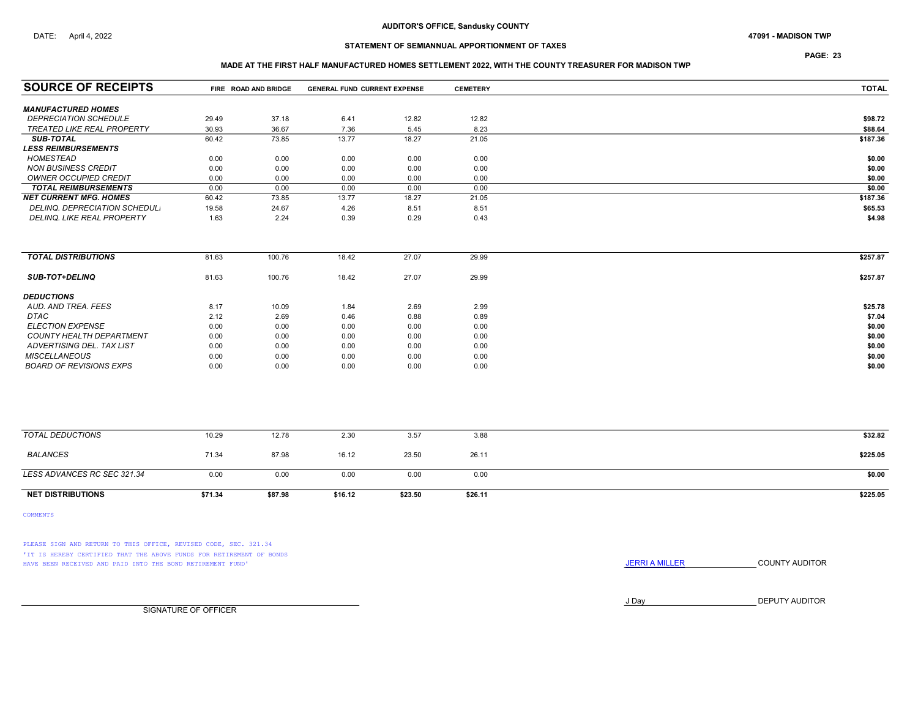PAGE: 23

## MADE AT THE FIRST HALF MANUFACTURED HOMES SETTLEMENT 2022, WITH THE COUNTY TREASURER FOR MADISON TWP

| <b>SOURCE OF RECEIPTS</b>                                 |         | FIRE ROAD AND BRIDGE | <b>GENERAL FUND CURRENT EXPENSE</b> |         | <b>CEMETERY</b> | <b>TOTAL</b> |
|-----------------------------------------------------------|---------|----------------------|-------------------------------------|---------|-----------------|--------------|
|                                                           |         |                      |                                     |         |                 |              |
| <b>MANUFACTURED HOMES</b><br><b>DEPRECIATION SCHEDULE</b> | 29.49   | 37.18                | 6.41                                | 12.82   | 12.82           | \$98.72      |
| TREATED LIKE REAL PROPERTY                                | 30.93   | 36.67                | 7.36                                | 5.45    | 8.23            | \$88.64      |
| <b>SUB-TOTAL</b>                                          | 60.42   | 73.85                | 13.77                               | 18.27   | 21.05           | \$187.36     |
| <b>LESS REIMBURSEMENTS</b>                                |         |                      |                                     |         |                 |              |
| <b>HOMESTEAD</b>                                          | 0.00    | 0.00                 | 0.00                                | 0.00    | 0.00            | \$0.00       |
| <b>NON BUSINESS CREDIT</b>                                | 0.00    | 0.00                 | 0.00                                | 0.00    | 0.00            | \$0.00       |
| OWNER OCCUPIED CREDIT                                     | 0.00    | 0.00                 | 0.00                                | 0.00    | 0.00            | \$0.00       |
| <b>TOTAL REIMBURSEMENTS</b>                               | 0.00    | 0.00                 | 0.00                                | 0.00    | 0.00            | \$0.00       |
| <b>NET CURRENT MFG. HOMES</b>                             | 60.42   | 73.85                | 13.77                               | 18.27   | 21.05           | \$187.36     |
| DELINQ. DEPRECIATION SCHEDUL.                             | 19.58   | 24.67                | 4.26                                | 8.51    | 8.51            | \$65.53      |
| DELINQ. LIKE REAL PROPERTY                                | 1.63    | 2.24                 | 0.39                                | 0.29    | 0.43            | \$4.98       |
|                                                           |         |                      |                                     |         |                 |              |
| <b>TOTAL DISTRIBUTIONS</b>                                | 81.63   | 100.76               | 18.42                               | 27.07   | 29.99           | \$257.87     |
| <b>SUB-TOT+DELINQ</b>                                     | 81.63   | 100.76               | 18.42                               | 27.07   | 29.99           | \$257.87     |
| <b>DEDUCTIONS</b>                                         |         |                      |                                     |         |                 |              |
| AUD, AND TREA, FEES                                       | 8.17    | 10.09                | 1.84                                | 2.69    | 2.99            | \$25.78      |
| <b>DTAC</b>                                               | 2.12    | 2.69                 | 0.46                                | 0.88    | 0.89            | \$7.04       |
| <b>ELECTION EXPENSE</b>                                   | 0.00    | 0.00                 | 0.00                                | 0.00    | 0.00            | \$0.00       |
| <b>COUNTY HEALTH DEPARTMENT</b>                           | 0.00    | 0.00                 | 0.00                                | 0.00    | 0.00            | \$0.00       |
| ADVERTISING DEL. TAX LIST                                 | 0.00    | 0.00                 | 0.00                                | 0.00    | 0.00            | \$0.00       |
| <b>MISCELLANEOUS</b>                                      | 0.00    | 0.00                 | 0.00                                | 0.00    | 0.00            | \$0.00       |
| <b>BOARD OF REVISIONS EXPS</b>                            | 0.00    | 0.00                 | 0.00                                | 0.00    | 0.00            | \$0.00       |
|                                                           |         |                      |                                     |         |                 |              |
| <b>TOTAL DEDUCTIONS</b>                                   | 10.29   | 12.78                | 2.30                                | 3.57    | 3.88            | \$32.82      |
| <b>BALANCES</b>                                           | 71.34   | 87.98                | 16.12                               | 23.50   | 26.11           | \$225.05     |
| LESS ADVANCES RC SEC 321.34                               | 0.00    | 0.00                 | 0.00                                | 0.00    | 0.00            | \$0.00       |
| <b>NET DISTRIBUTIONS</b>                                  | \$71.34 | \$87.98              | \$16.12                             | \$23.50 | \$26.11         | \$225.05     |

COMMENTS

PLEASE SIGN AND RETURN TO THIS OFFICE, REVISED CODE, SEC. 321.34 'IT IS HEREBY CERTIFIED THAT THE ABOVE FUNDS FOR RETIREMENT OF BONDS HAVE BEEN RECEIVED AND PAID INTO THE BOND RETIREMENT FUND' **SECULTS** THE COUNTY AUDITOR

J Day DEPUTY AUDITOR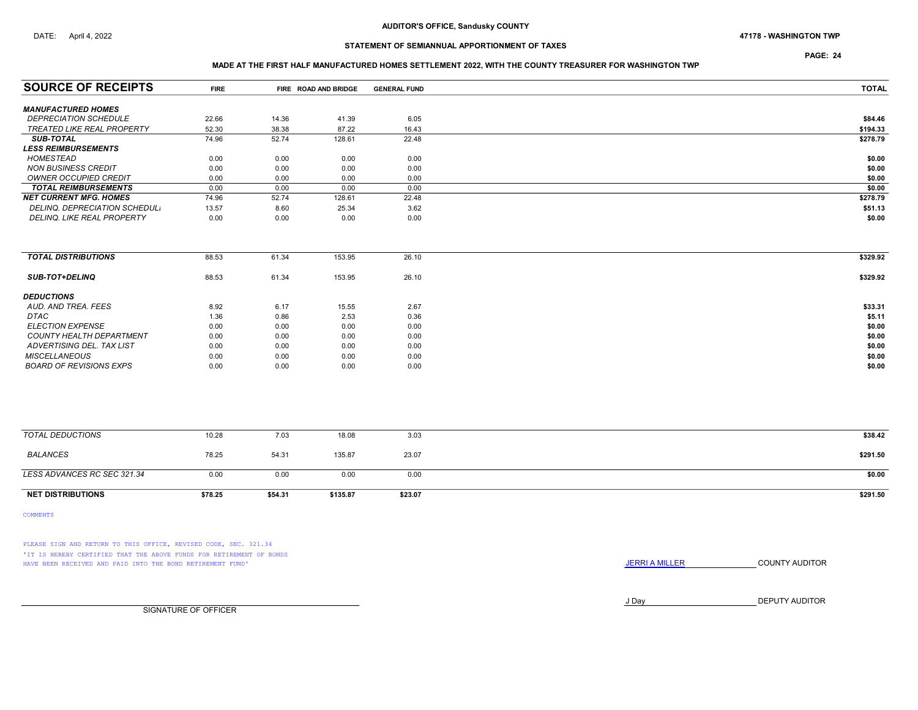## DATE: April 4, 2022 47178 - WASHINGTON TWP

# STATEMENT OF SEMIANNUAL APPORTIONMENT OF TAXES

PAGE: 24

### MADE AT THE FIRST HALF MANUFACTURED HOMES SETTLEMENT 2022, WITH THE COUNTY TREASURER FOR WASHINGTON TWP

| <b>SOURCE OF RECEIPTS</b>       | <b>FIRE</b> |         | FIRE ROAD AND BRIDGE | <b>GENERAL FUND</b> | <b>TOTAL</b> |
|---------------------------------|-------------|---------|----------------------|---------------------|--------------|
|                                 |             |         |                      |                     |              |
| <b>MANUFACTURED HOMES</b>       |             |         |                      |                     |              |
| <b>DEPRECIATION SCHEDULE</b>    | 22.66       | 14.36   | 41.39                | 6.05                | \$84.46      |
| TREATED LIKE REAL PROPERTY      | 52.30       | 38.38   | 87.22                | 16.43               | \$194.33     |
| <b>SUB-TOTAL</b>                | 74.96       | 52.74   | 128.61               | 22.48               | \$278.79     |
| <b>LESS REIMBURSEMENTS</b>      |             |         |                      |                     |              |
| <b>HOMESTEAD</b>                | 0.00        | 0.00    | 0.00                 | 0.00                | \$0.00       |
| <b>NON BUSINESS CREDIT</b>      | 0.00        | 0.00    | 0.00                 | 0.00                | \$0.00       |
| <b>OWNER OCCUPIED CREDIT</b>    | 0.00        | 0.00    | 0.00                 | 0.00                | \$0.00       |
| <b>TOTAL REIMBURSEMENTS</b>     | 0.00        | 0.00    | 0.00                 | 0.00                | \$0.00       |
| <b>NET CURRENT MFG. HOMES</b>   | 74.96       | 52.74   | 128.61               | 22.48               | \$278.79     |
| DELINQ. DEPRECIATION SCHEDUL.   | 13.57       | 8.60    | 25.34                | 3.62                | \$51.13      |
| DELINQ. LIKE REAL PROPERTY      | 0.00        | 0.00    | 0.00                 | 0.00                | \$0.00       |
|                                 |             |         |                      |                     |              |
| <b>TOTAL DISTRIBUTIONS</b>      | 88.53       | 61.34   | 153.95               | 26.10               | \$329.92     |
| <b>SUB-TOT+DELINQ</b>           | 88.53       | 61.34   | 153.95               | 26.10               | \$329.92     |
|                                 |             |         |                      |                     |              |
| <b>DEDUCTIONS</b>               |             |         |                      |                     |              |
| AUD. AND TREA. FEES             | 8.92        | 6.17    | 15.55                | 2.67                | \$33.31      |
| DTAC                            | 1.36        | 0.86    | 2.53                 | 0.36                | \$5.11       |
| <b>ELECTION EXPENSE</b>         | 0.00        | 0.00    | 0.00                 | 0.00                | \$0.00       |
| <b>COUNTY HEALTH DEPARTMENT</b> | 0.00        | 0.00    | 0.00                 | 0.00                | \$0.00       |
| ADVERTISING DEL. TAX LIST       | 0.00        | 0.00    | 0.00                 | 0.00                | \$0.00       |
| <b>MISCELLANEOUS</b>            | 0.00        | 0.00    | 0.00                 | 0.00                | \$0.00       |
| <b>BOARD OF REVISIONS EXPS</b>  | 0.00        | 0.00    | 0.00                 | 0.00                | \$0.00       |
|                                 |             |         |                      |                     |              |
|                                 |             |         |                      |                     |              |
|                                 |             |         |                      |                     |              |
| <b>TOTAL DEDUCTIONS</b>         | 10.28       | 7.03    | 18.08                | 3.03                | \$38.42      |
| <b>BALANCES</b>                 | 78.25       | 54.31   | 135.87               | 23.07               | \$291.50     |
|                                 |             |         |                      |                     |              |
| LESS ADVANCES RC SEC 321.34     | 0.00        | 0.00    | 0.00                 | 0.00                | \$0.00       |
| <b>NET DISTRIBUTIONS</b>        | \$78.25     | \$54.31 | \$135.87             | \$23.07             | \$291.50     |

COMMENTS

PLEASE SIGN AND RETURN TO THIS OFFICE, REVISED CODE, SEC. 321.34 'IT IS HEREBY CERTIFIED THAT THE ABOVE FUNDS FOR RETIREMENT OF BONDS HAVE BEEN RECEIVED AND PAID INTO THE BOND RETIREMENT FUND' **SECULTS** THE COUNTY AUDITOR

J Day DEPUTY AUDITOR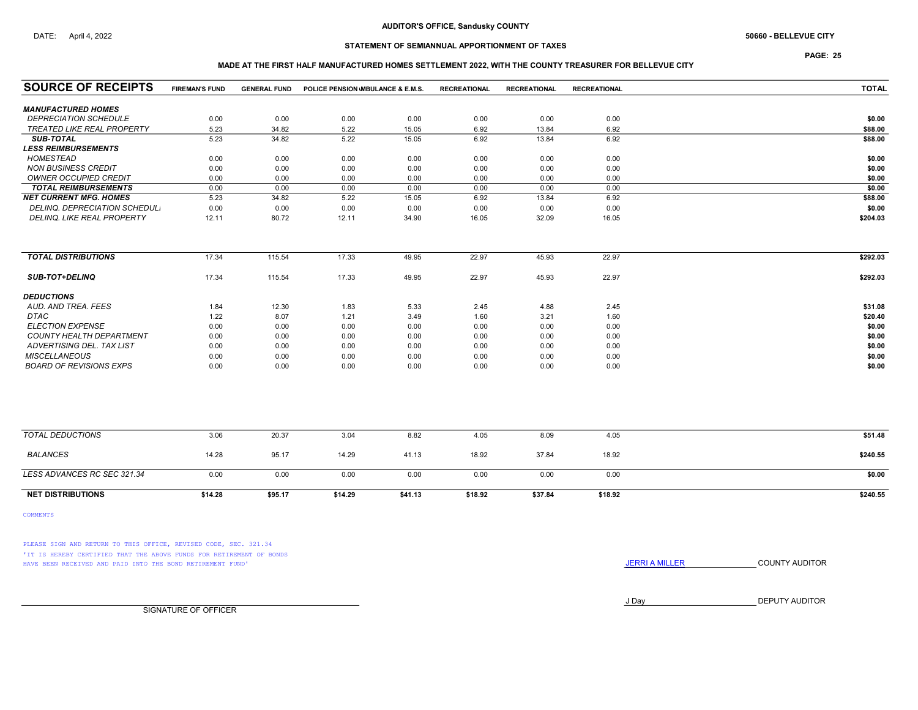# STATEMENT OF SEMIANNUAL APPORTIONMENT OF TAXES

PAGE: 25

### MADE AT THE FIRST HALF MANUFACTURED HOMES SETTLEMENT 2022, WITH THE COUNTY TREASURER FOR BELLEVUE CITY

| <b>SOURCE OF RECEIPTS</b>         | <b>FIREMAN'S FUND</b> | <b>GENERAL FUND</b> | POLICE PENSION MBULANCE & E.M.S. |         | <b>RECREATIONAL</b> | <b>RECREATIONAL</b> | <b>RECREATIONAL</b> | <b>TOTAL</b> |
|-----------------------------------|-----------------------|---------------------|----------------------------------|---------|---------------------|---------------------|---------------------|--------------|
| <b>MANUFACTURED HOMES</b>         |                       |                     |                                  |         |                     |                     |                     |              |
| <b>DEPRECIATION SCHEDULE</b>      | 0.00                  | 0.00                | 0.00                             | 0.00    | 0.00                | 0.00                | 0.00                | \$0.00       |
| <b>TREATED LIKE REAL PROPERTY</b> | 5.23                  | 34.82               | 5.22                             | 15.05   | 6.92                | 13.84               | 6.92                | \$88.00      |
| <b>SUB-TOTAL</b>                  | 5.23                  | 34.82               | 5.22                             | 15.05   | 6.92                | 13.84               | 6.92                | \$88.00      |
| <b>LESS REIMBURSEMENTS</b>        |                       |                     |                                  |         |                     |                     |                     |              |
| <b>HOMESTEAD</b>                  | 0.00                  | 0.00                | 0.00                             | 0.00    | 0.00                | 0.00                | 0.00                | \$0.00       |
| <b>NON BUSINESS CREDIT</b>        | 0.00                  | 0.00                | 0.00                             | 0.00    | 0.00                | 0.00                | 0.00                | \$0.00       |
| <b>OWNER OCCUPIED CREDIT</b>      | 0.00                  | 0.00                | 0.00                             | 0.00    | 0.00                | 0.00                | 0.00                | \$0.00       |
| <b>TOTAL REIMBURSEMENTS</b>       | 0.00                  | 0.00                | 0.00                             | 0.00    | 0.00                | 0.00                | 0.00                | \$0.00       |
| <b>NET CURRENT MFG. HOMES</b>     | 5.23                  | 34.82               | 5.22                             | 15.05   | 6.92                | 13.84               | 6.92                | \$88.00      |
| DELINQ. DEPRECIATION SCHEDUL.     | 0.00                  | 0.00                | 0.00                             | 0.00    | 0.00                | 0.00                | 0.00                | \$0.00       |
| DELINQ. LIKE REAL PROPERTY        | 12.11                 | 80.72               | 12.11                            | 34.90   | 16.05               | 32.09               | 16.05               | \$204.03     |
| <b>TOTAL DISTRIBUTIONS</b>        | 17.34                 | 115.54              | 17.33                            | 49.95   | 22.97               | 45.93               | 22.97               | \$292.03     |
|                                   |                       |                     |                                  |         |                     |                     |                     |              |
| <b>SUB-TOT+DELINQ</b>             | 17.34                 | 115.54              | 17.33                            | 49.95   | 22.97               | 45.93               | 22.97               | \$292.03     |
| <b>DEDUCTIONS</b>                 |                       |                     |                                  |         |                     |                     |                     |              |
| AUD. AND TREA. FEES               | 1.84                  | 12.30               | 1.83                             | 5.33    | 2.45                | 4.88                | 2.45                | \$31.08      |
| <b>DTAC</b>                       | 1.22                  | 8.07                | 1.21                             | 3.49    | 1.60                | 3.21                | 1.60                | \$20.40      |
| <b>ELECTION EXPENSE</b>           | 0.00                  | 0.00                | 0.00                             | 0.00    | 0.00                | 0.00                | 0.00                | \$0.00       |
| COUNTY HEALTH DEPARTMENT          | 0.00                  | 0.00                | 0.00                             | 0.00    | 0.00                | 0.00                | 0.00                | \$0.00       |
| ADVERTISING DEL. TAX LIST         | 0.00                  | 0.00                | 0.00                             | 0.00    | 0.00                | 0.00                | 0.00                | \$0.00       |
| <b>MISCELLANEOUS</b>              | 0.00                  | 0.00                | 0.00                             | 0.00    | 0.00                | 0.00                | 0.00                | \$0.00       |
| <b>BOARD OF REVISIONS EXPS</b>    | 0.00                  | 0.00                | 0.00                             | 0.00    | 0.00                | 0.00                | 0.00                | \$0.00       |
|                                   |                       |                     |                                  |         |                     |                     |                     |              |
| <b>TOTAL DEDUCTIONS</b>           | 3.06                  | 20.37               | 3.04                             | 8.82    | 4.05                | 8.09                | 4.05                | \$51.48      |
| <b>BALANCES</b>                   | 14.28                 | 95.17               | 14.29                            | 41.13   | 18.92               | 37.84               | 18.92               | \$240.55     |
| LESS ADVANCES RC SEC 321.34       | 0.00                  | 0.00                | 0.00                             | 0.00    | 0.00                | 0.00                | 0.00                | \$0.00       |
| <b>NET DISTRIBUTIONS</b>          | \$14.28               | \$95.17             | \$14.29                          | \$41.13 | \$18.92             | \$37.84             | \$18.92             | \$240.55     |

COMMENTS

PLEASE SIGN AND RETURN TO THIS OFFICE, REVISED CODE, SEC. 321.34 'IT IS HEREBY CERTIFIED THAT THE ABOVE FUNDS FOR RETIREMENT OF BONDS HAVE BEEN RECEIVED AND PAID INTO THE BOND RETIREMENT FUND' **SECULTS** THE COUNTY AUDITOR

J Day DEPUTY AUDITOR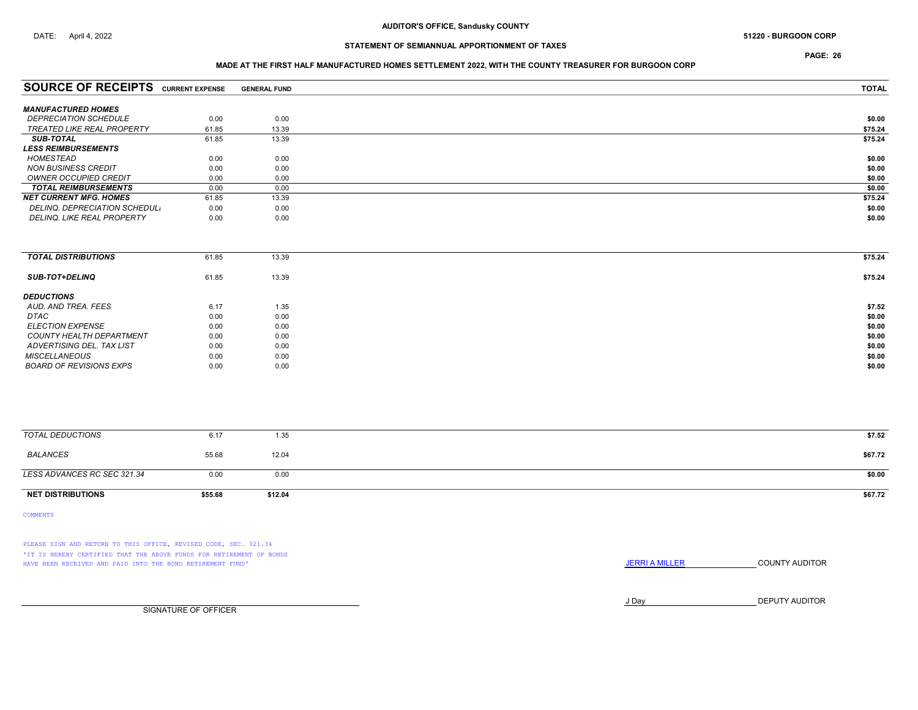PAGE: 26

### MADE AT THE FIRST HALF MANUFACTURED HOMES SETTLEMENT 2022, WITH THE COUNTY TREASURER FOR BURGOON CORP

|       | <b>GENERAL FUND</b>                                                        | <b>TOTAL</b> |
|-------|----------------------------------------------------------------------------|--------------|
|       |                                                                            |              |
| 0.00  | 0.00                                                                       | \$0.00       |
| 61.85 | 13.39                                                                      | \$75.24      |
| 61.85 | 13.39                                                                      | \$75.24      |
|       |                                                                            |              |
| 0.00  | 0.00                                                                       | \$0.00       |
| 0.00  | 0.00                                                                       | \$0.00       |
| 0.00  | 0.00                                                                       | \$0.00       |
| 0.00  | 0.00                                                                       | \$0.00       |
| 61.85 | 13.39                                                                      | \$75.24      |
| 0.00  | 0.00                                                                       | \$0.00       |
| 0.00  | 0.00                                                                       | \$0.00       |
|       | <b>SOURCE OF RECEIPTS CURRENT EXPENSE</b><br>DELINQ. DEPRECIATION SCHEDUL. |              |

| <b>TOTAL DISTRIBUTIONS</b> | 61.85 | 13.39 | \$75.24 |
|----------------------------|-------|-------|---------|
| <b>SUB-TOT+DELINQ</b>      | 61.85 | 13.39 | \$75.24 |
| <b>DEDUCTIONS</b>          |       |       |         |
| AUD. AND TREA. FEES        | 6.17  | 1.35  | \$7.52  |
| DTAC                       | 0.00  | 0.00  | \$0.00  |
| <b>ELECTION EXPENSE</b>    | 0.00  | 0.00  | \$0.00  |
| COUNTY HEALTH DEPARTMENT   | 0.00  | 0.00  | \$0.00  |
| ADVERTISING DEL. TAX LIST  | 0.00  | 0.00  | \$0.00  |
| <b>MISCELLANEOUS</b>       | 0.00  | 0.00  | \$0.00  |
| BOARD OF REVISIONS EXPS    | 0.00  | 0.00  | \$0.00  |

| TOTAL DEDUCTIONS            | 6.17    | 1.35    | \$7.52  |
|-----------------------------|---------|---------|---------|
| <b>BALANCES</b>             | 55.68   | 12.04   | \$67.72 |
| LESS ADVANCES RC SEC 321.34 | 0.00    | 0.00    | \$0.00  |
| <b>NET DISTRIBUTIONS</b>    | \$55.68 | \$12.04 | \$67.72 |

COMMENTS

PLEASE SIGN AND RETURN TO THIS OFFICE, REVISED CODE, SEC. 321.34 'IT IS HEREBY CERTIFIED THAT THE ABOVE FUNDS FOR RETIREMENT OF BONDS HAVE BEEN RECEIVED AND PAID INTO THE BOND RETIREMENT FUND' **SECULTS** THE COUNTY AUDITOR

J Day DEPUTY AUDITOR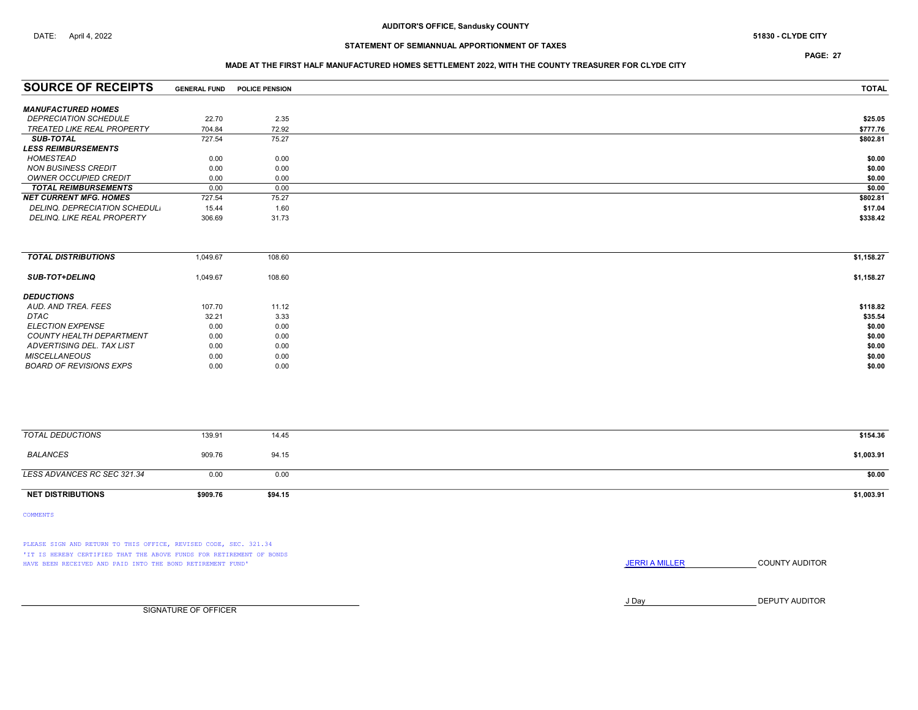PAGE: 27

### MADE AT THE FIRST HALF MANUFACTURED HOMES SETTLEMENT 2022, WITH THE COUNTY TREASURER FOR CLYDE CITY

| <b>SOURCE OF RECEIPTS</b>         | <b>GENERAL FUND</b> | <b>POLICE PENSION</b> | <b>TOTAL</b> |
|-----------------------------------|---------------------|-----------------------|--------------|
|                                   |                     |                       |              |
| <b>MANUFACTURED HOMES</b>         |                     |                       |              |
| <b>DEPRECIATION SCHEDULE</b>      | 22.70               | 2.35                  | \$25.05      |
| <b>TREATED LIKE REAL PROPERTY</b> | 704.84              | 72.92                 | \$777.76     |
| <b>SUB-TOTAL</b>                  | 727.54              | 75.27                 | \$802.81     |
| <b>LESS REIMBURSEMENTS</b>        |                     |                       |              |
| HOMESTEAD                         | 0.00                | 0.00                  | \$0.00       |
| <b>NON BUSINESS CREDIT</b>        | 0.00                | 0.00                  | \$0.00       |
| OWNER OCCUPIED CREDIT             | 0.00                | 0.00                  | \$0.00       |
| <b>TOTAL REIMBURSEMENTS</b>       | 0.00                | 0.00                  | \$0.00       |
| <b>NET CURRENT MFG. HOMES</b>     | 727.54              | 75.27                 | \$802.81     |
| DELINQ. DEPRECIATION SCHEDUL.     | 15.44               | 1.60                  | \$17.04      |
| DELINQ, LIKE REAL PROPERTY        | 306.69              | 31.73                 | \$338.42     |
|                                   |                     |                       |              |

| 1,049.67 | 108.60 | \$1,158.27 |
|----------|--------|------------|
| 1,049.67 | 108.60 | \$1,158.27 |
|          |        |            |
| 107.70   | 11.12  | \$118.82   |
| 32.21    | 3.33   | \$35.54    |
| 0.00     | 0.00   | \$0.00     |
| 0.00     | 0.00   | \$0.00     |
| 0.00     | 0.00   | \$0.00     |
| 0.00     | 0.00   | \$0.00     |
| 0.00     | 0.00   | \$0.00     |
|          |        |            |

| TOTAL DEDUCTIONS            | 139.91   | 14.45   | \$154.36   |
|-----------------------------|----------|---------|------------|
| BALANCES                    | 909.76   | 94.15   | \$1,003.91 |
| LESS ADVANCES RC SEC 321.34 | 0.00     | 0.00    | \$0.00     |
| <b>NET DISTRIBUTIONS</b>    | \$909.76 | \$94.15 | \$1,003.91 |

COMMENTS

PLEASE SIGN AND RETURN TO THIS OFFICE, REVISED CODE, SEC. 321.34 'IT IS HEREBY CERTIFIED THAT THE ABOVE FUNDS FOR RETIREMENT OF BONDS HAVE BEEN RECEIVED AND PAID INTO THE BOND RETIREMENT FUND' **JERRIA MILLER COUNTY AUDITOR** 

J Day DEPUTY AUDITOR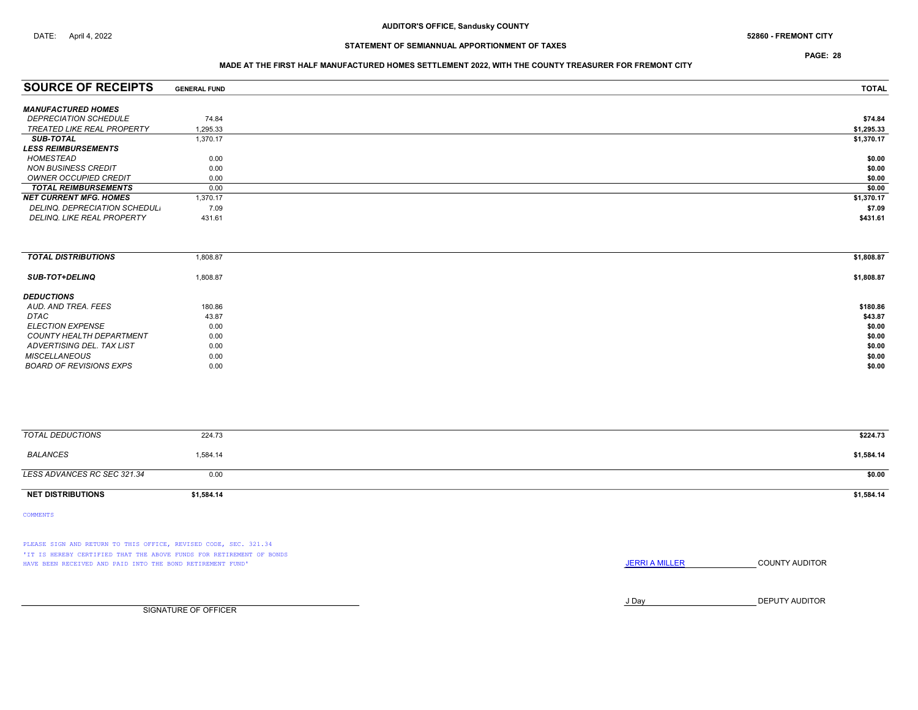PAGE: 28

### MADE AT THE FIRST HALF MANUFACTURED HOMES SETTLEMENT 2022, WITH THE COUNTY TREASURER FOR FREMONT CITY

| <b>GENERAL FUND</b> | <b>TOTAL</b> |
|---------------------|--------------|
|                     |              |
|                     |              |
| 74.84               | \$74.84      |
| 1,295.33            | \$1,295.33   |
| 1.370.17            | \$1,370.17   |
|                     |              |
| 0.00                | \$0.00       |
| 0.00                | \$0.00       |
| 0.00                | \$0.00       |
| 0.00                | \$0.00       |
| 1.370.17            | \$1,370.17   |
| 7.09                | \$7.09       |
| 431.61              | \$431.61     |
|                     |              |

| <b>TOTAL DISTRIBUTIONS</b> | 1,808.87 | \$1,808.87 |
|----------------------------|----------|------------|
| <b>SUB-TOT+DELINQ</b>      | 1,808.87 | \$1,808.87 |
| <b>DEDUCTIONS</b>          |          |            |
| AUD. AND TREA. FEES        | 180.86   | \$180.86   |
| DTAC                       | 43.87    | \$43.87    |
| <b>ELECTION EXPENSE</b>    | 0.00     | \$0.00     |
| COUNTY HEALTH DEPARTMENT   | 0.00     | \$0.00     |
| ADVERTISING DEL. TAX LIST  | 0.00     | \$0.00     |
| <b>MISCELLANEOUS</b>       | 0.00     | \$0.00     |
| BOARD OF REVISIONS EXPS    | 0.00     | \$0.00     |

| TOTAL DEDUCTIONS            | 224.73     | \$224.73   |
|-----------------------------|------------|------------|
| BALANCES                    | 1,584.14   | \$1,584.14 |
| LESS ADVANCES RC SEC 321.34 | 0.00       | \$0.00     |
| <b>NET DISTRIBUTIONS</b>    | \$1,584.14 | \$1,584.14 |

COMMENTS

PLEASE SIGN AND RETURN TO THIS OFFICE, REVISED CODE, SEC. 321.34 'IT IS HEREBY CERTIFIED THAT THE ABOVE FUNDS FOR RETIREMENT OF BONDS HAVE BEEN RECEIVED AND PAID INTO THE BOND RETIREMENT FUND' **SECULTS THE COUNTY AUDITOR JERRI A MILLER COUNTY AUDITOR** 

J Day DEPUTY AUDITOR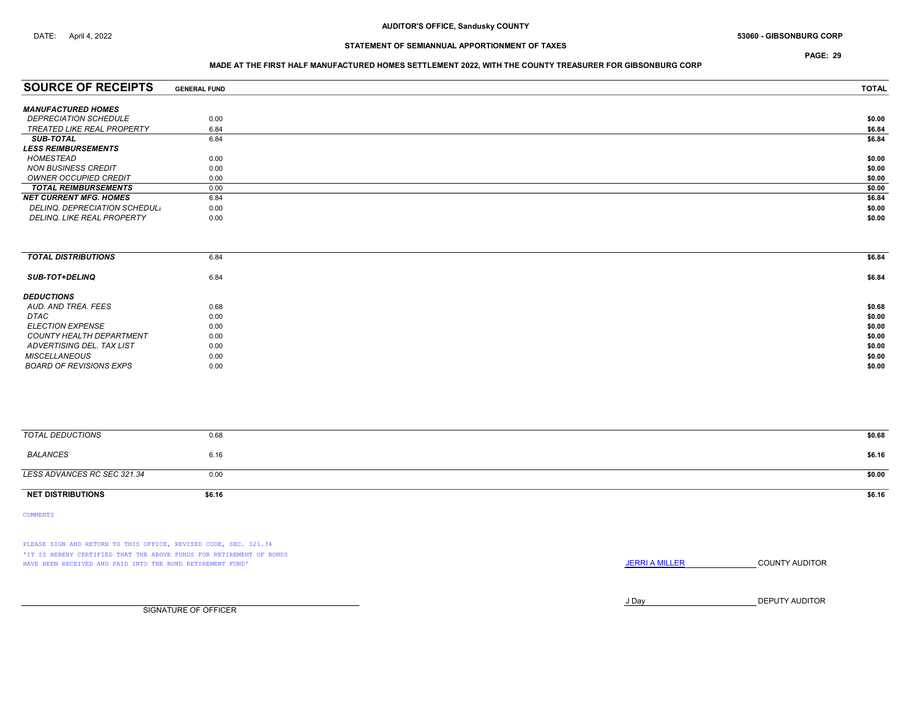PAGE: 29

### MADE AT THE FIRST HALF MANUFACTURED HOMES SETTLEMENT 2022, WITH THE COUNTY TREASURER FOR GIBSONBURG CORP

| <b>SOURCE OF RECEIPTS</b>           | <b>GENERAL FUND</b> | <b>TOTAL</b> |
|-------------------------------------|---------------------|--------------|
| <b>MANUFACTURED HOMES</b>           |                     |              |
|                                     |                     |              |
| <i><b>DEPRECIATION SCHEDULE</b></i> | 0.00                | \$0.00       |
| TREATED LIKE REAL PROPERTY          | 6.84                | \$6.84       |
| <b>SUB-TOTAL</b>                    | 6.84                | \$6.84       |
| <i><b>LESS REIMBURSEMENTS</b></i>   |                     |              |
| HOMESTEAD                           | 0.00                | \$0.00       |
| <b>NON BUSINESS CREDIT</b>          | 0.00                | \$0.00       |
| OWNER OCCUPIED CREDIT               | 0.00                | \$0.00       |
| <b>TOTAL REIMBURSEMENTS</b>         | 0.00                | \$0.00       |
| NET CURRENT MFG. HOMES              | 6.84                | \$6.84       |
| DELINQ. DEPRECIATION SCHEDUL.       | 0.00                | \$0.00       |
| <b>DELINQ. LIKE REAL PROPERTY</b>   | 0.00                | \$0.00       |
|                                     |                     |              |

| <b>TOTAL DISTRIBUTIONS</b>      | 6.84 | \$6.84 |
|---------------------------------|------|--------|
|                                 |      |        |
|                                 |      |        |
| <b>SUB-TOT+DELINQ</b>           | 6.84 | \$6.84 |
|                                 |      |        |
| <b>DEDUCTIONS</b>               |      |        |
| AUD. AND TREA. FEES             | 0.68 | \$0.68 |
| <b>DTAC</b>                     |      |        |
|                                 | 0.00 | \$0.00 |
| <i>ELECTION EXPENSE</i>         | 0.00 | \$0.00 |
| <b>COUNTY HEALTH DEPARTMENT</b> | 0.00 | \$0.00 |
| ADVERTISING DEL. TAX LIST       | 0.00 | \$0.00 |
|                                 |      |        |
| <b>MISCELLANEOUS</b>            | 0.00 | \$0.00 |
| BOARD OF REVISIONS EXPS         | 0.00 | \$0.00 |
|                                 |      |        |

| <b>TOTAL DEDUCTIONS</b>     | 0.68   | \$0.68 |
|-----------------------------|--------|--------|
| BALANCES                    | 6.16   | \$6.16 |
| LESS ADVANCES RC SEC 321.34 | 0.00   | \$0.00 |
| <b>NET DISTRIBUTIONS</b>    | \$6.16 | \$6.16 |

COMMENTS

PLEASE SIGN AND RETURN TO THIS OFFICE, REVISED CODE, SEC. 321.34 'IT IS HEREBY CERTIFIED THAT THE ABOVE FUNDS FOR RETIREMENT OF BONDS HAVE BEEN RECEIVED AND PAID INTO THE BOND RETIREMENT FUND' **SECULTS** THE COUNTY AUDITOR

J Day DEPUTY AUDITOR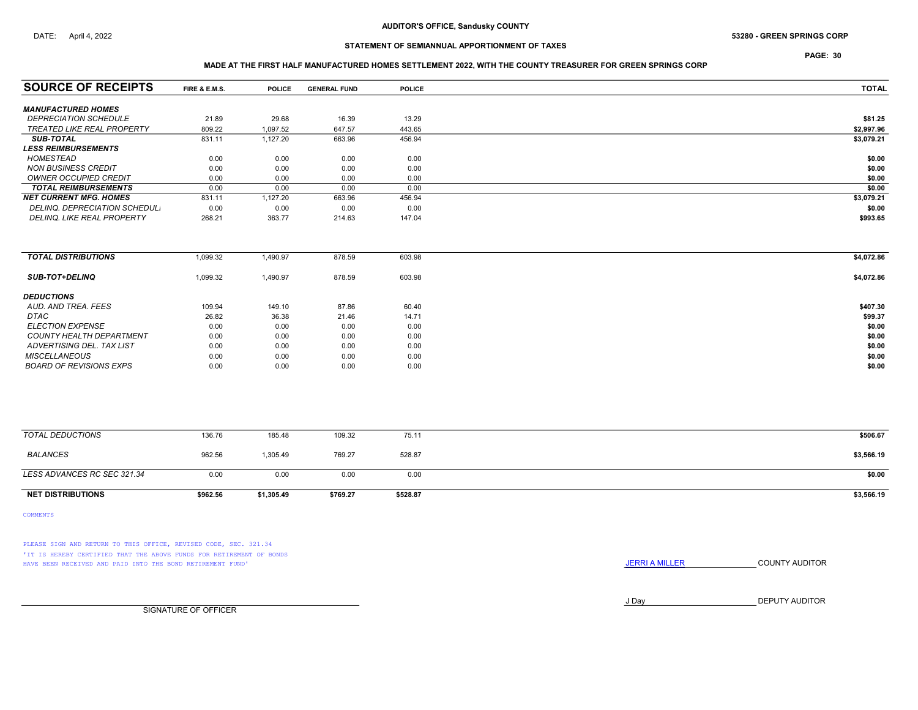## DATE: April 4, 2022 **S3280 - GREEN SPRINGS CORP** 53280 - GREEN SPRINGS CORP

# STATEMENT OF SEMIANNUAL APPORTIONMENT OF TAXES

# PAGE: 30

### MADE AT THE FIRST HALF MANUFACTURED HOMES SETTLEMENT 2022, WITH THE COUNTY TREASURER FOR GREEN SPRINGS CORP

| <b>SOURCE OF RECEIPTS</b>         | FIRE & E.M.S. | <b>POLICE</b> | <b>GENERAL FUND</b> | <b>POLICE</b> | <b>TOTAL</b> |
|-----------------------------------|---------------|---------------|---------------------|---------------|--------------|
| <b>MANUFACTURED HOMES</b>         |               |               |                     |               |              |
| <b>DEPRECIATION SCHEDULE</b>      | 21.89         | 29.68         | 16.39               | 13.29         | \$81.25      |
| <b>TREATED LIKE REAL PROPERTY</b> | 809.22        | 1,097.52      | 647.57              | 443.65        | \$2,997.96   |
| <b>SUB-TOTAL</b>                  | 831.11        | 1,127.20      | 663.96              | 456.94        | \$3,079.21   |
| <b>LESS REIMBURSEMENTS</b>        |               |               |                     |               |              |
| <b>HOMESTEAD</b>                  | 0.00          | 0.00          | 0.00                | 0.00          | \$0.00       |
| <b>NON BUSINESS CREDIT</b>        | 0.00          | 0.00          | 0.00                | 0.00          | \$0.00       |
| <b>OWNER OCCUPIED CREDIT</b>      | 0.00          | 0.00          | 0.00                | 0.00          | \$0.00       |
| <b>TOTAL REIMBURSEMENTS</b>       | 0.00          | 0.00          | 0.00                | 0.00          | \$0.00       |
| <b>NET CURRENT MFG. HOMES</b>     | 831.11        | 1,127.20      | 663.96              | 456.94        | \$3,079.21   |
| DELINQ. DEPRECIATION SCHEDUL.     | 0.00          | 0.00          | 0.00                | 0.00          | \$0.00       |
| DELINQ. LIKE REAL PROPERTY        | 268.21        | 363.77        | 214.63              | 147.04        | \$993.65     |
|                                   |               |               |                     |               |              |
|                                   |               |               |                     |               |              |
| <b>TOTAL DISTRIBUTIONS</b>        | 1,099.32      | 1,490.97      | 878.59              | 603.98        | \$4,072.86   |
| <b>SUB-TOT+DELINQ</b>             | 1,099.32      | 1,490.97      | 878.59              | 603.98        | \$4,072.86   |
| <b>DEDUCTIONS</b>                 |               |               |                     |               |              |
| AUD. AND TREA. FEES               | 109.94        | 149.10        | 87.86               | 60.40         | \$407.30     |
| DTAC                              | 26.82         | 36.38         | 21.46               | 14.71         | \$99.37      |
| <b>ELECTION EXPENSE</b>           | 0.00          | 0.00          | 0.00                | 0.00          | \$0.00       |
| COUNTY HEALTH DEPARTMENT          | 0.00          | 0.00          | 0.00                | 0.00          | \$0.00       |
| ADVERTISING DEL. TAX LIST         | 0.00          | 0.00          | 0.00                | 0.00          | \$0.00       |
| <b>MISCELLANEOUS</b>              | 0.00          | 0.00          | 0.00                | 0.00          | \$0.00       |
| <b>BOARD OF REVISIONS EXPS</b>    | 0.00          | 0.00          | 0.00                | 0.00          | \$0.00       |
|                                   |               |               |                     |               |              |

| <b>NET DISTRIBUTIONS</b>    | \$962.56 | \$1,305.49 | \$769.27 | \$528.87 | \$3,566.19 |
|-----------------------------|----------|------------|----------|----------|------------|
| LESS ADVANCES RC SEC 321.34 | 0.00     | 0.00       | 0.00     | 0.00     | \$0.00     |
| BALANCES                    | 962.56   | 1,305.49   | 769.27   | 528.87   | \$3,566.19 |
| TOTAL DEDUCTIONS            | 136.76   | 185.48     | 109.32   | 75.11    | \$506.67   |
|                             |          |            |          |          |            |

COMMENTS

PLEASE SIGN AND RETURN TO THIS OFFICE, REVISED CODE, SEC. 321.34 'IT IS HEREBY CERTIFIED THAT THE ABOVE FUNDS FOR RETIREMENT OF BONDS HAVE BEEN RECEIVED AND PAID INTO THE BOND RETIREMENT FUND' **SECULTS** THE COUNTY AUDITOR

J Day DEPUTY AUDITOR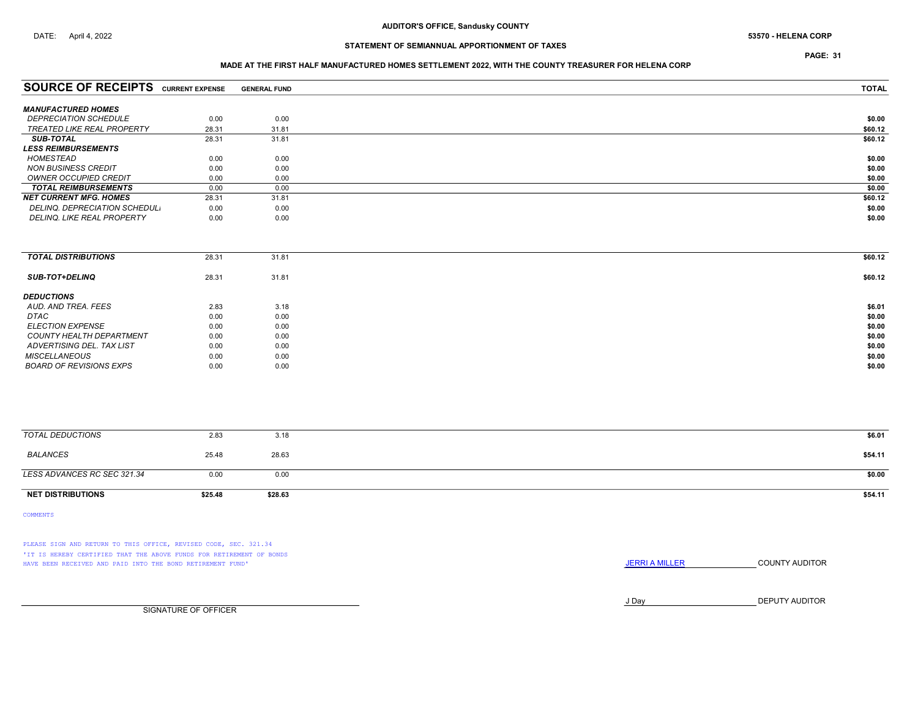PAGE: 31

### MADE AT THE FIRST HALF MANUFACTURED HOMES SETTLEMENT 2022, WITH THE COUNTY TREASURER FOR HELENA CORP

| <b>SOURCE OF RECEIPTS</b>         | <b>CURRENT EXPENSE</b> | <b>GENERAL FUND</b> | <b>TOTAL</b> |
|-----------------------------------|------------------------|---------------------|--------------|
|                                   |                        |                     |              |
| <b>MANUFACTURED HOMES</b>         |                        |                     |              |
| <b>DEPRECIATION SCHEDULE</b>      | 0.00                   | 0.00                | \$0.00       |
| TREATED LIKE REAL PROPERTY        | 28.31                  | 31.81               | \$60.12      |
| <b>SUB-TOTAL</b>                  | 28.31                  | 31.81               | \$60.12      |
| <b>LESS REIMBURSEMENTS</b>        |                        |                     |              |
| HOMESTEAD                         | 0.00                   | 0.00                | \$0.00       |
| NON BUSINESS CREDIT               | 0.00                   | 0.00                | \$0.00       |
| OWNER OCCUPIED CREDIT             | 0.00                   | 0.00                | \$0.00       |
| <b>TOTAL REIMBURSEMENTS</b>       | 0.00                   | 0.00                | \$0.00       |
| <b>NET CURRENT MFG. HOMES</b>     | 28.31                  | 31.81               | \$60.12      |
| DELINQ. DEPRECIATION SCHEDUL.     | 0.00                   | 0.00                | \$0.00       |
| <b>DELINQ. LIKE REAL PROPERTY</b> | 0.00                   | 0.00                | \$0.00       |
|                                   |                        |                     |              |

| 28.31 | 31.81 | \$60.12 |
|-------|-------|---------|
| 28.31 | 31.81 | \$60.12 |
|       |       |         |
| 2.83  | 3.18  | \$6.01  |
| 0.00  | 0.00  | \$0.00  |
| 0.00  | 0.00  | \$0.00  |
| 0.00  | 0.00  | \$0.00  |
| 0.00  | 0.00  | \$0.00  |
| 0.00  | 0.00  | \$0.00  |
| 0.00  | 0.00  | \$0.00  |
|       |       |         |

| TOTAL DEDUCTIONS            | 2.83    | 3.18    | \$6.01  |
|-----------------------------|---------|---------|---------|
| BALANCES                    | 25.48   | 28.63   | \$54.11 |
| LESS ADVANCES RC SEC 321.34 | 0.00    | 0.00    | \$0.00  |
| <b>NET DISTRIBUTIONS</b>    | \$25.48 | \$28.63 | \$54.11 |

COMMENTS

PLEASE SIGN AND RETURN TO THIS OFFICE, REVISED CODE, SEC. 321.34 'IT IS HEREBY CERTIFIED THAT THE ABOVE FUNDS FOR RETIREMENT OF BONDS HAVE BEEN RECEIVED AND PAID INTO THE BOND RETIREMENT FUND' **SECULTS** THE COUNTY AUDITOR

J Day DEPUTY AUDITOR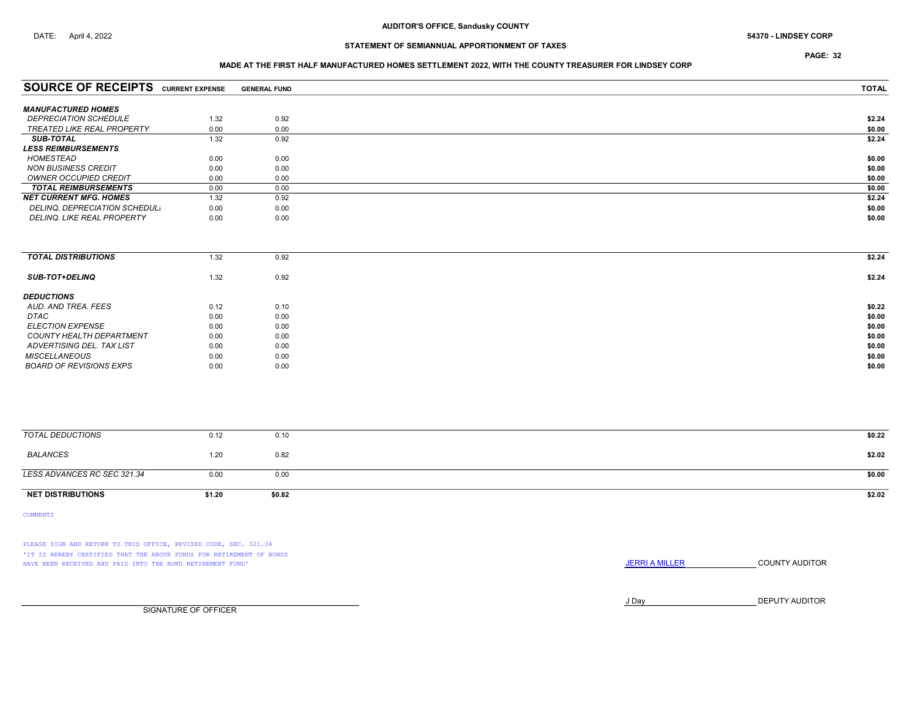PAGE: 32

### MADE AT THE FIRST HALF MANUFACTURED HOMES SETTLEMENT 2022, WITH THE COUNTY TREASURER FOR LINDSEY CORP

| <b>SOURCE OF RECEIPTS</b>         | <b>CURRENT EXPENSE</b> | <b>GENERAL FUND</b> | <b>TOTAL</b> |
|-----------------------------------|------------------------|---------------------|--------------|
|                                   |                        |                     |              |
| <b>MANUFACTURED HOMES</b>         |                        |                     |              |
| <b>DEPRECIATION SCHEDULE</b>      | 1.32                   | 0.92                | \$2.24       |
| TREATED LIKE REAL PROPERTY        | 0.00                   | 0.00                | \$0.00       |
| <b>SUB-TOTAL</b>                  | 1.32                   | 0.92                | \$2.24       |
| <b>LESS REIMBURSEMENTS</b>        |                        |                     |              |
| HOMESTEAD                         | 0.00                   | 0.00                | \$0.00       |
| <b>NON BUSINESS CREDIT</b>        | 0.00                   | 0.00                | \$0.00       |
| OWNER OCCUPIED CREDIT             | 0.00                   | 0.00                | \$0.00       |
| <b>TOTAL REIMBURSEMENTS</b>       | 0.00                   | 0.00                | \$0.00       |
| <b>NET CURRENT MFG. HOMES</b>     | 1.32                   | 0.92                | \$2.24       |
| DELINQ. DEPRECIATION SCHEDUL.     | 0.00                   | 0.00                | \$0.00       |
| <b>DELINQ. LIKE REAL PROPERTY</b> | 0.00                   | 0.00                | \$0.00       |
|                                   |                        |                     |              |

| <b>TOTAL DISTRIBUTIONS</b> | 1.32 | 0.92 | \$2.24 |
|----------------------------|------|------|--------|
| <b>SUB-TOT+DELINQ</b>      | 1.32 | 0.92 | \$2.24 |
| <b>DEDUCTIONS</b>          |      |      |        |
| AUD. AND TREA. FEES        | 0.12 | 0.10 | \$0.22 |
| DTAC                       | 0.00 | 0.00 | \$0.00 |
| <b>ELECTION EXPENSE</b>    | 0.00 | 0.00 | \$0.00 |
| COUNTY HEALTH DEPARTMENT   | 0.00 | 0.00 | \$0.00 |
| ADVERTISING DEL. TAX LIST  | 0.00 | 0.00 | \$0.00 |
| <b>MISCELLANEOUS</b>       | 0.00 | 0.00 | \$0.00 |
| BOARD OF REVISIONS EXPS    | 0.00 | 0.00 | \$0.00 |
|                            |      |      |        |

| <b>NET DISTRIBUTIONS</b>    | \$1.20 | \$0.82 | \$2.02 |
|-----------------------------|--------|--------|--------|
| LESS ADVANCES RC SEC 321.34 | 0.00   | 0.00   | \$0.00 |
| BALANCES                    | 1.20   | 0.82   | \$2.02 |
| TOTAL DEDUCTIONS            | 0.12   | 0.10   | \$0.22 |
|                             |        |        |        |

COMMENTS

PLEASE SIGN AND RETURN TO THIS OFFICE, REVISED CODE, SEC. 321.34 'IT IS HEREBY CERTIFIED THAT THE ABOVE FUNDS FOR RETIREMENT OF BONDS HAVE BEEN RECEIVED AND PAID INTO THE BOND RETIREMENT FUND' **SECULTS** THE COUNTY AUDITOR

J Day DEPUTY AUDITOR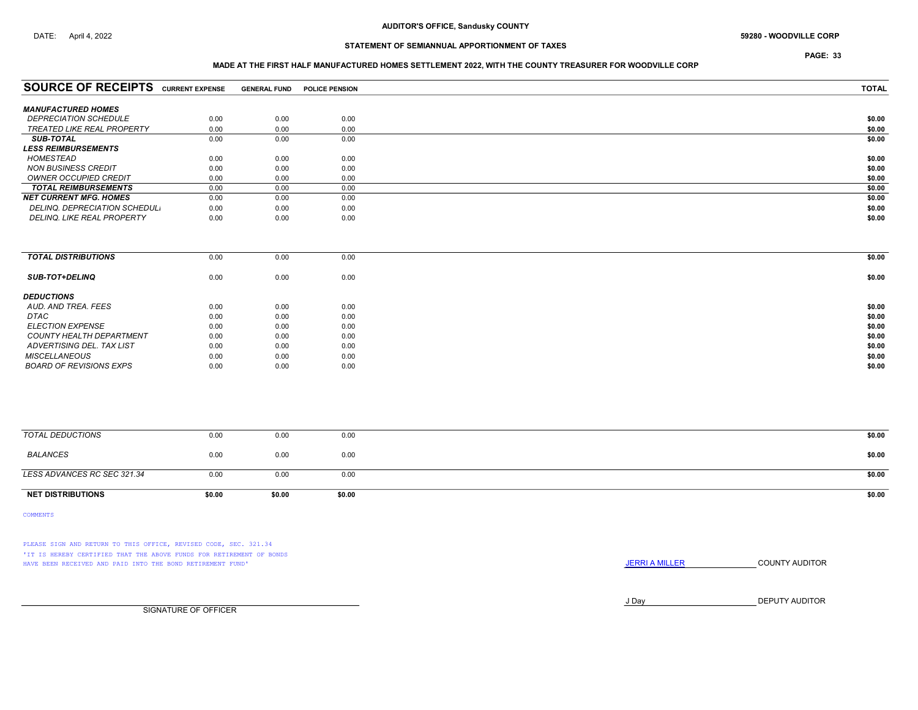# DATE: April 4, 2022 **S9280 - WOODVILLE CORP**

# STATEMENT OF SEMIANNUAL APPORTIONMENT OF TAXES

PAGE: 33

### MADE AT THE FIRST HALF MANUFACTURED HOMES SETTLEMENT 2022, WITH THE COUNTY TREASURER FOR WOODVILLE CORP

| <b>SOURCE OF RECEIPTS</b>         | <b>CURRENT EXPENSE</b> | <b>GENERAL FUND</b> | <b>POLICE PENSION</b> | <b>TOTAL</b> |
|-----------------------------------|------------------------|---------------------|-----------------------|--------------|
|                                   |                        |                     |                       |              |
| <b>MANUFACTURED HOMES</b>         |                        |                     |                       |              |
| <b>DEPRECIATION SCHEDULE</b>      | 0.00                   | 0.00                | 0.00                  | \$0.00       |
| <b>TREATED LIKE REAL PROPERTY</b> | 0.00                   | 0.00                | 0.00                  | \$0.00       |
| <b>SUB-TOTAL</b>                  | 0.00                   | 0.00                | 0.00                  | \$0.00       |
| <b>LESS REIMBURSEMENTS</b>        |                        |                     |                       |              |
| HOMESTEAD                         | 0.00                   | 0.00                | 0.00                  | \$0.00       |
| <b>NON BUSINESS CREDIT</b>        | 0.00                   | 0.00                | 0.00                  | \$0.00       |
| <b>OWNER OCCUPIED CREDIT</b>      | 0.00                   | 0.00                | 0.00                  | \$0.00       |
| <b>TOTAL REIMBURSEMENTS</b>       | 0.00                   | 0.00                | 0.00                  | \$0.00       |
| <b>NET CURRENT MFG. HOMES</b>     | 0.00                   | 0.00                | 0.00                  | \$0.00       |
| DELINQ. DEPRECIATION SCHEDUL.     | 0.00                   | 0.00                | 0.00                  | \$0.00       |
| <b>DELINQ. LIKE REAL PROPERTY</b> | 0.00                   | 0.00                | 0.00                  | \$0.00       |

| <b>TOTAL DISTRIBUTIONS</b> | 0.00 | 0.00 | 0.00 | \$0.00 |
|----------------------------|------|------|------|--------|
| <b>SUB-TOT+DELINQ</b>      | 0.00 | 0.00 | 0.00 | \$0.00 |
| <b>DEDUCTIONS</b>          |      |      |      |        |
| AUD. AND TREA. FEES        | 0.00 | 0.00 | 0.00 | \$0.00 |
| DTAC                       | 0.00 | 0.00 | 0.00 | \$0.00 |
| <b>ELECTION EXPENSE</b>    | 0.00 | 0.00 | 0.00 | \$0.00 |
| COUNTY HEALTH DEPARTMENT   | 0.00 | 0.00 | 0.00 | \$0.00 |
| ADVERTISING DEL. TAX LIST  | 0.00 | 0.00 | 0.00 | \$0.00 |
| <b>MISCELLANEOUS</b>       | 0.00 | 0.00 | 0.00 | \$0.00 |
| BOARD OF REVISIONS EXPS    | 0.00 | 0.00 | 0.00 | \$0.00 |

| <b>NET DISTRIBUTIONS</b>    | \$0.00 | \$0.00 | \$0.00 | \$0.00 |
|-----------------------------|--------|--------|--------|--------|
| LESS ADVANCES RC SEC 321.34 | 0.00   | 0.00   | 0.00   | \$0.00 |
| BALANCES                    | 0.00   | 0.00   | 0.00   | \$0.00 |
| TOTAL DEDUCTIONS            | 0.00   | 0.00   | 0.00   | \$0.00 |
|                             |        |        |        |        |

COMMENTS

PLEASE SIGN AND RETURN TO THIS OFFICE, REVISED CODE, SEC. 321.34 'IT IS HEREBY CERTIFIED THAT THE ABOVE FUNDS FOR RETIREMENT OF BONDS HAVE BEEN RECEIVED AND PAID INTO THE BOND RETIREMENT FUND' **SECULTS** THE COUNTY AUDITOR

J Day DEPUTY AUDITOR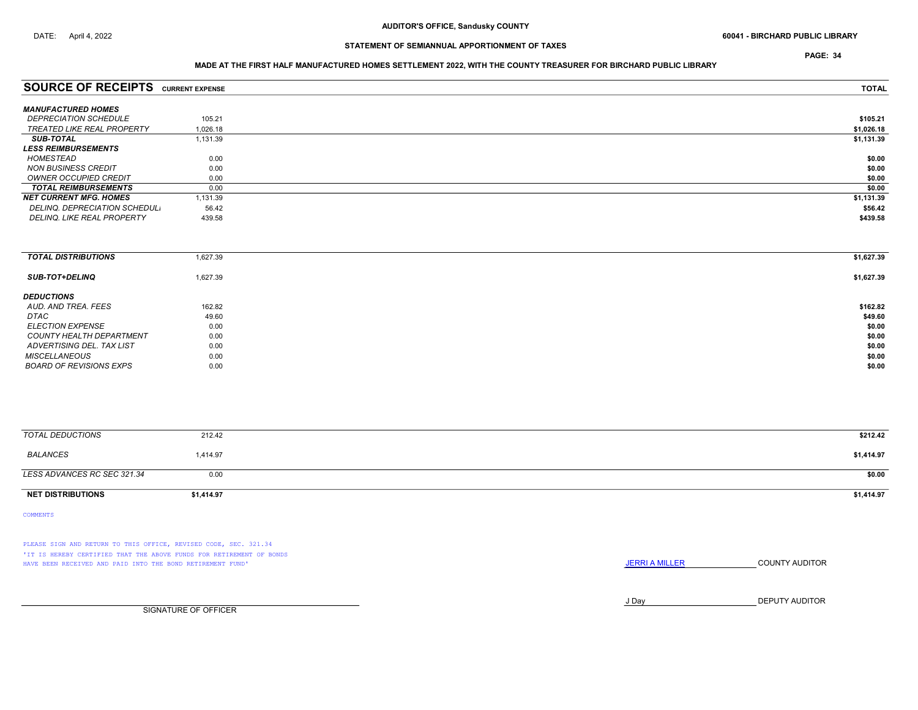PAGE: 34

### MADE AT THE FIRST HALF MANUFACTURED HOMES SETTLEMENT 2022, WITH THE COUNTY TREASURER FOR BIRCHARD PUBLIC LIBRARY

| <b>SOURCE OF RECEIPTS CURRENT EXPENSE</b> |          | <b>TOTAL</b> |
|-------------------------------------------|----------|--------------|
|                                           |          |              |
| <b>MANUFACTURED HOMES</b>                 |          |              |
| <b>DEPRECIATION SCHEDULE</b>              | 105.21   | \$105.21     |
| TREATED LIKE REAL PROPERTY                | 1.026.18 | \$1,026.18   |
| <b>SUB-TOTAL</b>                          | 1,131.39 | \$1,131.39   |
| <b>LESS REIMBURSEMENTS</b>                |          |              |
| HOMESTEAD                                 | 0.00     | \$0.00       |
| NON BUSINESS CREDIT                       | 0.00     | \$0.00       |
| OWNER OCCUPIED CREDIT                     | 0.00     | \$0.00       |
| <b>TOTAL REIMBURSEMENTS</b>               | 0.00     | \$0.00       |
| <b>NET CURRENT MFG. HOMES</b>             | 1,131.39 | \$1,131.39   |
| DELINQ, DEPRECIATION SCHEDUL.             | 56.42    | \$56.42      |
| <b>DELINQ. LIKE REAL PROPERTY</b>         | 439.58   | \$439.58     |
|                                           |          |              |

| <b>TOTAL DISTRIBUTIONS</b>     | 1,627.39 | \$1,627.39 |
|--------------------------------|----------|------------|
| <b>SUB-TOT+DELINQ</b>          | 1,627.39 | \$1,627.39 |
| <b>DEDUCTIONS</b>              |          |            |
| AUD, AND TREA, FEES            | 162.82   | \$162.82   |
| DTAC                           | 49.60    | \$49.60    |
| <b>ELECTION EXPENSE</b>        | 0.00     | \$0.00     |
| COUNTY HEALTH DEPARTMENT       | 0.00     | \$0.00     |
| ADVERTISING DEL. TAX LIST      | 0.00     | \$0.00     |
| <b>MISCELLANEOUS</b>           | 0.00     | \$0.00     |
| <b>BOARD OF REVISIONS EXPS</b> | 0.00     | \$0.00     |

| TOTAL DEDUCTIONS            | 212.42     | \$212.42   |
|-----------------------------|------------|------------|
| BALANCES                    | 1,414.97   | \$1,414.97 |
| LESS ADVANCES RC SEC 321.34 | 0.00       | \$0.00     |
| <b>NET DISTRIBUTIONS</b>    | \$1,414.97 | \$1,414.97 |

COMMENTS

PLEASE SIGN AND RETURN TO THIS OFFICE, REVISED CODE, SEC. 321.34 'IT IS HEREBY CERTIFIED THAT THE ABOVE FUNDS FOR RETIREMENT OF BONDS HAVE BEEN RECEIVED AND PAID INTO THE BOND RETIREMENT FUND' **SECULTS** THE COUNTY AUDITOR

J Day DEPUTY AUDITOR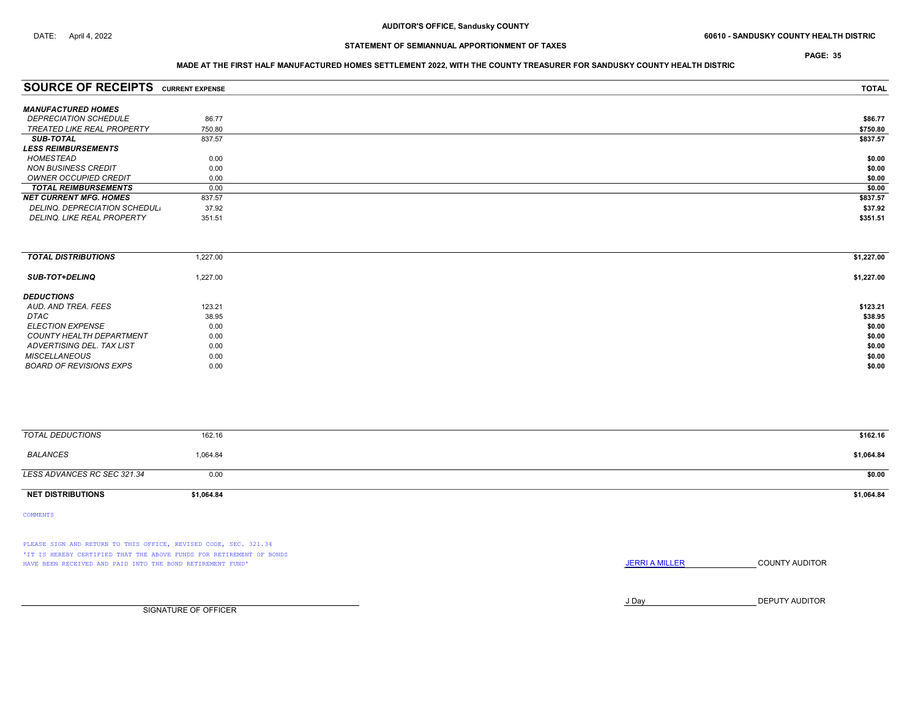PAGE: 35

# STATEMENT OF SEMIANNUAL APPORTIONMENT OF TAXES

### MADE AT THE FIRST HALF MANUFACTURED HOMES SETTLEMENT 2022, WITH THE COUNTY TREASURER FOR SANDUSKY COUNTY HEALTH DISTRIC

| <b>SOURCE OF RECEIPTS CURRENT EXPENSE</b> |        | <b>TOTAL</b> |
|-------------------------------------------|--------|--------------|
| <b>MANUFACTURED HOMES</b>                 |        |              |
| <i><b>DEPRECIATION SCHEDULE</b></i>       | 86.77  | \$86.77      |
| <b>TREATED LIKE REAL PROPERTY</b>         | 750.80 | \$750.80     |
| <b>SUB-TOTAL</b>                          | 837.57 | \$837.57     |
| <b>LESS REIMBURSEMENTS</b>                |        |              |
| HOMESTEAD                                 | 0.00   | \$0.00       |
| <b>NON BUSINESS CREDIT</b>                | 0.00   | \$0.00       |
| OWNER OCCUPIED CREDIT                     | 0.00   | \$0.00       |
| <b>TOTAL REIMBURSEMENTS</b>               | 0.00   | \$0.00       |
| <b>NET CURRENT MFG. HOMES</b>             | 837.57 | \$837.57     |
| DELINQ. DEPRECIATION SCHEDUL.             | 37.92  | \$37.92      |
| <b>DELINQ. LIKE REAL PROPERTY</b>         | 351.51 | \$351.51     |
|                                           |        |              |

| <b>TOTAL DISTRIBUTIONS</b>     | 1.227.00 | \$1,227.00 |
|--------------------------------|----------|------------|
| <b>SUB-TOT+DELINQ</b>          | 1,227.00 | \$1,227.00 |
| <b>DEDUCTIONS</b>              |          |            |
| AUD, AND TREA, FEES            | 123.21   | \$123.21   |
| DTAC                           | 38.95    | \$38.95    |
| <b>ELECTION EXPENSE</b>        | 0.00     | \$0.00     |
| COUNTY HEALTH DEPARTMENT       | 0.00     | \$0.00     |
| ADVERTISING DEL. TAX LIST      | 0.00     | \$0.00     |
| <b>MISCELLANEOUS</b>           | 0.00     | \$0.00     |
| <b>BOARD OF REVISIONS EXPS</b> | 0.00     | \$0.00     |

| TOTAL DEDUCTIONS            | 162.16     | \$162.16   |
|-----------------------------|------------|------------|
| BALANCES                    | 1,064.84   | \$1,064.84 |
| LESS ADVANCES RC SEC 321.34 | 0.00       | \$0.00     |
| <b>NET DISTRIBUTIONS</b>    | \$1,064.84 | \$1,064.84 |

COMMENTS

PLEASE SIGN AND RETURN TO THIS OFFICE, REVISED CODE, SEC. 321.34 'IT IS HEREBY CERTIFIED THAT THE ABOVE FUNDS FOR RETIREMENT OF BONDS HAVE BEEN RECEIVED AND PAID INTO THE BOND RETIREMENT FUND' **SECULTS** THE COUNTY AUDITOR

J Day DEPUTY AUDITOR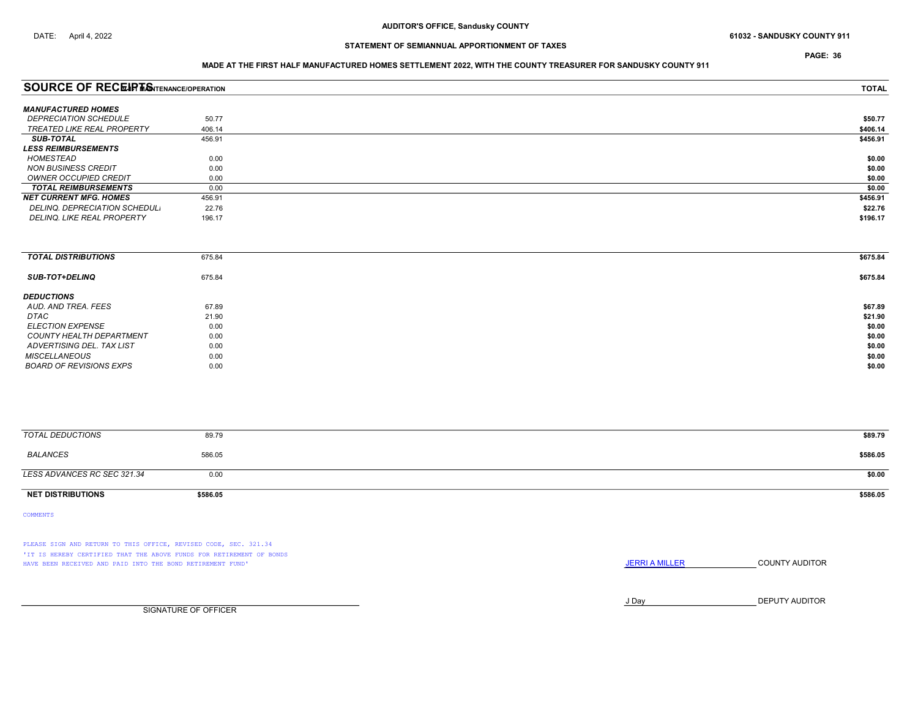PAGE: 36

### MADE AT THE FIRST HALF MANUFACTURED HOMES SETTLEMENT 2022, WITH THE COUNTY TREASURER FOR SANDUSKY COUNTY 911

| <b>SOURCE OF RECEIPTISNTENANCE/OPERATION</b> |        | <b>TOTAL</b> |
|----------------------------------------------|--------|--------------|
| <b>MANUFACTURED HOMES</b>                    |        |              |
| <i><b>DEPRECIATION SCHEDULE</b></i>          | 50.77  | \$50.77      |
| <b>TREATED LIKE REAL PROPERTY</b>            | 406.14 | \$406.14     |
| <b>SUB-TOTAL</b>                             | 456.91 | \$456.91     |
| <b>LESS REIMBURSEMENTS</b>                   |        |              |
| HOMESTEAD                                    | 0.00   | \$0.00       |
| <b>NON BUSINESS CREDIT</b>                   | 0.00   | \$0.00       |
| OWNER OCCUPIED CREDIT                        | 0.00   | \$0.00       |
| <b>TOTAL REIMBURSEMENTS</b>                  | 0.00   | \$0.00       |
| <b>NET CURRENT MFG. HOMES</b>                | 456.91 | \$456.91     |
| DELINQ, DEPRECIATION SCHEDUL.                | 22.76  | \$22.76      |
| <b>DELINQ. LIKE REAL PROPERTY</b>            | 196.17 | \$196.17     |
|                                              |        |              |

| <b>TOTAL DISTRIBUTIONS</b> | 675.84 | \$675.84 |
|----------------------------|--------|----------|
| <b>SUB-TOT+DELINQ</b>      | 675.84 | \$675.84 |
| <b>DEDUCTIONS</b>          |        |          |
| AUD. AND TREA. FEES        | 67.89  | \$67.89  |
| DTAC                       | 21.90  | \$21.90  |
| <b>ELECTION EXPENSE</b>    | 0.00   | \$0.00   |
| COUNTY HEALTH DEPARTMENT   | 0.00   | \$0.00   |
| ADVERTISING DEL. TAX LIST  | 0.00   | \$0.00   |
| <b>MISCELLANEOUS</b>       | 0.00   | \$0.00   |
| BOARD OF REVISIONS EXPS    | 0.00   | \$0.00   |
|                            |        |          |

| TOTAL DEDUCTIONS            | 89.79    | \$89.79  |
|-----------------------------|----------|----------|
| BALANCES                    | 586.05   | \$586.05 |
| LESS ADVANCES RC SEC 321.34 | 0.00     | \$0.00   |
| <b>NET DISTRIBUTIONS</b>    | \$586.05 | \$586.05 |

COMMENTS

PLEASE SIGN AND RETURN TO THIS OFFICE, REVISED CODE, SEC. 321.34 'IT IS HEREBY CERTIFIED THAT THE ABOVE FUNDS FOR RETIREMENT OF BONDS HAVE BEEN RECEIVED AND PAID INTO THE BOND RETIREMENT FUND' **SECULTS** THE COUNTY AUDITOR

J Day DEPUTY AUDITOR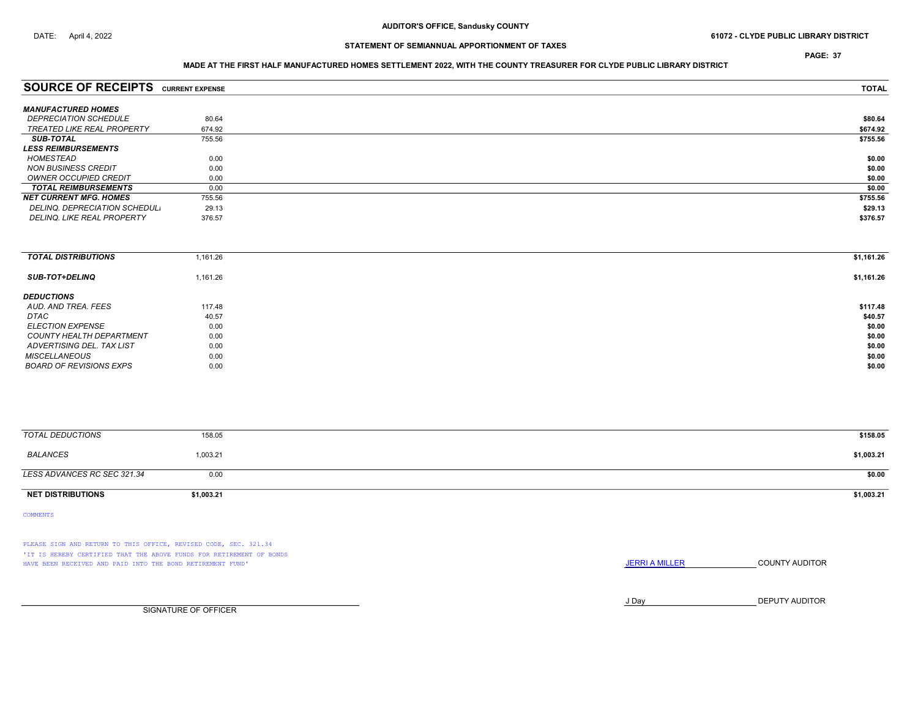PAGE: 37

## MADE AT THE FIRST HALF MANUFACTURED HOMES SETTLEMENT 2022, WITH THE COUNTY TREASURER FOR CLYDE PUBLIC LIBRARY DISTRICT

| <b>SOURCE OF RECEIPTS CURRENT EXPENSE</b> |        | <b>TOTAL</b> |
|-------------------------------------------|--------|--------------|
|                                           |        |              |
| <b>MANUFACTURED HOMES</b>                 |        |              |
| <i><b>DEPRECIATION SCHEDULE</b></i>       | 80.64  | \$80.64      |
| TREATED LIKE REAL PROPERTY                | 674.92 | \$674.92     |
| <b>SUB-TOTAL</b>                          | 755.56 | \$755.56     |
| <b>LESS REIMBURSEMENTS</b>                |        |              |
| HOMESTEAD                                 | 0.00   | \$0.00       |
| NON BUSINESS CREDIT                       | 0.00   | \$0.00       |
| OWNER OCCUPIED CREDIT                     | 0.00   | \$0.00       |
| <b>TOTAL REIMBURSEMENTS</b>               | 0.00   | \$0.00       |
| <b>NET CURRENT MFG. HOMES</b>             | 755.56 | \$755.56     |
| DELINQ. DEPRECIATION SCHEDUL.             | 29.13  | \$29.13      |
| <b>DELINQ. LIKE REAL PROPERTY</b>         | 376.57 | \$376.57     |
|                                           |        |              |

| <b>TOTAL DISTRIBUTIONS</b> | 1,161.26 | \$1,161.26 |
|----------------------------|----------|------------|
| <b>SUB-TOT+DELINQ</b>      | 1,161.26 | \$1,161.26 |
| <b>DEDUCTIONS</b>          |          |            |
| AUD. AND TREA. FEES        | 117.48   | \$117.48   |
| DTAC                       | 40.57    | \$40.57    |
| <i>ELECTION EXPENSE</i>    | 0.00     | \$0.00     |
| COUNTY HEALTH DEPARTMENT   | 0.00     | \$0.00     |
| ADVERTISING DEL. TAX LIST  | 0.00     | \$0.00     |
| <b>MISCELLANEOUS</b>       | 0.00     | \$0.00     |
| BOARD OF REVISIONS EXPS    | 0.00     | \$0.00     |

| <b>TOTAL DEDUCTIONS</b>     | 158.05     | \$158.05   |
|-----------------------------|------------|------------|
| BALANCES                    | 1,003.21   | \$1,003.21 |
| LESS ADVANCES RC SEC 321.34 | 0.00       | \$0.00     |
| <b>NET DISTRIBUTIONS</b>    | \$1,003.21 | \$1,003.21 |

COMMENTS

PLEASE SIGN AND RETURN TO THIS OFFICE, REVISED CODE, SEC. 321.34 'IT IS HEREBY CERTIFIED THAT THE ABOVE FUNDS FOR RETIREMENT OF BONDS HAVE BEEN RECEIVED AND PAID INTO THE BOND RETIREMENT FUND' **SECULTS** THE COUNTY AUDITOR

J Day DEPUTY AUDITOR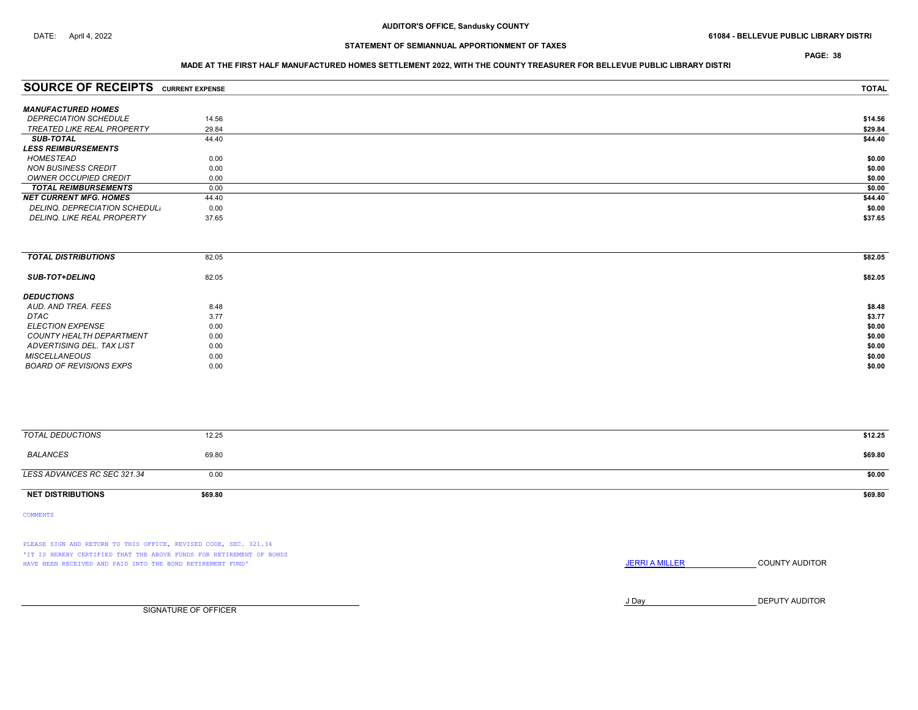PAGE: 38

## STATEMENT OF SEMIANNUAL APPORTIONMENT OF TAXES

### MADE AT THE FIRST HALF MANUFACTURED HOMES SETTLEMENT 2022, WITH THE COUNTY TREASURER FOR BELLEVUE PUBLIC LIBRARY DISTRI

| <b>SOURCE OF RECEIPTS CURRENT EXPENSE</b> |       | <b>TOTAL</b> |
|-------------------------------------------|-------|--------------|
| <b>MANUFACTURED HOMES</b>                 |       |              |
| <i><b>DEPRECIATION SCHEDULE</b></i>       | 14.56 | \$14.56      |
| TREATED LIKE REAL PROPERTY                | 29.84 | \$29.84      |
| <b>SUB-TOTAL</b>                          | 44.40 | \$44.40      |
| <b>LESS REIMBURSEMENTS</b>                |       |              |
| HOMESTEAD                                 | 0.00  | \$0.00       |
| <b>NON BUSINESS CREDIT</b>                | 0.00  | \$0.00       |
| OWNER OCCUPIED CREDIT                     | 0.00  | \$0.00       |
| <b>TOTAL REIMBURSEMENTS</b>               | 0.00  | \$0.00       |
| <b>NET CURRENT MFG. HOMES</b>             |       |              |
|                                           | 44.40 | \$44.40      |
| DELINQ. DEPRECIATION SCHEDUL.             | 0.00  | \$0.00       |
| <b>DELINQ. LIKE REAL PROPERTY</b>         | 37.65 | \$37.65      |

| <b>TOTAL DISTRIBUTIONS</b>     | 82.05 | \$82.05 |
|--------------------------------|-------|---------|
| <b>SUB-TOT+DELINQ</b>          | 82.05 | \$82.05 |
| <b>DEDUCTIONS</b>              |       |         |
| AUD. AND TREA. FEES            | 8.48  | \$8.48  |
| <b>DTAC</b>                    | 3.77  | \$3.77  |
| <i>ELECTION EXPENSE</i>        | 0.00  | \$0.00  |
| COUNTY HEALTH DEPARTMENT       | 0.00  | \$0.00  |
| ADVERTISING DEL. TAX LIST      | 0.00  | \$0.00  |
| <b>MISCELLANEOUS</b>           | 0.00  | \$0.00  |
| <b>BOARD OF REVISIONS EXPS</b> | 0.00  | \$0.00  |
|                                |       |         |

| <b>TOTAL DEDUCTIONS</b>     | 12.25   | \$12.25 |
|-----------------------------|---------|---------|
| BALANCES                    | 69.80   | \$69.80 |
| LESS ADVANCES RC SEC 321.34 | 0.00    | \$0.00  |
| <b>NET DISTRIBUTIONS</b>    | \$69.80 | \$69.80 |

COMMENTS

PLEASE SIGN AND RETURN TO THIS OFFICE, REVISED CODE, SEC. 321.34 'IT IS HEREBY CERTIFIED THAT THE ABOVE FUNDS FOR RETIREMENT OF BONDS HAVE BEEN RECEIVED AND PAID INTO THE BOND RETIREMENT FUND' **SECULTS** THE COUNTY AUDITOR

J Day DEPUTY AUDITOR